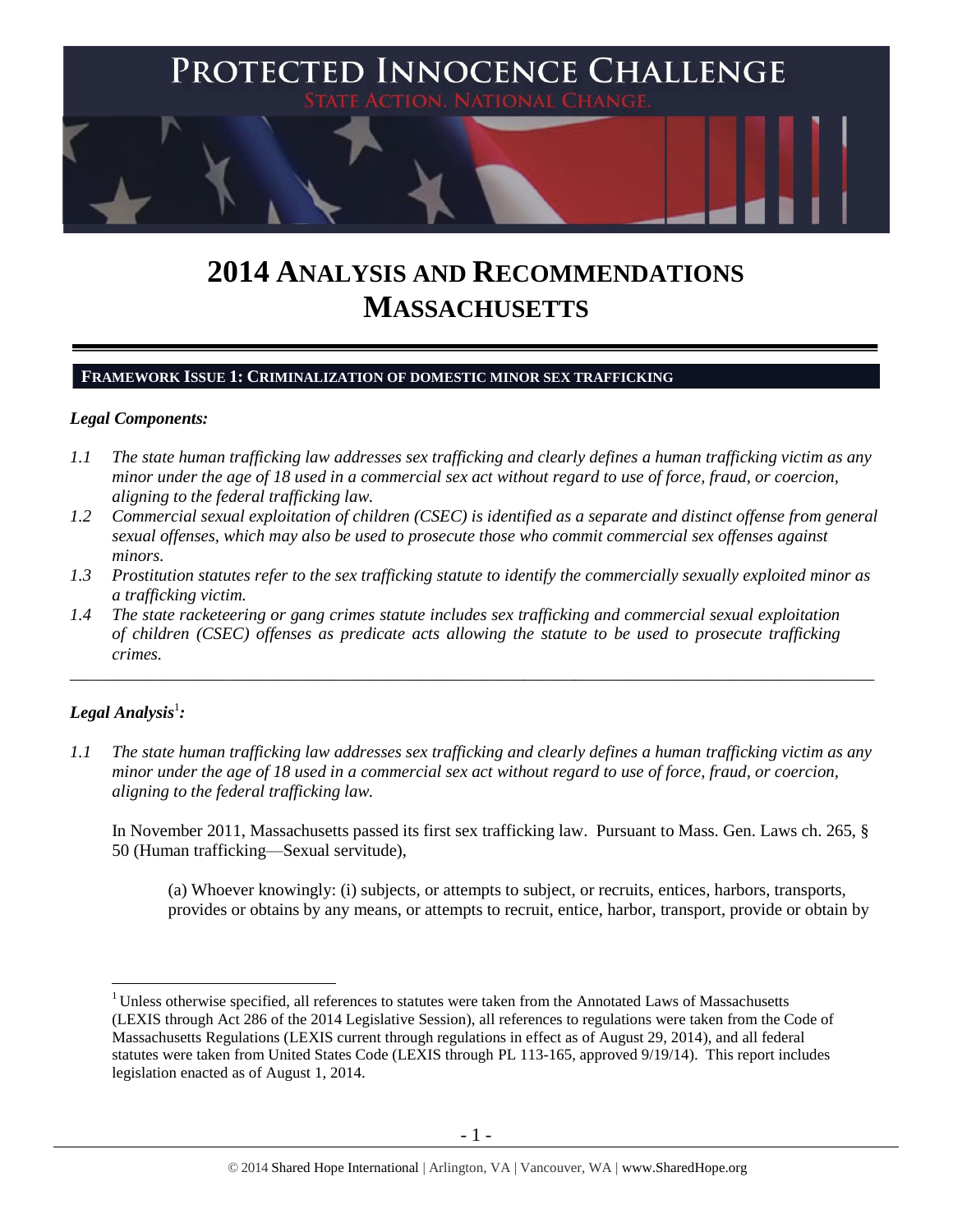

# **2014 ANALYSIS AND RECOMMENDATIONS MASSACHUSETTS**

# **FRAMEWORK ISSUE 1: CRIMINALIZATION OF DOMESTIC MINOR SEX TRAFFICKING**

# *Legal Components:*

- *1.1 The state human trafficking law addresses sex trafficking and clearly defines a human trafficking victim as any minor under the age of 18 used in a commercial sex act without regard to use of force, fraud, or coercion, aligning to the federal trafficking law.*
- *1.2 Commercial sexual exploitation of children (CSEC) is identified as a separate and distinct offense from general sexual offenses, which may also be used to prosecute those who commit commercial sex offenses against minors.*
- *1.3 Prostitution statutes refer to the sex trafficking statute to identify the commercially sexually exploited minor as a trafficking victim.*

\_\_\_\_\_\_\_\_\_\_\_\_\_\_\_\_\_\_\_\_\_\_\_\_\_\_\_\_\_\_\_\_\_\_\_\_\_\_\_\_\_\_\_\_\_\_\_\_\_\_\_\_\_\_\_\_\_\_\_\_\_\_\_\_\_\_\_\_\_\_\_\_\_\_\_\_\_\_\_\_\_\_\_\_\_\_\_\_\_\_\_\_\_\_

*1.4 The state racketeering or gang crimes statute includes sex trafficking and commercial sexual exploitation of children (CSEC) offenses as predicate acts allowing the statute to be used to prosecute trafficking crimes.* 

# $\bm{L}$ egal Analysis $^1$ :

 $\overline{a}$ 

*1.1 The state human trafficking law addresses sex trafficking and clearly defines a human trafficking victim as any minor under the age of 18 used in a commercial sex act without regard to use of force, fraud, or coercion, aligning to the federal trafficking law.*

In November 2011, Massachusetts passed its first sex trafficking law. Pursuant to Mass. Gen. Laws ch. 265, § 50 (Human trafficking—Sexual servitude),

(a) Whoever knowingly: (i) subjects, or attempts to subject, or recruits, entices, harbors, transports, provides or obtains by any means, or attempts to recruit, entice, harbor, transport, provide or obtain by

<sup>&</sup>lt;sup>1</sup> Unless otherwise specified, all references to statutes were taken from the Annotated Laws of Massachusetts (LEXIS through Act 286 of the 2014 Legislative Session), all references to regulations were taken from the Code of Massachusetts Regulations (LEXIS current through regulations in effect as of August 29, 2014), and all federal statutes were taken from United States Code (LEXIS through PL 113-165, approved 9/19/14). This report includes legislation enacted as of August 1, 2014.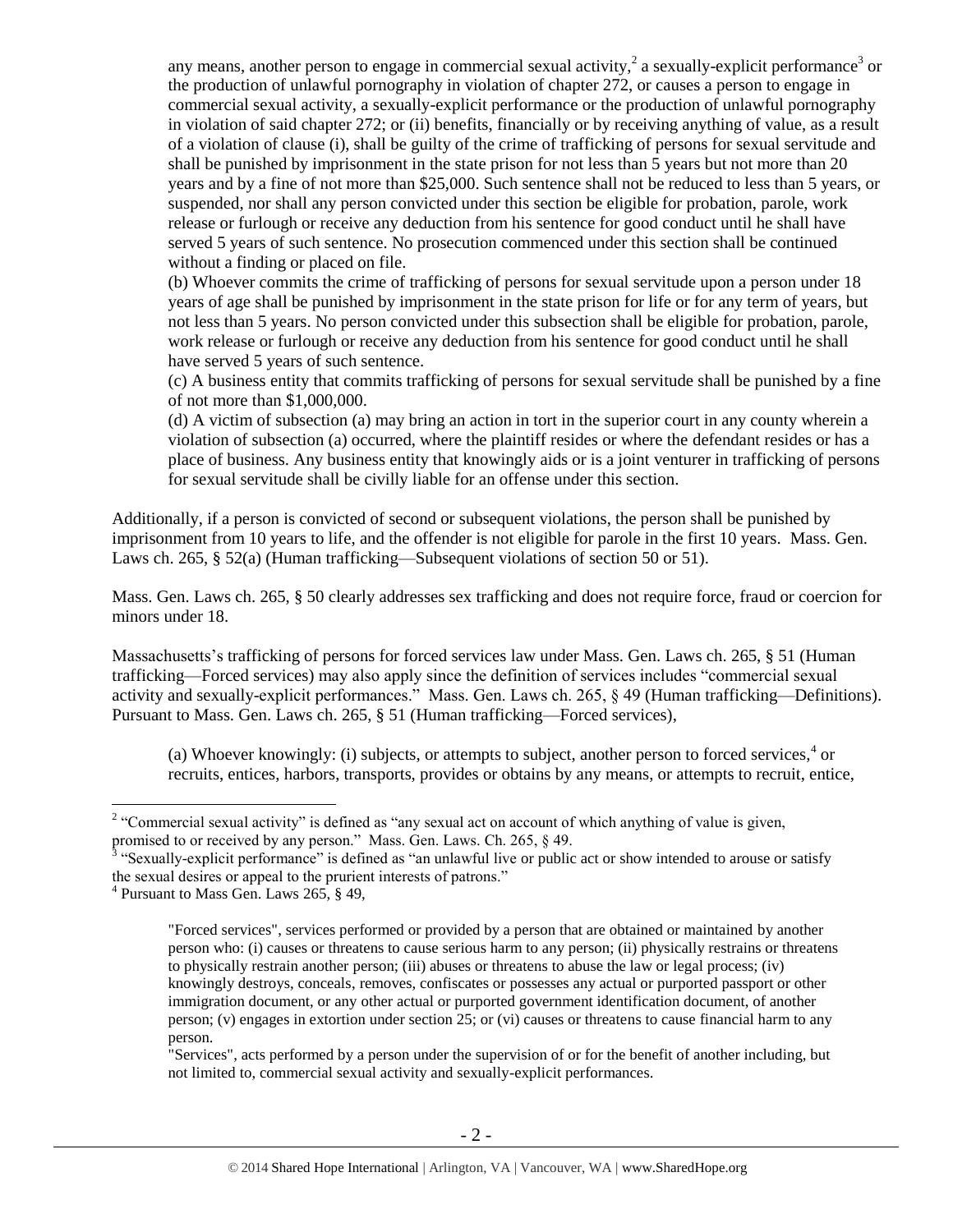any means, another person to engage in commercial sexual activity,  $2$  a sexually-explicit performance<sup>3</sup> or the production of unlawful pornography in violation of chapter 272, or causes a person to engage in commercial sexual activity, a sexually-explicit performance or the production of unlawful pornography in violation of said chapter 272; or (ii) benefits, financially or by receiving anything of value, as a result of a violation of clause (i), shall be guilty of the crime of trafficking of persons for sexual servitude and shall be punished by imprisonment in the state prison for not less than 5 years but not more than 20 years and by a fine of not more than \$25,000. Such sentence shall not be reduced to less than 5 years, or suspended, nor shall any person convicted under this section be eligible for probation, parole, work release or furlough or receive any deduction from his sentence for good conduct until he shall have served 5 years of such sentence. No prosecution commenced under this section shall be continued without a finding or placed on file.

(b) Whoever commits the crime of trafficking of persons for sexual servitude upon a person under 18 years of age shall be punished by imprisonment in the state prison for life or for any term of years, but not less than 5 years. No person convicted under this subsection shall be eligible for probation, parole, work release or furlough or receive any deduction from his sentence for good conduct until he shall have served 5 years of such sentence.

(c) A business entity that commits trafficking of persons for sexual servitude shall be punished by a fine of not more than \$1,000,000.

(d) A victim of subsection (a) may bring an action in tort in the superior court in any county wherein a violation of subsection (a) occurred, where the plaintiff resides or where the defendant resides or has a place of business. Any business entity that knowingly aids or is a joint venturer in trafficking of persons for sexual servitude shall be civilly liable for an offense under this section.

Additionally, if a person is convicted of second or subsequent violations, the person shall be punished by imprisonment from 10 years to life, and the offender is not eligible for parole in the first 10 years. Mass. Gen. Laws ch. 265, § 52(a) (Human trafficking—Subsequent violations of section 50 or 51).

Mass. Gen. Laws ch. 265, § 50 clearly addresses sex trafficking and does not require force, fraud or coercion for minors under 18.

Massachusetts's trafficking of persons for forced services law under Mass. Gen. Laws ch. 265, § 51 (Human trafficking—Forced services) may also apply since the definition of services includes "commercial sexual activity and sexually-explicit performances." Mass. Gen. Laws ch. 265, § 49 (Human trafficking—Definitions). Pursuant to Mass. Gen. Laws ch. 265, § 51 (Human trafficking—Forced services),

(a) Whoever knowingly: (i) subjects, or attempts to subject, another person to forced services, $4$  or recruits, entices, harbors, transports, provides or obtains by any means, or attempts to recruit, entice,

 $\overline{a}$ 

"Services", acts performed by a person under the supervision of or for the benefit of another including, but not limited to, commercial sexual activity and sexually-explicit performances.

<sup>&</sup>lt;sup>2</sup> "Commercial sexual activity" is defined as "any sexual act on account of which anything of value is given,

promised to or received by any person." Mass. Gen. Laws. Ch. 265, § 49.<br><sup>3</sup> "Sexually-explicit performance" is defined as "an unlawful live or public act or show intended to arouse or satisfy the sexual desires or appeal to the prurient interests of patrons."

<sup>4</sup> Pursuant to Mass Gen. Laws 265, § 49,

<sup>&</sup>quot;Forced services", services performed or provided by a person that are obtained or maintained by another person who: (i) causes or threatens to cause serious harm to any person; (ii) physically restrains or threatens to physically restrain another person; (iii) abuses or threatens to abuse the law or legal process; (iv) knowingly destroys, conceals, removes, confiscates or possesses any actual or purported passport or other immigration document, or any other actual or purported government identification document, of another person; (v) engages in extortion under section 25; or (vi) causes or threatens to cause financial harm to any person.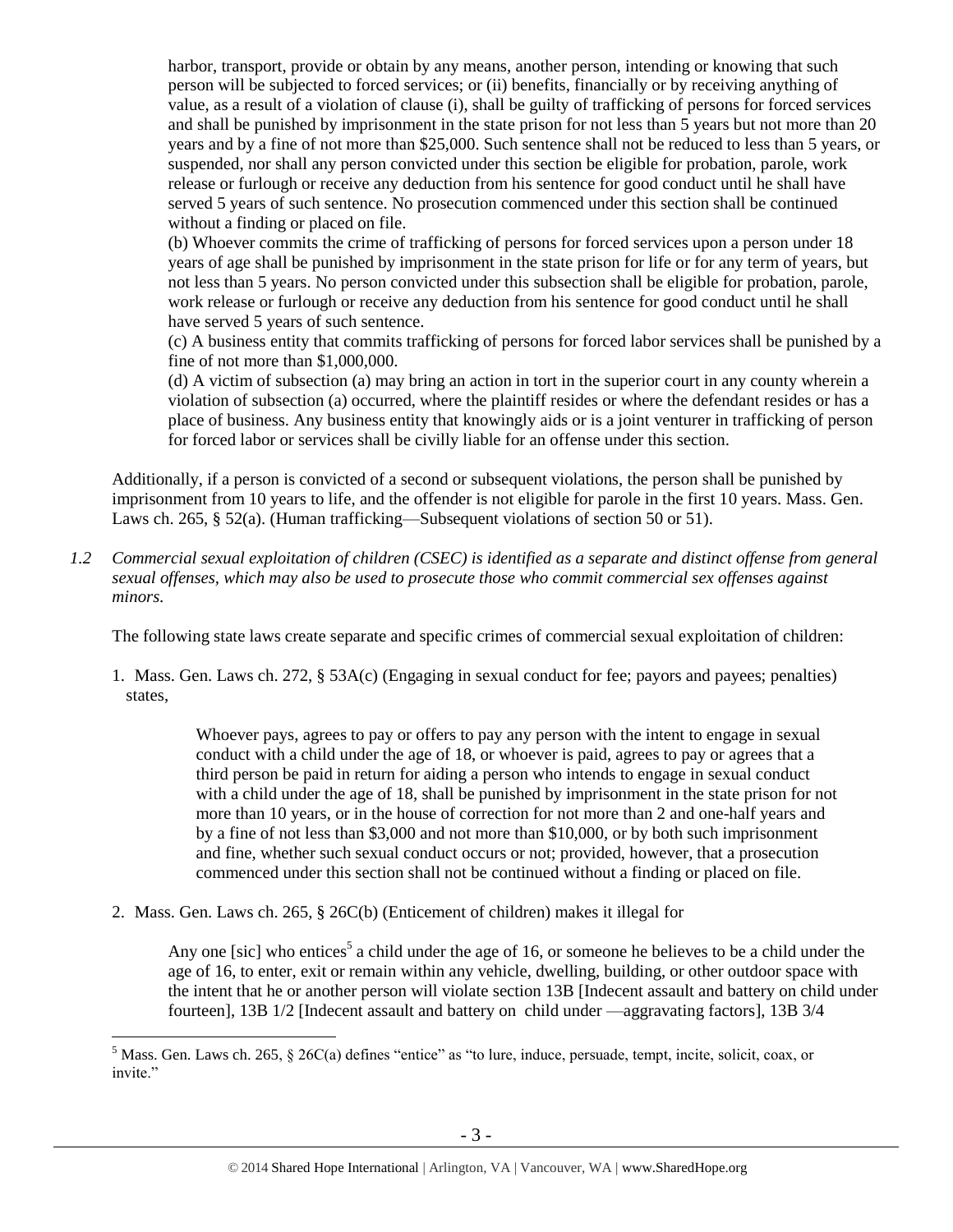harbor, transport, provide or obtain by any means, another person, intending or knowing that such person will be subjected to forced services; or (ii) benefits, financially or by receiving anything of value, as a result of a violation of clause (i), shall be guilty of trafficking of persons for forced services and shall be punished by imprisonment in the state prison for not less than 5 years but not more than 20 years and by a fine of not more than \$25,000. Such sentence shall not be reduced to less than 5 years, or suspended, nor shall any person convicted under this section be eligible for probation, parole, work release or furlough or receive any deduction from his sentence for good conduct until he shall have served 5 years of such sentence. No prosecution commenced under this section shall be continued without a finding or placed on file.

(b) Whoever commits the crime of trafficking of persons for forced services upon a person under 18 years of age shall be punished by imprisonment in the state prison for life or for any term of years, but not less than 5 years. No person convicted under this subsection shall be eligible for probation, parole, work release or furlough or receive any deduction from his sentence for good conduct until he shall have served 5 years of such sentence.

(c) A business entity that commits trafficking of persons for forced labor services shall be punished by a fine of not more than \$1,000,000.

(d) A victim of subsection (a) may bring an action in tort in the superior court in any county wherein a violation of subsection (a) occurred, where the plaintiff resides or where the defendant resides or has a place of business. Any business entity that knowingly aids or is a joint venturer in trafficking of person for forced labor or services shall be civilly liable for an offense under this section.

Additionally, if a person is convicted of a second or subsequent violations, the person shall be punished by imprisonment from 10 years to life, and the offender is not eligible for parole in the first 10 years. Mass. Gen. Laws ch. 265, § 52(a). (Human trafficking—Subsequent violations of section 50 or 51).

*1.2 Commercial sexual exploitation of children (CSEC) is identified as a separate and distinct offense from general sexual offenses, which may also be used to prosecute those who commit commercial sex offenses against minors.*

The following state laws create separate and specific crimes of commercial sexual exploitation of children:

1. Mass. Gen. Laws ch. 272, § 53A(c) (Engaging in sexual conduct for fee; payors and payees; penalties) states,

> Whoever pays, agrees to pay or offers to pay any person with the intent to engage in sexual conduct with a child under the age of 18, or whoever is paid, agrees to pay or agrees that a third person be paid in return for aiding a person who intends to engage in sexual conduct with a child under the age of 18, shall be punished by imprisonment in the state prison for not more than 10 years, or in the house of correction for not more than 2 and one-half years and by a fine of not less than \$3,000 and not more than \$10,000, or by both such imprisonment and fine, whether such sexual conduct occurs or not; provided, however, that a prosecution commenced under this section shall not be continued without a finding or placed on file.

2. Mass. Gen. Laws ch. 265, § 26C(b) (Enticement of children) makes it illegal for

 $\overline{a}$ 

<span id="page-2-0"></span>Any one [sic] who entices<sup>5</sup> a child under the age of 16, or someone he believes to be a child under the age of 16, to enter, exit or remain within any vehicle, dwelling, building, or other outdoor space with the intent that he or another person will violate section 13B [Indecent assault and battery on child under fourteen], 13B 1/2 [Indecent assault and battery on child under —aggravating factors], 13B 3/4

<sup>&</sup>lt;sup>5</sup> Mass. Gen. Laws ch. 265, § 26C(a) defines "entice" as "to lure, induce, persuade, tempt, incite, solicit, coax, or invite."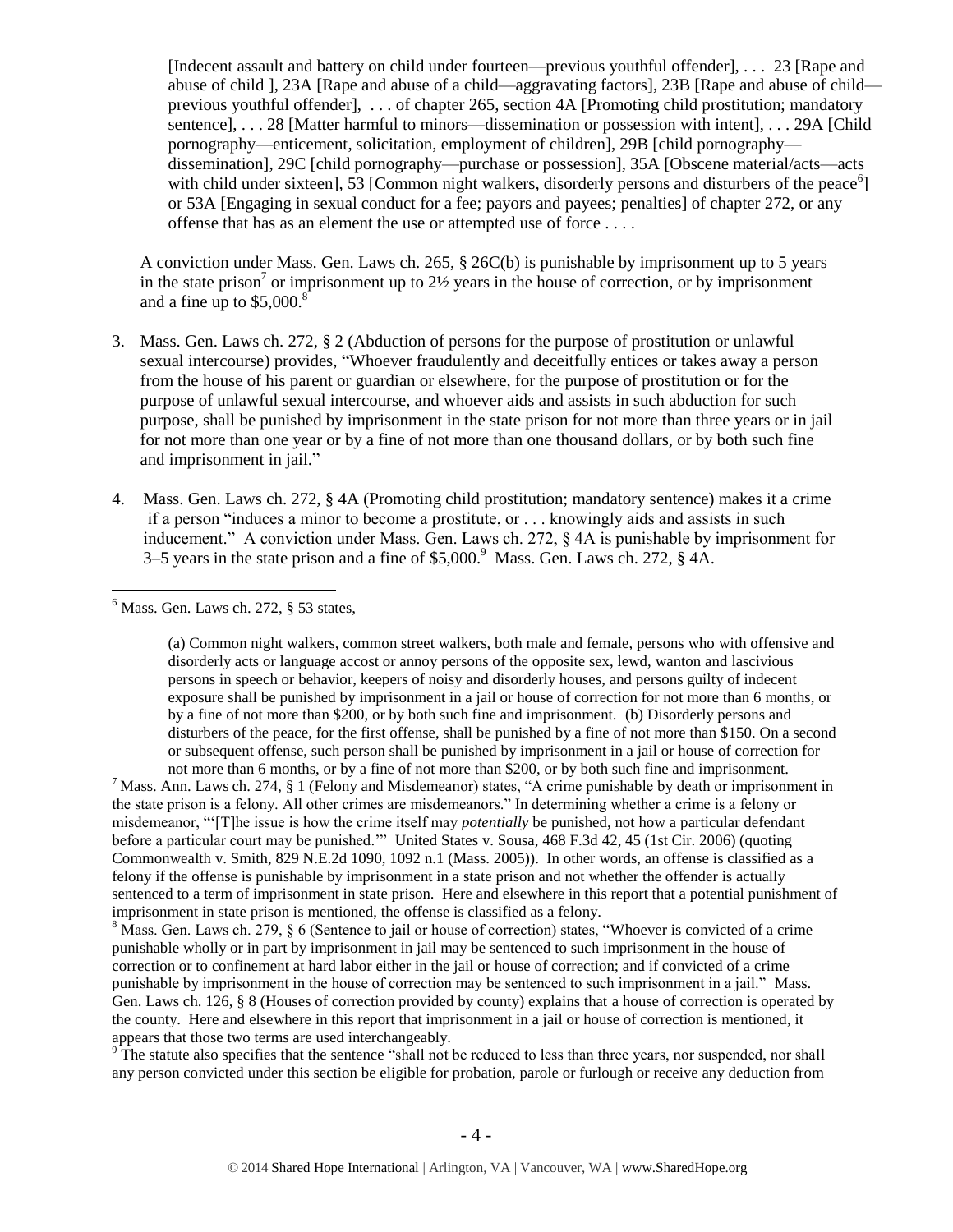[Indecent assault and battery on child under fourteen—previous youthful offender], . . . 23 [Rape and abuse of child ], 23A [Rape and abuse of a child—aggravating factors], 23B [Rape and abuse of child previous youthful offender], . . . of chapter 265, section 4A [Promoting child prostitution; mandatory sentence], . . . 28 [Matter harmful to minors—dissemination or possession with intent], . . . 29A [Child] pornography—enticement, solicitation, employment of children], 29B [child pornography dissemination], 29C [child pornography—purchase or possession], 35A [Obscene material/acts—acts with child under sixteen],  $\overline{53}$  [Common night walkers, disorderly persons and disturbers of the peace<sup>6</sup>] or 53A [Engaging in sexual conduct for a fee; payors and payees; penalties] of chapter 272, or any offense that has as an element the use or attempted use of force . . . .

A conviction under Mass. Gen. Laws ch. 265, § 26C(b) is punishable by imprisonment up to 5 years in the state prison<sup>7</sup> or imprisonment up to  $2\frac{1}{2}$  years in the house of correction, or by imprisonment and a fine up to  $$5,000$ .<sup>8</sup>

- 3. Mass. Gen. Laws ch. 272, § 2 (Abduction of persons for the purpose of prostitution or unlawful sexual intercourse) provides, "Whoever fraudulently and deceitfully entices or takes away a person from the house of his parent or guardian or elsewhere, for the purpose of prostitution or for the purpose of unlawful sexual intercourse, and whoever aids and assists in such abduction for such purpose, shall be punished by imprisonment in the state prison for not more than three years or in jail for not more than one year or by a fine of not more than one thousand dollars, or by both such fine and imprisonment in jail."
- 4. Mass. Gen. Laws ch. 272, § 4A (Promoting child prostitution; mandatory sentence) makes it a crime if a person "induces a minor to become a prostitute, or . . . knowingly aids and assists in such inducement." A conviction under Mass. Gen. Laws ch. 272, § 4A is punishable by imprisonment for 3–5 years in the state prison and a fine of  $$5,000$ . Mass. Gen. Laws ch. 272,  $§$  4A.

 $\overline{a}$  $<sup>6</sup>$  Mass. Gen. Laws ch. 272,  $§$  53 states,</sup>

> (a) Common night walkers, common street walkers, both male and female, persons who with offensive and disorderly acts or language accost or annoy persons of the opposite sex, lewd, wanton and lascivious persons in speech or behavior, keepers of noisy and disorderly houses, and persons guilty of indecent exposure shall be punished by imprisonment in a jail or house of correction for not more than 6 months, or by a fine of not more than \$200, or by both such fine and imprisonment. (b) Disorderly persons and disturbers of the peace, for the first offense, shall be punished by a fine of not more than \$150. On a second or subsequent offense, such person shall be punished by imprisonment in a jail or house of correction for not more than 6 months, or by a fine of not more than \$200, or by both such fine and imprisonment.

<sup>7</sup> Mass. Ann. Laws ch. 274, § 1 (Felony and Misdemeanor) states, "A crime punishable by death or imprisonment in the state prison is a felony. All other crimes are misdemeanors." In determining whether a crime is a felony or misdemeanor, "'[T]he issue is how the crime itself may *potentially* be punished, not how a particular defendant before a particular court may be punished.'"United States v. Sousa, 468 F.3d 42, 45 (1st Cir. 2006) (quoting Commonwealth v. Smith, 829 N.E.2d 1090, 1092 n.1 (Mass. 2005)). In other words, an offense is classified as a felony if the offense is punishable by imprisonment in a state prison and not whether the offender is actually sentenced to a term of imprisonment in state prison. Here and elsewhere in this report that a potential punishment of imprisonment in state prison is mentioned, the offense is classified as a felony.

 $8$  Mass. Gen. Laws ch. 279,  $\S 6$  (Sentence to jail or house of correction) states, "Whoever is convicted of a crime punishable wholly or in part by imprisonment in jail may be sentenced to such imprisonment in the house of correction or to confinement at hard labor either in the jail or house of correction; and if convicted of a crime punishable by imprisonment in the house of correction may be sentenced to such imprisonment in a jail." Mass. Gen. Laws ch. 126, § 8 (Houses of correction provided by county) explains that a house of correction is operated by the county. Here and elsewhere in this report that imprisonment in a jail or house of correction is mentioned, it appears that those two terms are used interchangeably.

<sup>9</sup>The statute also specifies that the sentence "shall not be reduced to less than three years, nor suspended, nor shall any person convicted under this section be eligible for probation, parole or furlough or receive any deduction from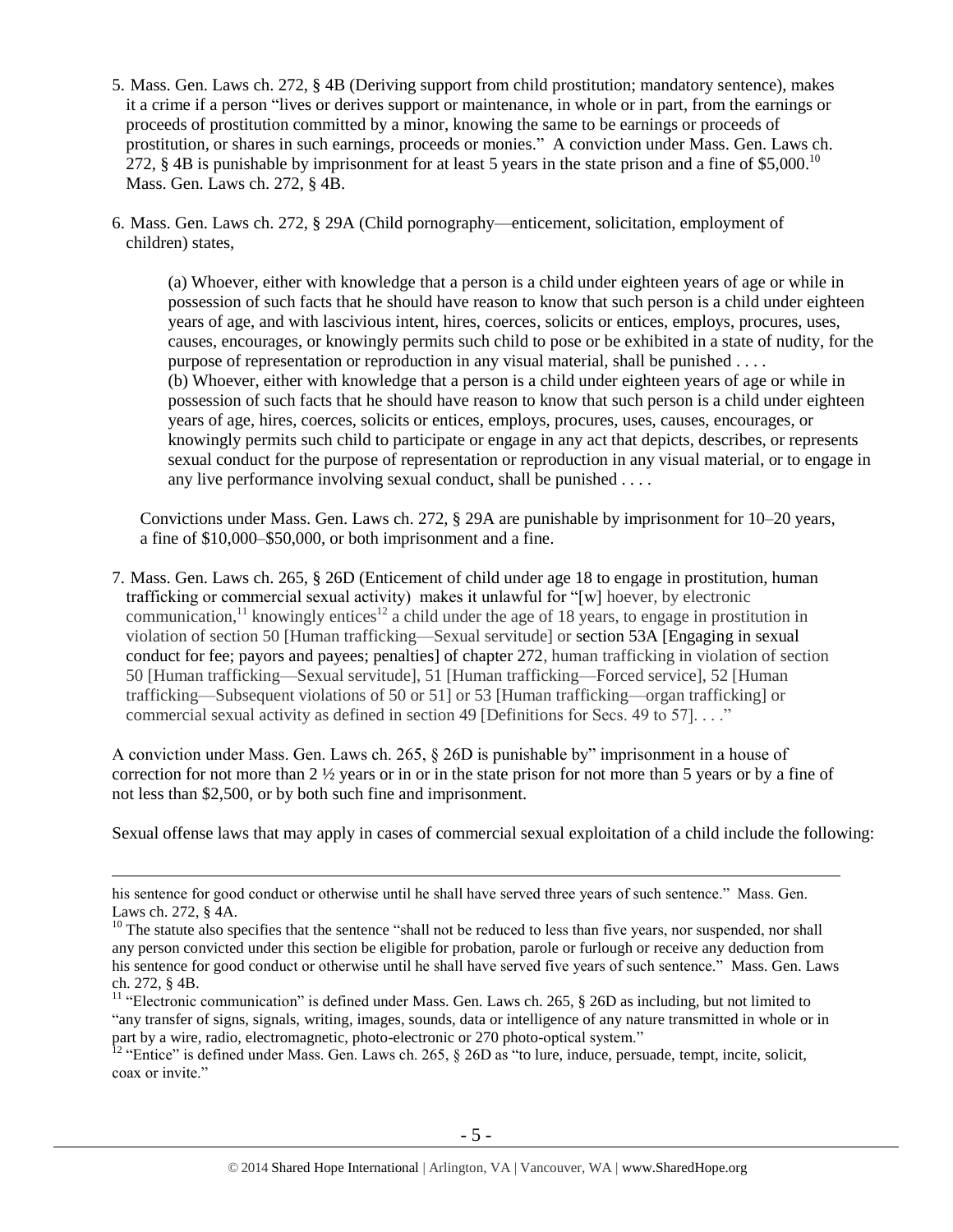- 5. Mass. Gen. Laws ch. 272, § 4B (Deriving support from child prostitution; mandatory sentence), makes it a crime if a person "lives or derives support or maintenance, in whole or in part, from the earnings or proceeds of prostitution committed by a minor, knowing the same to be earnings or proceeds of prostitution, or shares in such earnings, proceeds or monies." A conviction under Mass. Gen. Laws ch. 272,  $\S$  4B is punishable by imprisonment for at least 5 years in the state prison and a fine of  $\S$ 5,000.<sup>10</sup> Mass. Gen. Laws ch. 272, § 4B.
- 6. Mass. Gen. Laws ch. 272, § 29A (Child pornography—enticement, solicitation, employment of children) states,

(a) Whoever, either with knowledge that a person is a child under eighteen years of age or while in possession of such facts that he should have reason to know that such person is a child under eighteen years of age, and with lascivious intent, hires, coerces, solicits or entices, employs, procures, uses, causes, encourages, or knowingly permits such child to pose or be exhibited in a state of nudity, for the purpose of representation or reproduction in any visual material, shall be punished . . . . (b) Whoever, either with knowledge that a person is a child under eighteen years of age or while in possession of such facts that he should have reason to know that such person is a child under eighteen years of age, hires, coerces, solicits or entices, employs, procures, uses, causes, encourages, or knowingly permits such child to participate or engage in any act that depicts, describes, or represents sexual conduct for the purpose of representation or reproduction in any visual material, or to engage in any live performance involving sexual conduct, shall be punished . . . .

Convictions under Mass. Gen. Laws ch. 272, § 29A are punishable by imprisonment for 10–20 years, a fine of \$10,000–\$50,000, or both imprisonment and a fine.

7. Mass. Gen. Laws ch. 265, § 26D (Enticement of child under age 18 to engage in prostitution, human trafficking or commercial sexual activity) makes it unlawful for "[w] hoever, by electronic communication,<sup>11</sup> knowingly entices<sup>12</sup> a child under the age of 18 years, to engage in prostitution in violation of section 50 [Human trafficking—Sexual servitude] or section 53A [Engaging in sexual conduct for fee; payors and payees; penalties] of chapter 272, human trafficking in violation of section 50 [Human trafficking—Sexual servitude], 51 [Human trafficking—Forced service], 52 [Human trafficking—Subsequent violations of 50 or 51] or 53 [Human trafficking—organ trafficking] or commercial sexual activity as defined in section 49 [Definitions for Secs. 49 to 57].......

A conviction under Mass. Gen. Laws ch. 265, § 26D is punishable by" imprisonment in a house of correction for not more than 2 ½ years or in or in the state prison for not more than 5 years or by a fine of not less than \$2,500, or by both such fine and imprisonment.

Sexual offense laws that may apply in cases of commercial sexual exploitation of a child include the following:

 $\overline{a}$ 

<sup>12</sup> "Entice" is defined under Mass. Gen. Laws ch. 265,  $\S$  26D as "to lure, induce, persuade, tempt, incite, solicit, coax or invite."

his sentence for good conduct or otherwise until he shall have served three years of such sentence." Mass. Gen. Laws ch. 272, § 4A.

<sup>&</sup>lt;sup>10</sup> The statute also specifies that the sentence "shall not be reduced to less than five years, nor suspended, nor shall any person convicted under this section be eligible for probation, parole or furlough or receive any deduction from his sentence for good conduct or otherwise until he shall have served five years of such sentence." Mass. Gen. Laws ch. 272, § 4B.

<sup>&</sup>lt;sup>11</sup> "Electronic communication" is defined under Mass. Gen. Laws ch. 265, § 26D as including, but not limited to "any transfer of signs, signals, writing, images, sounds, data or intelligence of any nature transmitted in whole or in part by a wire, radio, electromagnetic, photo-electronic or 270 photo-optical system."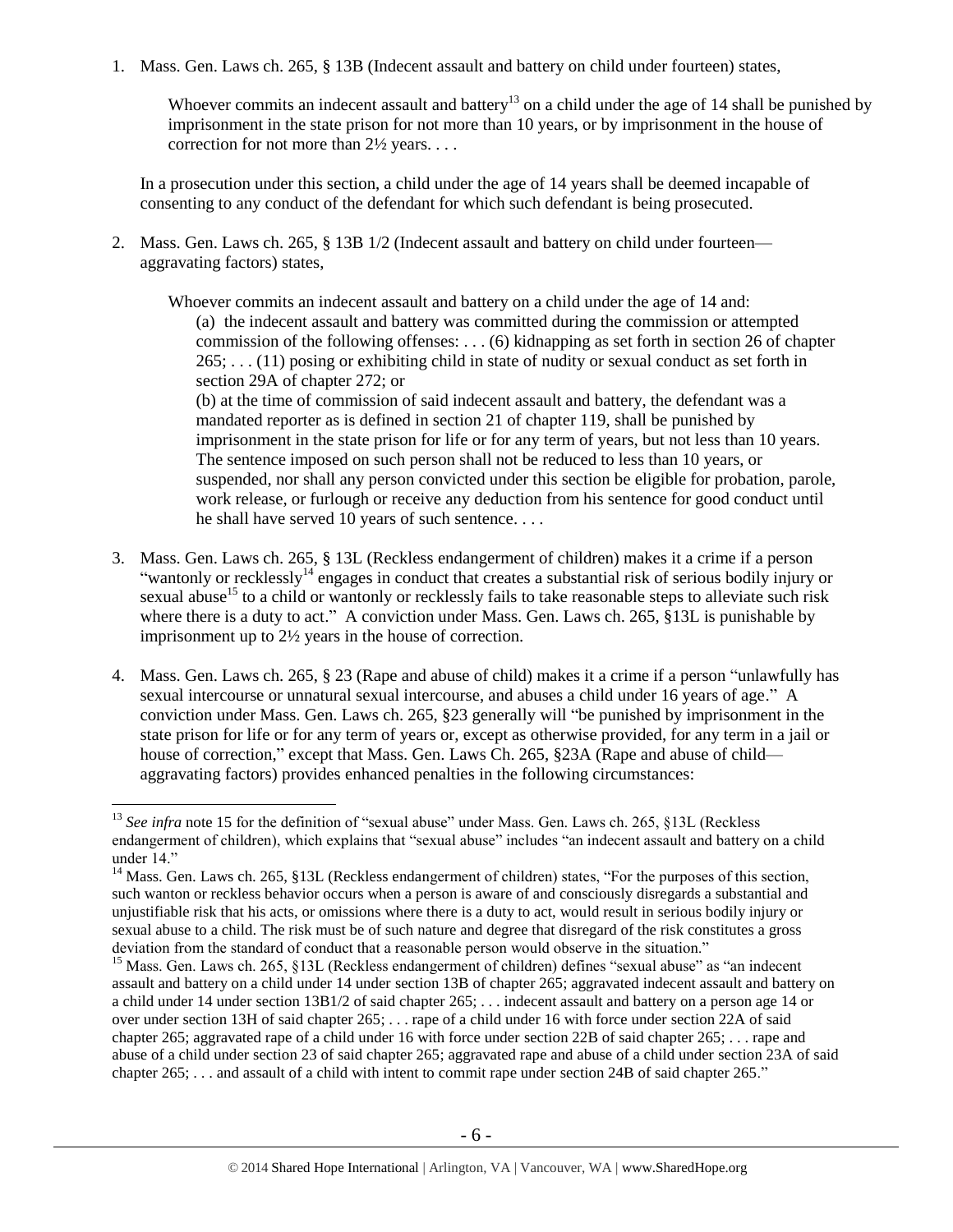1. Mass. Gen. Laws ch. 265, § 13B (Indecent assault and battery on child under fourteen) states,

Whoever commits an indecent assault and battery<sup>13</sup> on a child under the age of 14 shall be punished by imprisonment in the state prison for not more than 10 years, or by imprisonment in the house of correction for not more than 2½ years. . . .

In a prosecution under this section, a child under the age of 14 years shall be deemed incapable of consenting to any conduct of the defendant for which such defendant is being prosecuted.

2. Mass. Gen. Laws ch. 265, § 13B 1/2 (Indecent assault and battery on child under fourteen aggravating factors) states,

Whoever commits an indecent assault and battery on a child under the age of 14 and: (a) the indecent assault and battery was committed during the commission or attempted commission of the following offenses: . . . (6) kidnapping as set forth in [section 26 of chapter](https://www.lexis.com/research/buttonTFLink?_m=8378ebcba54bab51be39e9308c539334&_xfercite=%3ccite%20cc%3d%22USA%22%3e%3c%21%5bCDATA%5bALM%20GL%20ch.%20265%2c%20%a7%2013B1%2f2%5d%5d%3e%3c%2fcite%3e&_butType=4&_butStat=0&_butNum=7&_butInline=1&_butinfo=MACODE%20265%2026&_fmtstr=FULL&docnum=1&_startdoc=1&wchp=dGLzVzV-zSkAA&_md5=21ba39cb29b4c0f837ad361861d47ea3)   $265$ ; . . . (11) posing or exhibiting child in state of nudity or sexual conduct as set forth in [section 29A of chapter 272;](https://www.lexis.com/research/buttonTFLink?_m=8378ebcba54bab51be39e9308c539334&_xfercite=%3ccite%20cc%3d%22USA%22%3e%3c%21%5bCDATA%5bALM%20GL%20ch.%20265%2c%20%a7%2013B1%2f2%5d%5d%3e%3c%2fcite%3e&_butType=4&_butStat=0&_butNum=12&_butInline=1&_butinfo=MACODE%20272%2029A&_fmtstr=FULL&docnum=1&_startdoc=1&wchp=dGLzVzV-zSkAA&_md5=5c7d23950a2e1a720754511c5cc83006) or

(b) at the time of commission of said indecent assault and battery, the defendant was a mandated reporter as is defined in [section 21 of chapter 119,](https://www.lexis.com/research/buttonTFLink?_m=8378ebcba54bab51be39e9308c539334&_xfercite=%3ccite%20cc%3d%22USA%22%3e%3c%21%5bCDATA%5bALM%20GL%20ch.%20265%2c%20%a7%2013B1%2f2%5d%5d%3e%3c%2fcite%3e&_butType=4&_butStat=0&_butNum=13&_butInline=1&_butinfo=MACODE%20119%2021&_fmtstr=FULL&docnum=1&_startdoc=1&wchp=dGLzVzV-zSkAA&_md5=6d2dc8482bb7444b67dc63849e69242a) shall be punished by imprisonment in the state prison for life or for any term of years, but not less than 10 years. The sentence imposed on such person shall not be reduced to less than 10 years, or suspended, nor shall any person convicted under this section be eligible for probation, parole, work release, or furlough or receive any deduction from his sentence for good conduct until he shall have served 10 years of such sentence. . . .

- <span id="page-5-0"></span>3. Mass. Gen. Laws ch. 265, § 13L (Reckless endangerment of children) makes it a crime if a person "wantonly or recklessly<sup>14</sup> engages in conduct that creates a substantial risk of serious bodily injury or sexual abuse<sup>15</sup> to a child or wantonly or recklessly fails to take reasonable steps to alleviate such risk where there is a duty to act." A conviction under Mass. Gen. Laws ch. 265, §13L is punishable by imprisonment up to 2½ years in the house of correction.
- 4. Mass. Gen. Laws ch. 265, § 23 (Rape and abuse of child) makes it a crime if a person "unlawfully has sexual intercourse or unnatural sexual intercourse, and abuses a child under 16 years of age." A conviction under Mass. Gen. Laws ch. 265, §23 generally will "be punished by imprisonment in the state prison for life or for any term of years or, except as otherwise provided, for any term in a jail or house of correction," except that Mass. Gen. Laws Ch. 265, §23A (Rape and abuse of child aggravating factors) provides enhanced penalties in the following circumstances:

<sup>&</sup>lt;sup>13</sup> See infra note [15](#page-5-0) for the definition of "sexual abuse" under Mass. Gen. Laws ch. 265, §13L (Reckless endangerment of children), which explains that "sexual abuse" includes "an indecent assault and battery on a child under 14."

<sup>&</sup>lt;sup>14</sup> Mass. Gen. Laws ch. 265, §13L (Reckless endangerment of children) states, "For the purposes of this section, such wanton or reckless behavior occurs when a person is aware of and consciously disregards a substantial and unjustifiable risk that his acts, or omissions where there is a duty to act, would result in serious bodily injury or sexual abuse to a child. The risk must be of such nature and degree that disregard of the risk constitutes a gross deviation from the standard of conduct that a reasonable person would observe in the situation."

<sup>&</sup>lt;sup>15</sup> Mass. Gen. Laws ch. 265, §13L (Reckless endangerment of children) defines "sexual abuse" as "an indecent assault and battery on a child under 14 under [section 13B of chapter 265;](https://www.lexis.com/research/buttonTFLink?_m=8feec5767fa1b7399637bee2c26b0983&_xfercite=%3ccite%20cc%3d%22USA%22%3e%3c%21%5bCDATA%5bALM%20GL%20ch.%20265%2c%20%a7%2013L%5d%5d%3e%3c%2fcite%3e&_butType=4&_butStat=0&_butNum=2&_butInline=1&_butinfo=MACODE%20265%2013B&_fmtstr=FULL&docnum=1&_startdoc=1&wchp=dGLzVzB-zSkAl&_md5=a57a0e30bd41a2b57051961a40d228f1) aggravated indecent assault and battery on a child under 14 under [section 13B1/2 of said chapter 265;](https://www.lexis.com/research/buttonTFLink?_m=8feec5767fa1b7399637bee2c26b0983&_xfercite=%3ccite%20cc%3d%22USA%22%3e%3c%21%5bCDATA%5bALM%20GL%20ch.%20265%2c%20%a7%2013L%5d%5d%3e%3c%2fcite%3e&_butType=4&_butStat=0&_butNum=3&_butInline=1&_butinfo=MACODE%20265%2013B1%2f2&_fmtstr=FULL&docnum=1&_startdoc=1&wchp=dGLzVzB-zSkAl&_md5=8ccbb654d94eb994e58a4788f9ad1ef3) . . . indecent assault and battery on a person age 14 or over under [section 13H of said chapter 265;](https://www.lexis.com/research/buttonTFLink?_m=8feec5767fa1b7399637bee2c26b0983&_xfercite=%3ccite%20cc%3d%22USA%22%3e%3c%21%5bCDATA%5bALM%20GL%20ch.%20265%2c%20%a7%2013L%5d%5d%3e%3c%2fcite%3e&_butType=4&_butStat=0&_butNum=5&_butInline=1&_butinfo=MACODE%20265%2013H&_fmtstr=FULL&docnum=1&_startdoc=1&wchp=dGLzVzB-zSkAl&_md5=59fb5d8646e5a6b779c48d21ee461b30) . . . rape of a child under 16 with force under [section 22A of said](https://www.lexis.com/research/buttonTFLink?_m=8feec5767fa1b7399637bee2c26b0983&_xfercite=%3ccite%20cc%3d%22USA%22%3e%3c%21%5bCDATA%5bALM%20GL%20ch.%20265%2c%20%a7%2013L%5d%5d%3e%3c%2fcite%3e&_butType=4&_butStat=0&_butNum=7&_butInline=1&_butinfo=MACODE%20265%2022A&_fmtstr=FULL&docnum=1&_startdoc=1&wchp=dGLzVzB-zSkAl&_md5=056a4d689170268d8755fc2f315f024b)  [chapter 265;](https://www.lexis.com/research/buttonTFLink?_m=8feec5767fa1b7399637bee2c26b0983&_xfercite=%3ccite%20cc%3d%22USA%22%3e%3c%21%5bCDATA%5bALM%20GL%20ch.%20265%2c%20%a7%2013L%5d%5d%3e%3c%2fcite%3e&_butType=4&_butStat=0&_butNum=7&_butInline=1&_butinfo=MACODE%20265%2022A&_fmtstr=FULL&docnum=1&_startdoc=1&wchp=dGLzVzB-zSkAl&_md5=056a4d689170268d8755fc2f315f024b) aggravated rape of a child under 16 with force under [section 22B of said chapter 265;](https://www.lexis.com/research/buttonTFLink?_m=8feec5767fa1b7399637bee2c26b0983&_xfercite=%3ccite%20cc%3d%22USA%22%3e%3c%21%5bCDATA%5bALM%20GL%20ch.%20265%2c%20%a7%2013L%5d%5d%3e%3c%2fcite%3e&_butType=4&_butStat=0&_butNum=8&_butInline=1&_butinfo=MACODE%20265%2022B&_fmtstr=FULL&docnum=1&_startdoc=1&wchp=dGLzVzB-zSkAl&_md5=15eaa77d4e6b3940ed3df7ec96eeb6b2) . . . rape and abuse of a child under [section 23 of said chapter 265;](https://www.lexis.com/research/buttonTFLink?_m=8feec5767fa1b7399637bee2c26b0983&_xfercite=%3ccite%20cc%3d%22USA%22%3e%3c%21%5bCDATA%5bALM%20GL%20ch.%20265%2c%20%a7%2013L%5d%5d%3e%3c%2fcite%3e&_butType=4&_butStat=0&_butNum=10&_butInline=1&_butinfo=MACODE%20265%2023&_fmtstr=FULL&docnum=1&_startdoc=1&wchp=dGLzVzB-zSkAl&_md5=33b3fc652f708548088daef9fdb86605) aggravated rape and abuse of a child under [section 23A of said](https://www.lexis.com/research/buttonTFLink?_m=8feec5767fa1b7399637bee2c26b0983&_xfercite=%3ccite%20cc%3d%22USA%22%3e%3c%21%5bCDATA%5bALM%20GL%20ch.%20265%2c%20%a7%2013L%5d%5d%3e%3c%2fcite%3e&_butType=4&_butStat=0&_butNum=11&_butInline=1&_butinfo=MACODE%20265%2023A&_fmtstr=FULL&docnum=1&_startdoc=1&wchp=dGLzVzB-zSkAl&_md5=eafe50a72138b05532a7c2f052b26960)  [chapter 265;](https://www.lexis.com/research/buttonTFLink?_m=8feec5767fa1b7399637bee2c26b0983&_xfercite=%3ccite%20cc%3d%22USA%22%3e%3c%21%5bCDATA%5bALM%20GL%20ch.%20265%2c%20%a7%2013L%5d%5d%3e%3c%2fcite%3e&_butType=4&_butStat=0&_butNum=11&_butInline=1&_butinfo=MACODE%20265%2023A&_fmtstr=FULL&docnum=1&_startdoc=1&wchp=dGLzVzB-zSkAl&_md5=eafe50a72138b05532a7c2f052b26960) . . . and assault of a child with intent to commit rape under [section 24B of said chapter 265.](https://www.lexis.com/research/buttonTFLink?_m=8feec5767fa1b7399637bee2c26b0983&_xfercite=%3ccite%20cc%3d%22USA%22%3e%3c%21%5bCDATA%5bALM%20GL%20ch.%20265%2c%20%a7%2013L%5d%5d%3e%3c%2fcite%3e&_butType=4&_butStat=0&_butNum=14&_butInline=1&_butinfo=MACODE%20265%2024B&_fmtstr=FULL&docnum=1&_startdoc=1&wchp=dGLzVzB-zSkAl&_md5=8ce0fe61a974b8ce7b43d5a658f0c962)"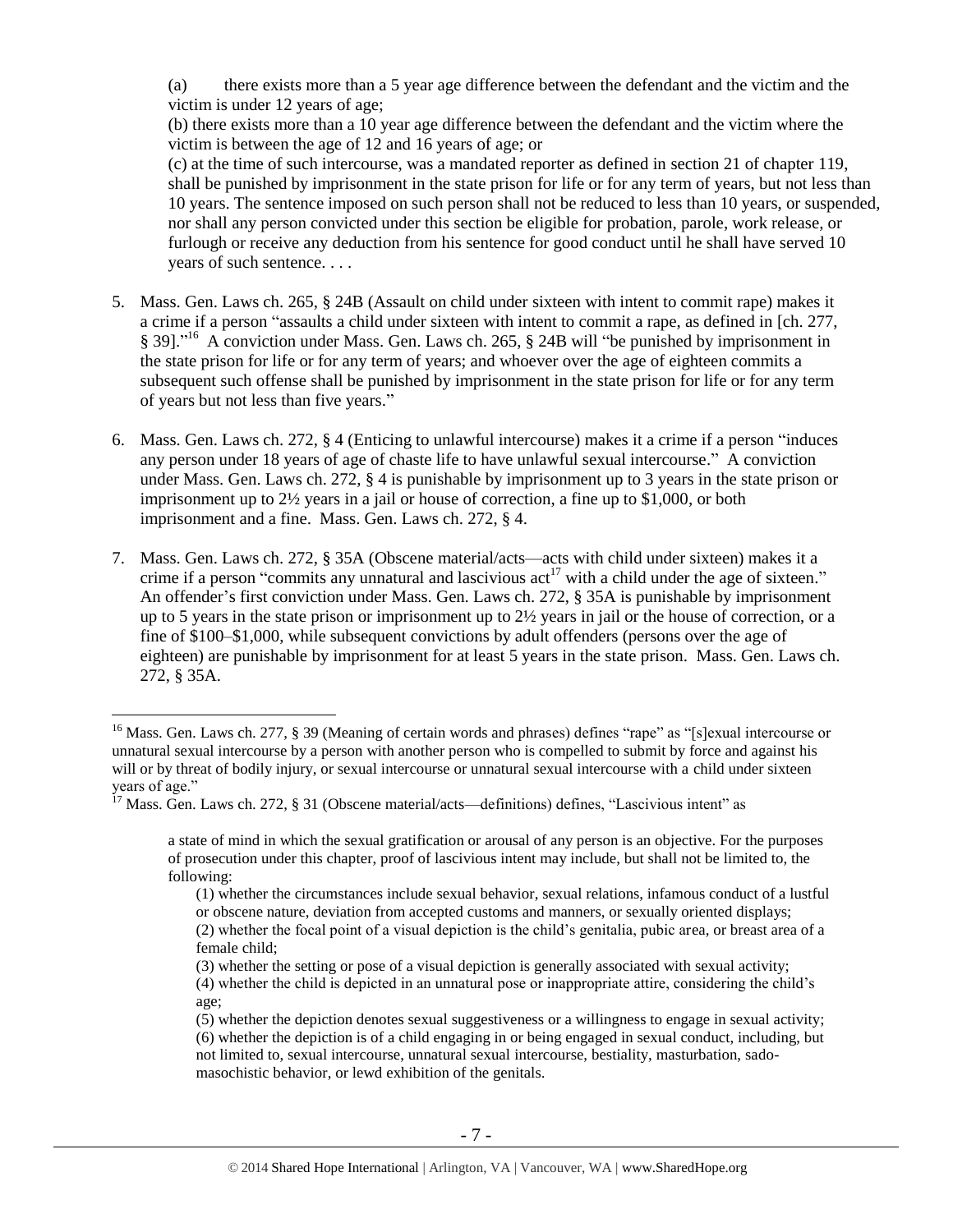(a) there exists more than a 5 year age difference between the defendant and the victim and the victim is under 12 years of age;

(b) there exists more than a 10 year age difference between the defendant and the victim where the victim is between the age of 12 and 16 years of age; or

(c) at the time of such intercourse, was a mandated reporter as defined in [section 21 of chapter 119,](https://www.lexis.com/research/buttonTFLink?_m=0c93665d56f2d939e64be662aa3dcd45&_xfercite=%3ccite%20cc%3d%22USA%22%3e%3c%21%5bCDATA%5bALM%20GL%20ch.%20265%2c%20%a7%2023A%5d%5d%3e%3c%2fcite%3e&_butType=4&_butStat=0&_butNum=2&_butInline=1&_butinfo=MACODE%20119%2021&_fmtstr=FULL&docnum=1&_startdoc=1&wchp=dGLzVzB-zSkAl&_md5=2918768be60ba0f93f8906240455a5dc) shall be punished by imprisonment in the state prison for life or for any term of years, but not less than 10 years. The sentence imposed on such person shall not be reduced to less than 10 years, or suspended, nor shall any person convicted under this section be eligible for probation, parole, work release, or furlough or receive any deduction from his sentence for good conduct until he shall have served 10 years of such sentence. . . .

- 5. Mass. Gen. Laws ch. 265, § 24B (Assault on child under sixteen with intent to commit rape) makes it a crime if a person "assaults a child under sixteen with intent to commit a rape, as defined in [ch. 277, § 39]."<sup>16</sup> A conviction under Mass. Gen. Laws ch. 265, § 24B will "be punished by imprisonment in the state prison for life or for any term of years; and whoever over the age of eighteen commits a subsequent such offense shall be punished by imprisonment in the state prison for life or for any term of years but not less than five years."
- 6. Mass. Gen. Laws ch. 272, § 4 (Enticing to unlawful intercourse) makes it a crime if a person "induces any person under 18 years of age of chaste life to have unlawful sexual intercourse." A conviction under Mass. Gen. Laws ch. 272, § 4 is punishable by imprisonment up to 3 years in the state prison or imprisonment up to 2½ years in a jail or house of correction, a fine up to \$1,000, or both imprisonment and a fine. Mass. Gen. Laws ch. 272, § 4.
- 7. Mass. Gen. Laws ch. 272, § 35A (Obscene material/acts—acts with child under sixteen) makes it a crime if a person "commits any unnatural and lascivious  $act<sup>17</sup>$  with a child under the age of sixteen." An offender's first conviction under Mass. Gen. Laws ch. 272, § 35A is punishable by imprisonment up to 5 years in the state prison or imprisonment up to 2½ years in jail or the house of correction, or a fine of \$100–\$1,000, while subsequent convictions by adult offenders (persons over the age of eighteen) are punishable by imprisonment for at least 5 years in the state prison. Mass. Gen. Laws ch. 272, § 35A.

<sup>&</sup>lt;sup>16</sup> Mass. Gen. Laws ch. 277, § 39 (Meaning of certain words and phrases) defines "rape" as "[s]exual intercourse or unnatural sexual intercourse by a person with another person who is compelled to submit by force and against his will or by threat of bodily injury, or sexual intercourse or unnatural sexual intercourse with a child under sixteen years of age."

 $17$  Mass. Gen. Laws ch. 272, § 31 (Obscene material/acts—definitions) defines, "Lascivious intent" as

a state of mind in which the sexual gratification or arousal of any person is an objective. For the purposes of prosecution under this chapter, proof of lascivious intent may include, but shall not be limited to, the following:

<sup>(1)</sup> whether the circumstances include sexual behavior, sexual relations, infamous conduct of a lustful or obscene nature, deviation from accepted customs and manners, or sexually oriented displays; (2) whether the focal point of a visual depiction is the child's genitalia, pubic area, or breast area of a female child;

<sup>(3)</sup> whether the setting or pose of a visual depiction is generally associated with sexual activity; (4) whether the child is depicted in an unnatural pose or inappropriate attire, considering the child's age;

<sup>(5)</sup> whether the depiction denotes sexual suggestiveness or a willingness to engage in sexual activity; (6) whether the depiction is of a child engaging in or being engaged in sexual conduct, including, but not limited to, sexual intercourse, unnatural sexual intercourse, bestiality, masturbation, sadomasochistic behavior, or lewd exhibition of the genitals.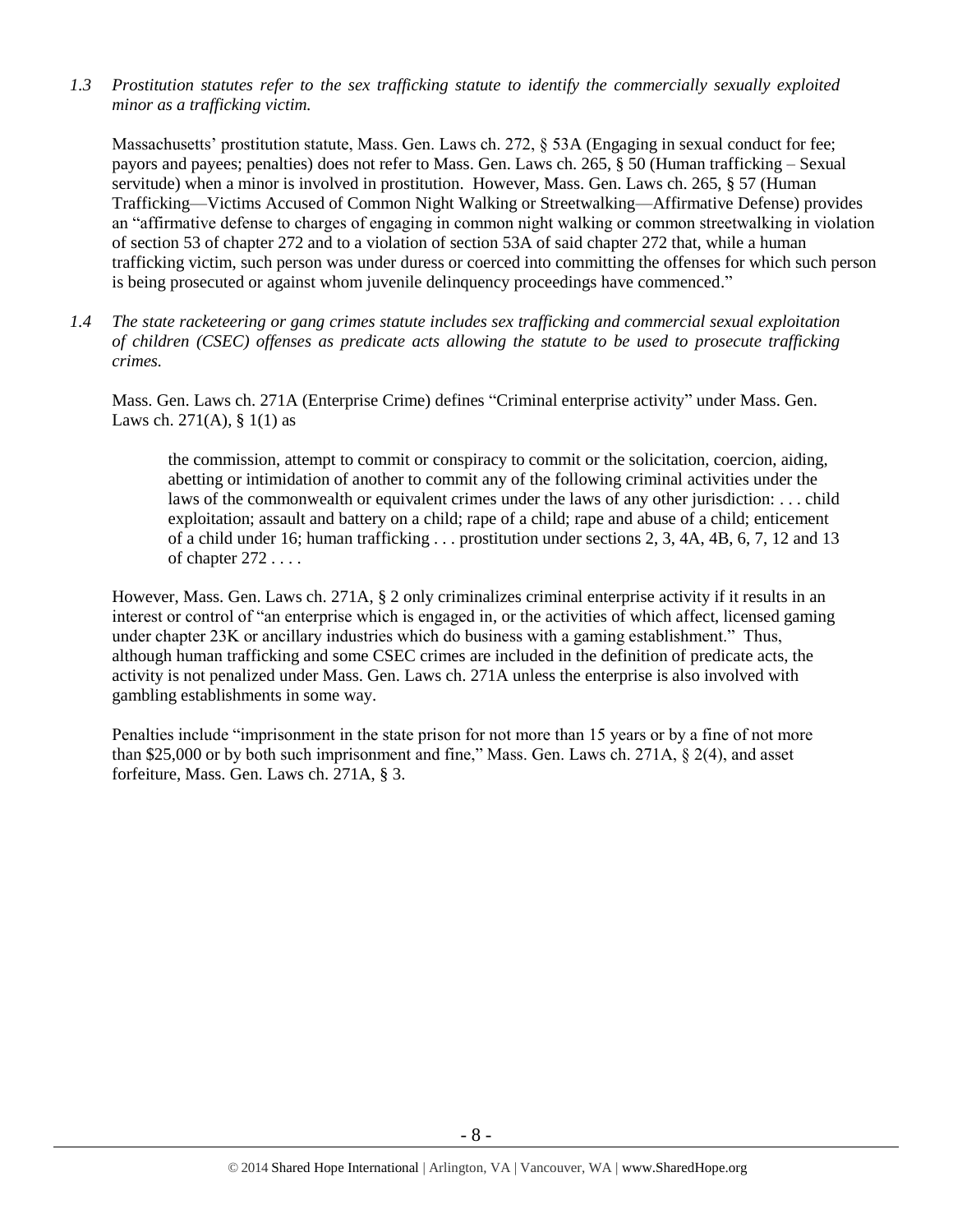*1.3 Prostitution statutes refer to the sex trafficking statute to identify the commercially sexually exploited minor as a trafficking victim.* 

Massachusetts' prostitution statute, Mass. Gen. Laws ch. 272, § 53A (Engaging in sexual conduct for fee; payors and payees; penalties) does not refer to Mass. Gen. Laws ch. 265, § 50 (Human trafficking – Sexual servitude) when a minor is involved in prostitution. However, Mass. Gen. Laws ch. 265, § 57 (Human Trafficking—Victims Accused of Common Night Walking or Streetwalking—Affirmative Defense) provides an "affirmative defense to charges of engaging in common night walking or common streetwalking in violation of section 53 of chapter 272 and to a violation of section 53A of said chapter 272 that, while a human trafficking victim, such person was under duress or coerced into committing the offenses for which such person is being prosecuted or against whom juvenile delinquency proceedings have commenced."

*1.4 The state racketeering or gang crimes statute includes sex trafficking and commercial sexual exploitation of children (CSEC) offenses as predicate acts allowing the statute to be used to prosecute trafficking crimes.* 

Mass. Gen. Laws ch. 271A (Enterprise Crime) defines "Criminal enterprise activity" under Mass. Gen. Laws ch. 271(A),  $\S$  1(1) as

the commission, attempt to commit or conspiracy to commit or the solicitation, coercion, aiding, abetting or intimidation of another to commit any of the following criminal activities under the laws of the commonwealth or equivalent crimes under the laws of any other jurisdiction: . . . child exploitation; assault and battery on a child; rape of a child; rape and abuse of a child; enticement of a child under 16; human trafficking . . . prostitution under sections 2, 3, 4A, 4B, 6, 7, 12 and 13 of chapter 272 . . . .

However, Mass. Gen. Laws ch. 271A, § 2 only criminalizes criminal enterprise activity if it results in an interest or control of "an enterprise which is engaged in, or the activities of which affect, licensed gaming under chapter 23K or ancillary industries which do business with a gaming establishment." Thus, although human trafficking and some CSEC crimes are included in the definition of predicate acts, the activity is not penalized under Mass. Gen. Laws ch. 271A unless the enterprise is also involved with gambling establishments in some way.

Penalties include "imprisonment in the state prison for not more than 15 years or by a fine of not more than \$25,000 or by both such imprisonment and fine," Mass. Gen. Laws ch. 271A, § 2(4), and asset forfeiture, Mass. Gen. Laws ch. 271A, § 3.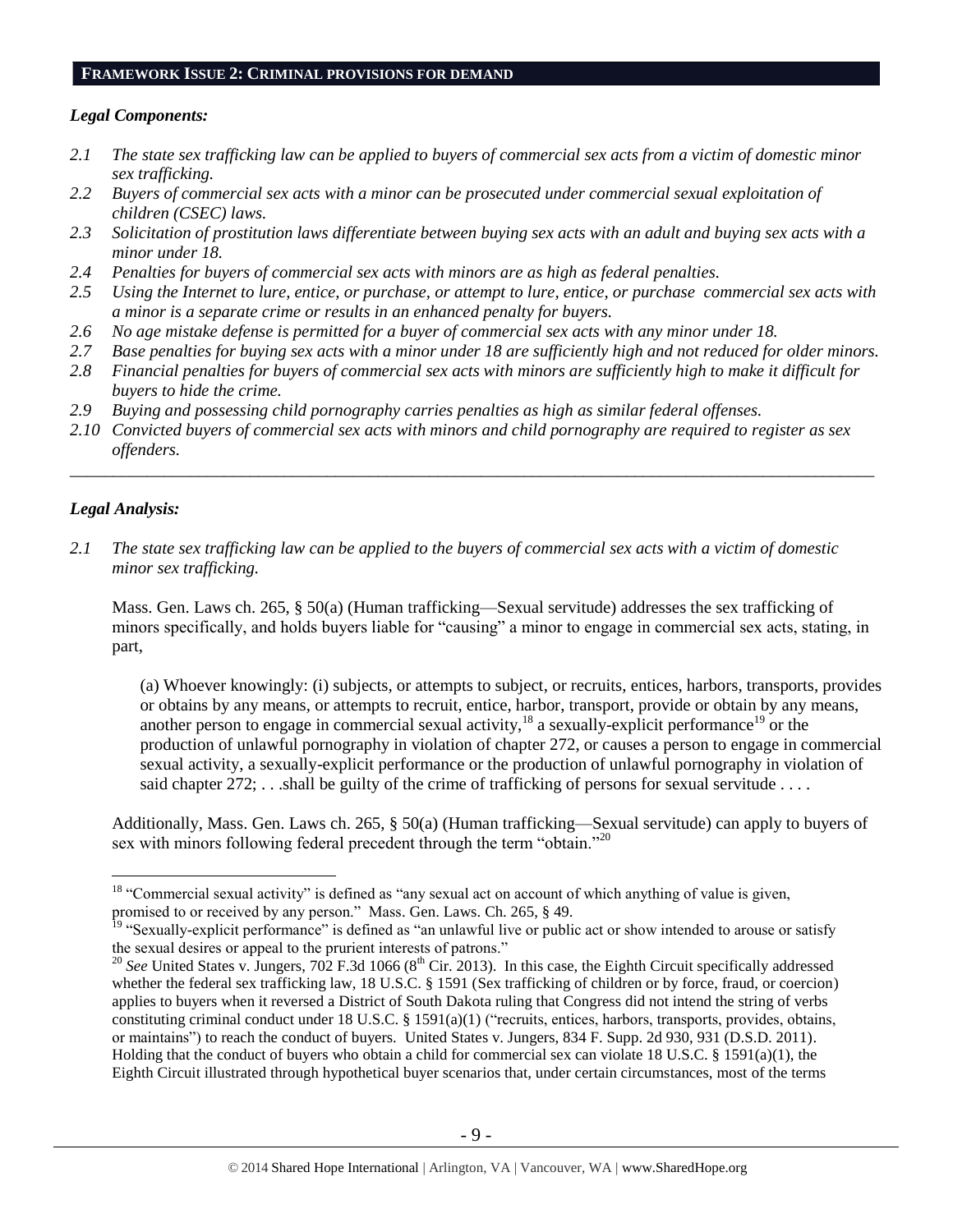#### **FRAMEWORK ISSUE 2: CRIMINAL PROVISIONS FOR DEMAND**

## *Legal Components:*

- *2.1 The state sex trafficking law can be applied to buyers of commercial sex acts from a victim of domestic minor sex trafficking.*
- *2.2 Buyers of commercial sex acts with a minor can be prosecuted under commercial sexual exploitation of children (CSEC) laws.*
- *2.3 Solicitation of prostitution laws differentiate between buying sex acts with an adult and buying sex acts with a minor under 18.*
- *2.4 Penalties for buyers of commercial sex acts with minors are as high as federal penalties.*
- *2.5 Using the Internet to lure, entice, or purchase, or attempt to lure, entice, or purchase commercial sex acts with a minor is a separate crime or results in an enhanced penalty for buyers.*
- *2.6 No age mistake defense is permitted for a buyer of commercial sex acts with any minor under 18.*
- *2.7 Base penalties for buying sex acts with a minor under 18 are sufficiently high and not reduced for older minors. 2.8 Financial penalties for buyers of commercial sex acts with minors are sufficiently high to make it difficult for*
- *buyers to hide the crime.*
- *2.9 Buying and possessing child pornography carries penalties as high as similar federal offenses.*
- *2.10 Convicted buyers of commercial sex acts with minors and child pornography are required to register as sex offenders.*

\_\_\_\_\_\_\_\_\_\_\_\_\_\_\_\_\_\_\_\_\_\_\_\_\_\_\_\_\_\_\_\_\_\_\_\_\_\_\_\_\_\_\_\_\_\_\_\_\_\_\_\_\_\_\_\_\_\_\_\_\_\_\_\_\_\_\_\_\_\_\_\_\_\_\_\_\_\_\_\_\_\_\_\_\_\_\_\_\_\_\_\_\_\_

# *Legal Analysis:*

 $\overline{a}$ 

*2.1 The state sex trafficking law can be applied to the buyers of commercial sex acts with a victim of domestic minor sex trafficking.*

Mass. Gen. Laws ch. 265, § 50(a) (Human trafficking—Sexual servitude) addresses the sex trafficking of minors specifically, and holds buyers liable for "causing" a minor to engage in commercial sex acts, stating, in part,

(a) Whoever knowingly: (i) subjects, or attempts to subject, or recruits, entices, harbors, transports, provides or obtains by any means, or attempts to recruit, entice, harbor, transport, provide or obtain by any means, another person to engage in commercial sexual activity,  $18$  a sexually-explicit performance<sup>19</sup> or the production of unlawful pornography in violation of chapter 272, or causes a person to engage in commercial sexual activity, a sexually-explicit performance or the production of unlawful pornography in violation of said chapter  $272$ ; ...shall be guilty of the crime of trafficking of persons for sexual servitude ...

Additionally, Mass. Gen. Laws ch. 265, § 50(a) (Human trafficking—Sexual servitude) can apply to buyers of sex with minors following federal precedent through the term "obtain."<sup>20</sup>

<sup>&</sup>lt;sup>18</sup> "Commercial sexual activity" is defined as "any sexual act on account of which anything of value is given, promised to or received by any person." Mass. Gen. Laws. Ch. 265, § 49.

<sup>&</sup>lt;sup>19</sup> "Sexually-explicit performance" is defined as "an unlawful live or public act or show intended to arouse or satisfy the sexual desires or appeal to the prurient interests of patrons."

 $20$  *See* United States v. Jungers, 702 F.3d 1066 ( $8<sup>th</sup>$  Cir. 2013). In this case, the Eighth Circuit specifically addressed whether the federal sex trafficking law, 18 U.S.C. § 1591 (Sex trafficking of children or by force, fraud, or coercion) applies to buyers when it reversed a District of South Dakota ruling that Congress did not intend the string of verbs constituting criminal conduct under 18 U.S.C. § 1591(a)(1) ("recruits, entices, harbors, transports, provides, obtains, or maintains") to reach the conduct of buyers. United States v. Jungers, 834 F. Supp. 2d 930, 931 (D.S.D. 2011). Holding that the conduct of buyers who obtain a child for commercial sex can violate 18 U.S.C. § 1591(a)(1), the Eighth Circuit illustrated through hypothetical buyer scenarios that, under certain circumstances, most of the terms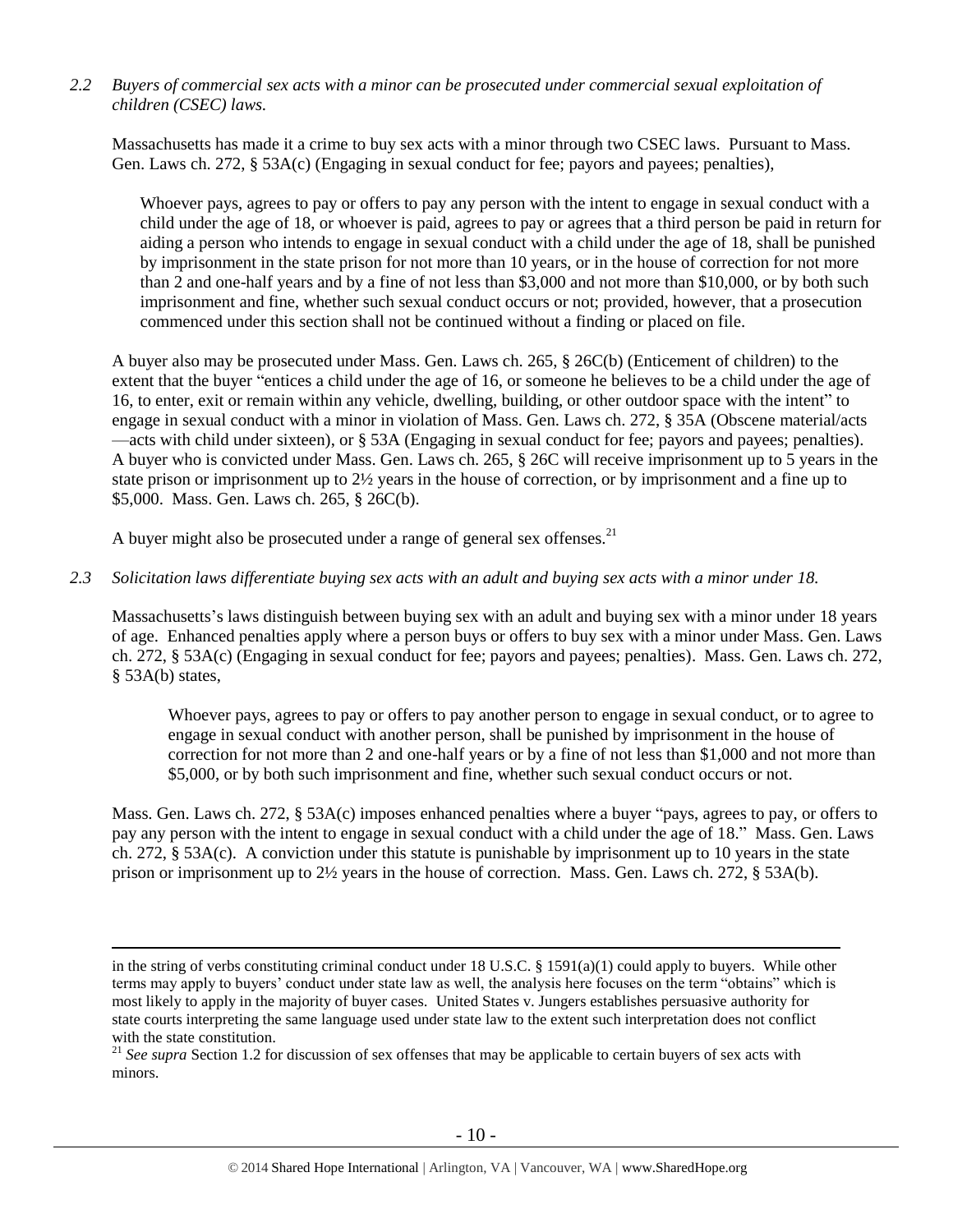*2.2 Buyers of commercial sex acts with a minor can be prosecuted under commercial sexual exploitation of children (CSEC) laws.*

Massachusetts has made it a crime to buy sex acts with a minor through two CSEC laws. Pursuant to Mass. Gen. Laws ch. 272, § 53A(c) (Engaging in sexual conduct for fee; payors and payees; penalties),

Whoever pays, agrees to pay or offers to pay any person with the intent to engage in sexual conduct with a child under the age of 18, or whoever is paid, agrees to pay or agrees that a third person be paid in return for aiding a person who intends to engage in sexual conduct with a child under the age of 18, shall be punished by imprisonment in the state prison for not more than 10 years, or in the house of correction for not more than 2 and one-half years and by a fine of not less than \$3,000 and not more than \$10,000, or by both such imprisonment and fine, whether such sexual conduct occurs or not; provided, however, that a prosecution commenced under this section shall not be continued without a finding or placed on file.

A buyer also may be prosecuted under Mass. Gen. Laws ch. 265, § 26C(b) (Enticement of children) to the extent that the buyer "entices a child under the age of 16, or someone he believes to be a child under the age of 16, to enter, exit or remain within any vehicle, dwelling, building, or other outdoor space with the intent" to engage in sexual conduct with a minor in violation of Mass. Gen. Laws ch. 272, § 35A (Obscene material/acts —acts with child under sixteen), or § 53A (Engaging in sexual conduct for fee; payors and payees; penalties). A buyer who is convicted under Mass. Gen. Laws ch. 265, § 26C will receive imprisonment up to 5 years in the state prison or imprisonment up to 2½ years in the house of correction, or by imprisonment and a fine up to \$5,000. Mass. Gen. Laws ch. 265, § 26C(b).

A buyer might also be prosecuted under a range of general sex offenses.<sup>21</sup>

 $\overline{a}$ 

#### *2.3 Solicitation laws differentiate buying sex acts with an adult and buying sex acts with a minor under 18.*

Massachusetts's laws distinguish between buying sex with an adult and buying sex with a minor under 18 years of age. Enhanced penalties apply where a person buys or offers to buy sex with a minor under Mass. Gen. Laws ch. 272, § 53A(c) (Engaging in sexual conduct for fee; payors and payees; penalties). Mass. Gen. Laws ch. 272, § 53A(b) states,

Whoever pays, agrees to pay or offers to pay another person to engage in sexual conduct, or to agree to engage in sexual conduct with another person, shall be punished by imprisonment in the house of correction for not more than 2 and one-half years or by a fine of not less than \$1,000 and not more than \$5,000, or by both such imprisonment and fine, whether such sexual conduct occurs or not.

Mass. Gen. Laws ch. 272, § 53A(c) imposes enhanced penalties where a buyer "pays, agrees to pay, or offers to pay any person with the intent to engage in sexual conduct with a child under the age of 18." Mass. Gen. Laws ch. 272, § 53A(c). A conviction under this statute is punishable by imprisonment up to 10 years in the state prison or imprisonment up to 2½ years in the house of correction. Mass. Gen. Laws ch. 272, § 53A(b).

in the string of verbs constituting criminal conduct under 18 U.S.C. § 1591(a)(1) could apply to buyers. While other terms may apply to buyers' conduct under state law as well, the analysis here focuses on the term "obtains" which is most likely to apply in the majority of buyer cases. United States v. Jungers establishes persuasive authority for state courts interpreting the same language used under state law to the extent such interpretation does not conflict with the state constitution.

<sup>&</sup>lt;sup>21</sup> See supra Section 1.2 for discussion of sex offenses that may be applicable to certain buyers of sex acts with minors.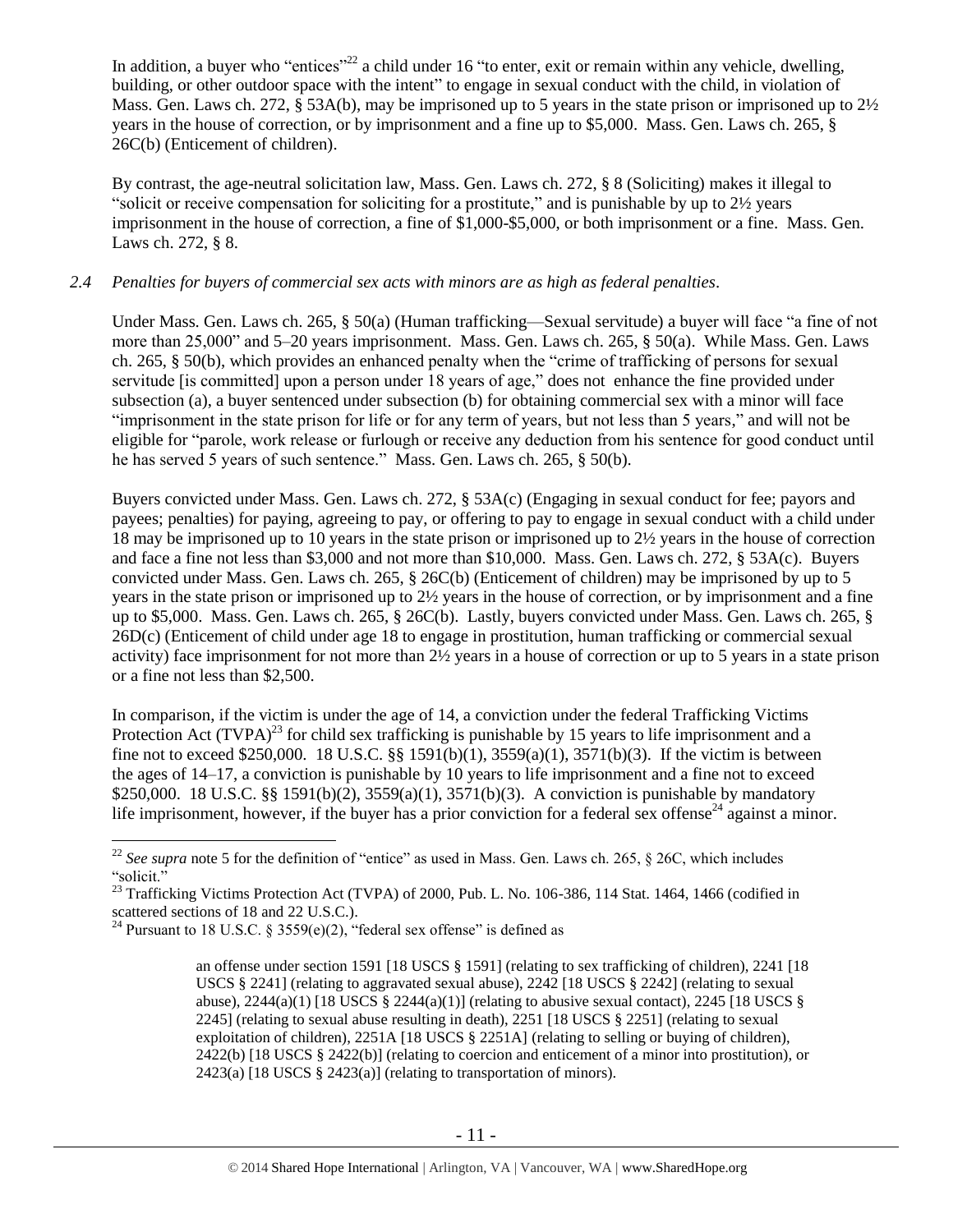In addition, a buyer who "entices"<sup>22</sup> a child under 16 "to enter, exit or remain within any vehicle, dwelling, building, or other outdoor space with the intent" to engage in sexual conduct with the child, in violation of Mass. Gen. Laws ch. 272, § 53A(b), may be imprisoned up to 5 years in the state prison or imprisoned up to 2½ years in the house of correction, or by imprisonment and a fine up to \$5,000. Mass. Gen. Laws ch. 265, § 26C(b) (Enticement of children).

By contrast, the age-neutral solicitation law, Mass. Gen. Laws ch. 272, § 8 (Soliciting) makes it illegal to "solicit or receive compensation for soliciting for a prostitute," and is punishable by up to  $2\frac{1}{2}$  years imprisonment in the house of correction, a fine of \$1,000-\$5,000, or both imprisonment or a fine. Mass. Gen. Laws ch. 272, § 8.

# *2.4 Penalties for buyers of commercial sex acts with minors are as high as federal penalties.*

Under Mass. Gen. Laws ch. 265, § 50(a) (Human trafficking—Sexual servitude) a buyer will face "a fine of not more than 25,000" and 5–20 years imprisonment. Mass. Gen. Laws ch. 265, § 50(a). While Mass. Gen. Laws ch. 265, § 50(b), which provides an enhanced penalty when the "crime of trafficking of persons for sexual servitude [is committed] upon a person under 18 years of age," does not enhance the fine provided under subsection (a), a buyer sentenced under subsection (b) for obtaining commercial sex with a minor will face "imprisonment in the state prison for life or for any term of years, but not less than 5 years," and will not be eligible for "parole, work release or furlough or receive any deduction from his sentence for good conduct until he has served 5 years of such sentence." Mass. Gen. Laws ch. 265, § 50(b).

Buyers convicted under Mass. Gen. Laws ch. 272, § 53A(c) (Engaging in sexual conduct for fee; payors and payees; penalties) for paying, agreeing to pay, or offering to pay to engage in sexual conduct with a child under 18 may be imprisoned up to 10 years in the state prison or imprisoned up to 2½ years in the house of correction and face a fine not less than \$3,000 and not more than \$10,000. Mass. Gen. Laws ch. 272, § 53A(c). Buyers convicted under Mass. Gen. Laws ch. 265, § 26C(b) (Enticement of children) may be imprisoned by up to 5 years in the state prison or imprisoned up to 2½ years in the house of correction, or by imprisonment and a fine up to \$5,000. Mass. Gen. Laws ch. 265, § 26C(b). Lastly, buyers convicted under Mass. Gen. Laws ch. 265, § 26D(c) (Enticement of child under age 18 to engage in prostitution, human trafficking or commercial sexual activity) face imprisonment for not more than 2½ years in a house of correction or up to 5 years in a state prison or a fine not less than \$2,500.

In comparison, if the victim is under the age of 14, a conviction under the federal Trafficking Victims Protection Act  $(TVPA)^{23}$  for child sex trafficking is punishable by 15 years to life imprisonment and a fine not to exceed \$250,000. 18 U.S.C. §§ 1591(b)(1), 3559(a)(1), 3571(b)(3). If the victim is between the ages of 14–17, a conviction is punishable by 10 years to life imprisonment and a fine not to exceed \$250,000. 18 U.S.C. §§ 1591(b)(2), 3559(a)(1), 3571(b)(3). A conviction is punishable by mandatory life imprisonment, however, if the buyer has a prior conviction for a federal sex offense<sup>24</sup> against a minor.

<sup>&</sup>lt;sup>22</sup> *See supra* note [5](#page-2-0) for the definition of "entice" as used in Mass. Gen. Laws ch. 265,  $\S$  26C, which includes "solicit."

<sup>&</sup>lt;sup>23</sup> Trafficking Victims Protection Act (TVPA) of 2000, Pub. L. No. 106-386, 114 Stat. 1464, 1466 (codified in scattered sections of 18 and 22 U.S.C.).

<sup>&</sup>lt;sup>24</sup> Pursuant to 18 U.S.C. § 3559(e)(2), "federal sex offense" is defined as

<span id="page-10-0"></span>an offense under section 1591 [18 USCS § 1591] (relating to sex trafficking of children), 2241 [18 USCS § 2241] (relating to aggravated sexual abuse), 2242 [18 USCS § 2242] (relating to sexual abuse),  $2244(a)(1)$  [18 USCS §  $2244(a)(1)$ ] (relating to abusive sexual contact),  $2245$  [18 USCS § 2245] (relating to sexual abuse resulting in death), 2251 [18 USCS § 2251] (relating to sexual exploitation of children), 2251A [18 USCS § 2251A] (relating to selling or buying of children), 2422(b) [18 USCS § 2422(b)] (relating to coercion and enticement of a minor into prostitution), or 2423(a) [18 USCS § 2423(a)] (relating to transportation of minors).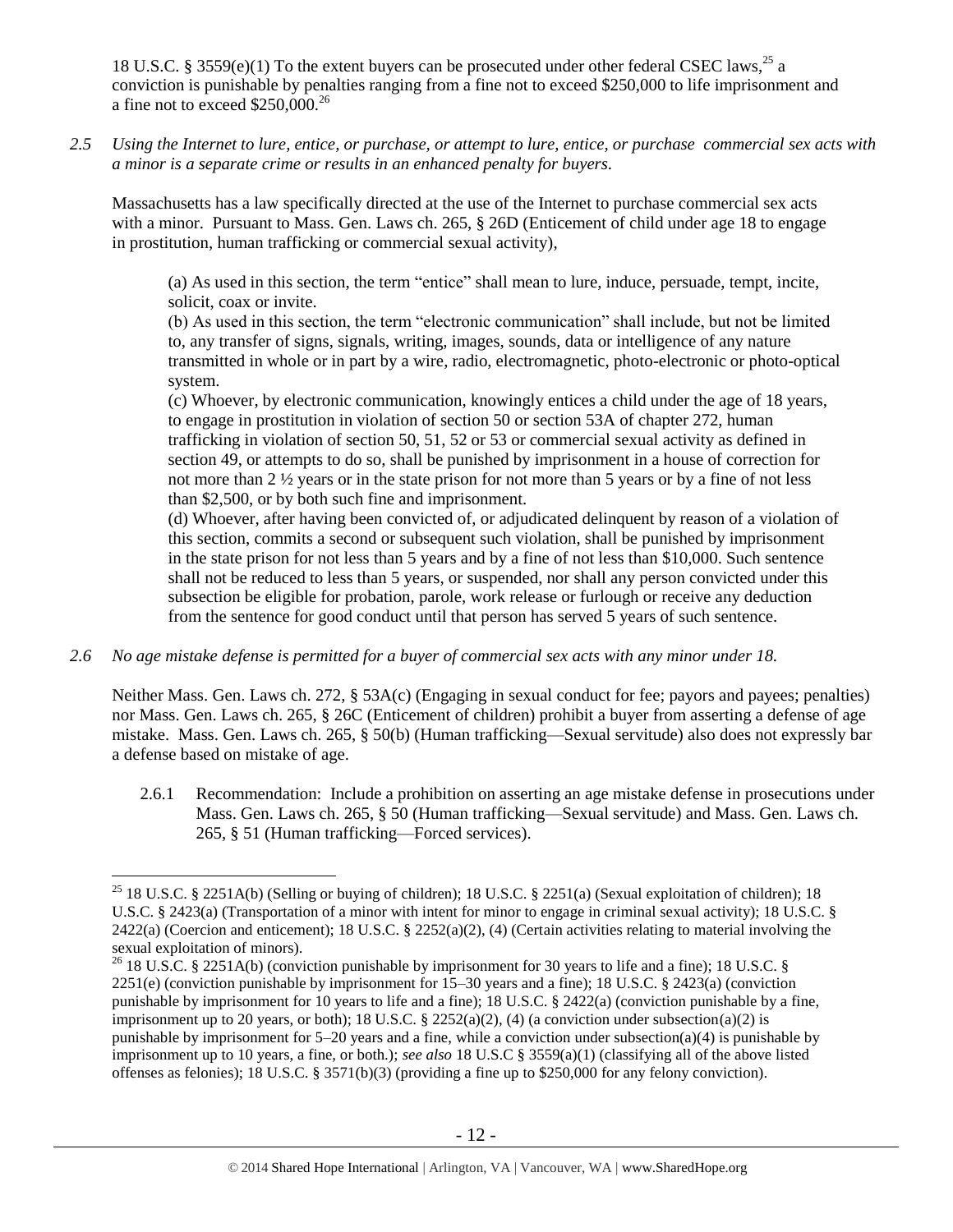18 U.S.C. § 3559(e)(1) To the extent buyers can be prosecuted under other federal CSEC laws,<sup>25</sup> a conviction is punishable by penalties ranging from a fine not to exceed \$250,000 to life imprisonment and a fine not to exceed  $$250,000.<sup>26</sup>$ 

*2.5 Using the Internet to lure, entice, or purchase, or attempt to lure, entice, or purchase commercial sex acts with a minor is a separate crime or results in an enhanced penalty for buyers.*

Massachusetts has a law specifically directed at the use of the Internet to purchase commercial sex acts with a minor. Pursuant to Mass. Gen. Laws ch. 265, § 26D (Enticement of child under age 18 to engage in prostitution, human trafficking or commercial sexual activity),

(a) As used in this section, the term "entice" shall mean to lure, induce, persuade, tempt, incite, solicit, coax or invite.

(b) As used in this section, the term "electronic communication" shall include, but not be limited to, any transfer of signs, signals, writing, images, sounds, data or intelligence of any nature transmitted in whole or in part by a wire, radio, electromagnetic, photo-electronic or photo-optical system.

(c) Whoever, by electronic communication, knowingly entices a child under the age of 18 years, to engage in prostitution in violation of section 50 or section 53A of chapter 272, human trafficking in violation of section 50, 51, 52 or 53 or commercial sexual activity as defined in section 49, or attempts to do so, shall be punished by imprisonment in a house of correction for not more than 2 ½ years or in the state prison for not more than 5 years or by a fine of not less than \$2,500, or by both such fine and imprisonment.

(d) Whoever, after having been convicted of, or adjudicated delinquent by reason of a violation of this section, commits a second or subsequent such violation, shall be punished by imprisonment in the state prison for not less than 5 years and by a fine of not less than \$10,000. Such sentence shall not be reduced to less than 5 years, or suspended, nor shall any person convicted under this subsection be eligible for probation, parole, work release or furlough or receive any deduction from the sentence for good conduct until that person has served 5 years of such sentence.

*2.6 No age mistake defense is permitted for a buyer of commercial sex acts with any minor under 18.*

 $\overline{a}$ 

Neither Mass. Gen. Laws ch. 272, § 53A(c) (Engaging in sexual conduct for fee; payors and payees; penalties) nor Mass. Gen. Laws ch. 265, § 26C (Enticement of children) prohibit a buyer from asserting a defense of age mistake. Mass. Gen. Laws ch. 265, § 50(b) (Human trafficking—Sexual servitude) also does not expressly bar a defense based on mistake of age.

2.6.1 Recommendation: Include a prohibition on asserting an age mistake defense in prosecutions under Mass. Gen. Laws ch. 265, § 50 (Human trafficking—Sexual servitude) and Mass. Gen. Laws ch. 265, § 51 (Human trafficking—Forced services).

<sup>&</sup>lt;sup>25</sup> 18 U.S.C. § 2251A(b) (Selling or buying of children); 18 U.S.C. § 2251(a) (Sexual exploitation of children); 18 U.S.C. § 2423(a) (Transportation of a minor with intent for minor to engage in criminal sexual activity); 18 U.S.C. §  $2422(a)$  (Coercion and enticement); 18 U.S.C. §  $2252(a)(2)$ , (4) (Certain activities relating to material involving the sexual exploitation of minors).

<sup>&</sup>lt;sup>26</sup> 18 U.S.C. § 2251A(b) (conviction punishable by imprisonment for 30 years to life and a fine); 18 U.S.C. § 2251(e) (conviction punishable by imprisonment for 15–30 years and a fine); 18 U.S.C. § 2423(a) (conviction punishable by imprisonment for 10 years to life and a fine); 18 U.S.C. § 2422(a) (conviction punishable by a fine, imprisonment up to 20 years, or both); 18 U.S.C. § 2252(a)(2), (4) (a conviction under subsection(a)(2) is punishable by imprisonment for 5–20 years and a fine, while a conviction under subsection(a)(4) is punishable by imprisonment up to 10 years, a fine, or both.); *see also* 18 U.S.C § 3559(a)(1) (classifying all of the above listed offenses as felonies); 18 U.S.C. § 3571(b)(3) (providing a fine up to \$250,000 for any felony conviction).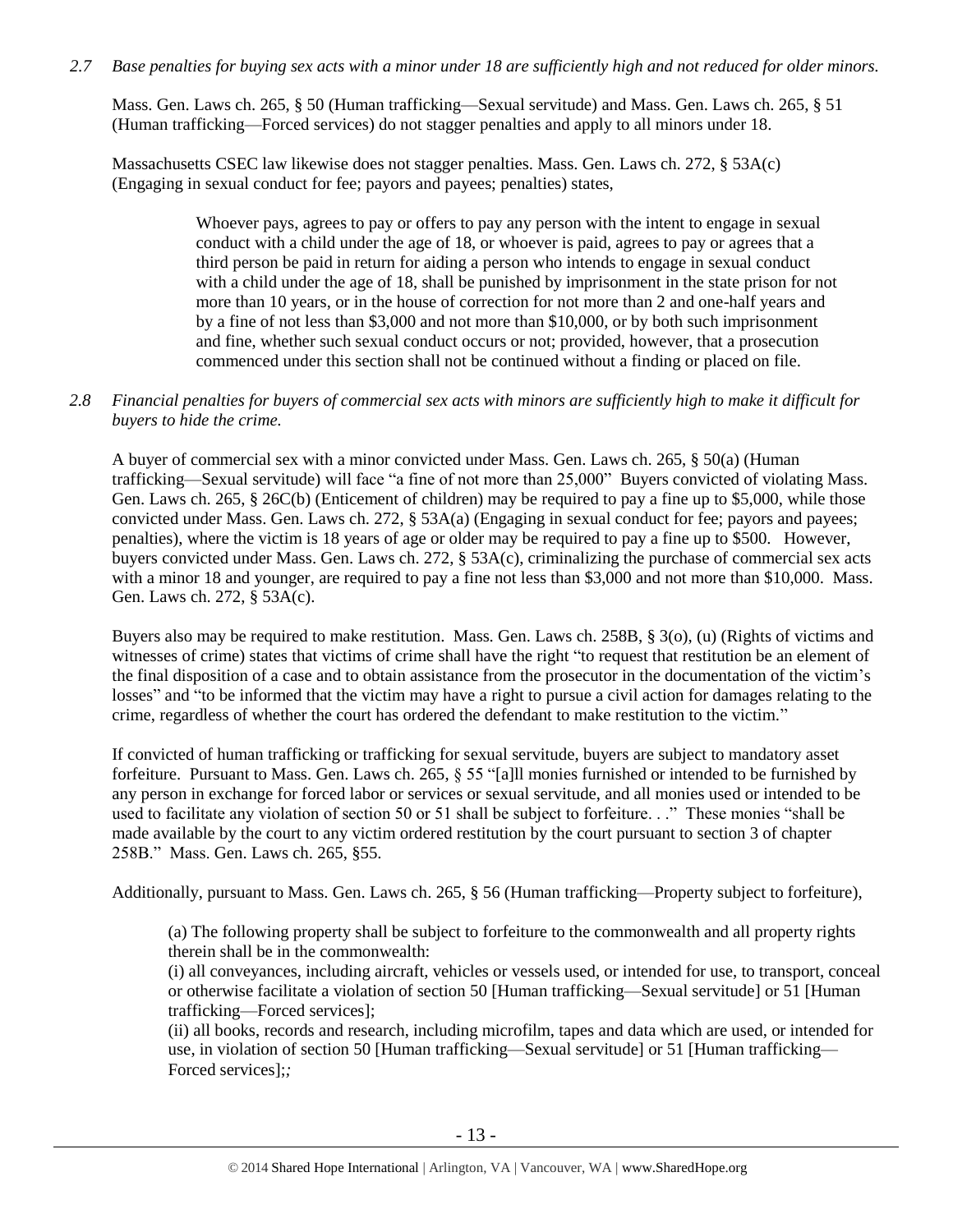# *2.7 Base penalties for buying sex acts with a minor under 18 are sufficiently high and not reduced for older minors.*

Mass. Gen. Laws ch. 265, § 50 (Human trafficking—Sexual servitude) and Mass. Gen. Laws ch. 265, § 51 (Human trafficking—Forced services) do not stagger penalties and apply to all minors under 18.

Massachusetts CSEC law likewise does not stagger penalties. Mass. Gen. Laws ch. 272, § 53A(c) (Engaging in sexual conduct for fee; payors and payees; penalties) states,

> Whoever pays, agrees to pay or offers to pay any person with the intent to engage in sexual conduct with a child under the age of 18, or whoever is paid, agrees to pay or agrees that a third person be paid in return for aiding a person who intends to engage in sexual conduct with a child under the age of 18, shall be punished by imprisonment in the state prison for not more than 10 years, or in the house of correction for not more than 2 and one-half years and by a fine of not less than \$3,000 and not more than \$10,000, or by both such imprisonment and fine, whether such sexual conduct occurs or not; provided, however, that a prosecution commenced under this section shall not be continued without a finding or placed on file.

# *2.8 Financial penalties for buyers of commercial sex acts with minors are sufficiently high to make it difficult for buyers to hide the crime.*

A buyer of commercial sex with a minor convicted under Mass. Gen. Laws ch. 265, § 50(a) (Human trafficking—Sexual servitude) will face "a fine of not more than 25,000" Buyers convicted of violating Mass. Gen. Laws ch. 265, § 26C(b) (Enticement of children) may be required to pay a fine up to \$5,000, while those convicted under Mass. Gen. Laws ch. 272, § 53A(a) (Engaging in sexual conduct for fee; payors and payees; penalties), where the victim is 18 years of age or older may be required to pay a fine up to \$500. However, buyers convicted under Mass. Gen. Laws ch. 272, § 53A(c), criminalizing the purchase of commercial sex acts with a minor 18 and younger, are required to pay a fine not less than \$3,000 and not more than \$10,000. Mass. Gen. Laws ch. 272, § 53A(c).

Buyers also may be required to make restitution. Mass. Gen. Laws ch. 258B, § 3(o), (u) (Rights of victims and witnesses of crime) states that victims of crime shall have the right "to request that restitution be an element of the final disposition of a case and to obtain assistance from the prosecutor in the documentation of the victim's losses" and "to be informed that the victim may have a right to pursue a civil action for damages relating to the crime, regardless of whether the court has ordered the defendant to make restitution to the victim."

If convicted of human trafficking or trafficking for sexual servitude, buyers are subject to mandatory asset forfeiture. Pursuant to Mass. Gen. Laws ch. 265, § 55 "[a]ll monies furnished or intended to be furnished by any person in exchange for forced labor or services or sexual servitude, and all monies used or intended to be used to facilitate any violation of section 50 or 51 shall be subject to forfeiture. . ." These monies "shall be made available by the court to any victim ordered restitution by the court pursuant to section 3 of chapter 258B." Mass. Gen. Laws ch. 265, §55.

Additionally, pursuant to Mass. Gen. Laws ch. 265, § 56 (Human trafficking—Property subject to forfeiture),

(a) The following property shall be subject to forfeiture to the commonwealth and all property rights therein shall be in the commonwealth:

(i) all conveyances, including aircraft, vehicles or vessels used, or intended for use, to transport, conceal or otherwise facilitate a violation of section 50 [Human trafficking—Sexual servitude] or 51 [Human trafficking—Forced services];

(ii) all books, records and research, including microfilm, tapes and data which are used, or intended for use, in violation of section 50 [Human trafficking—Sexual servitude] or 51 [Human trafficking— Forced services];*;*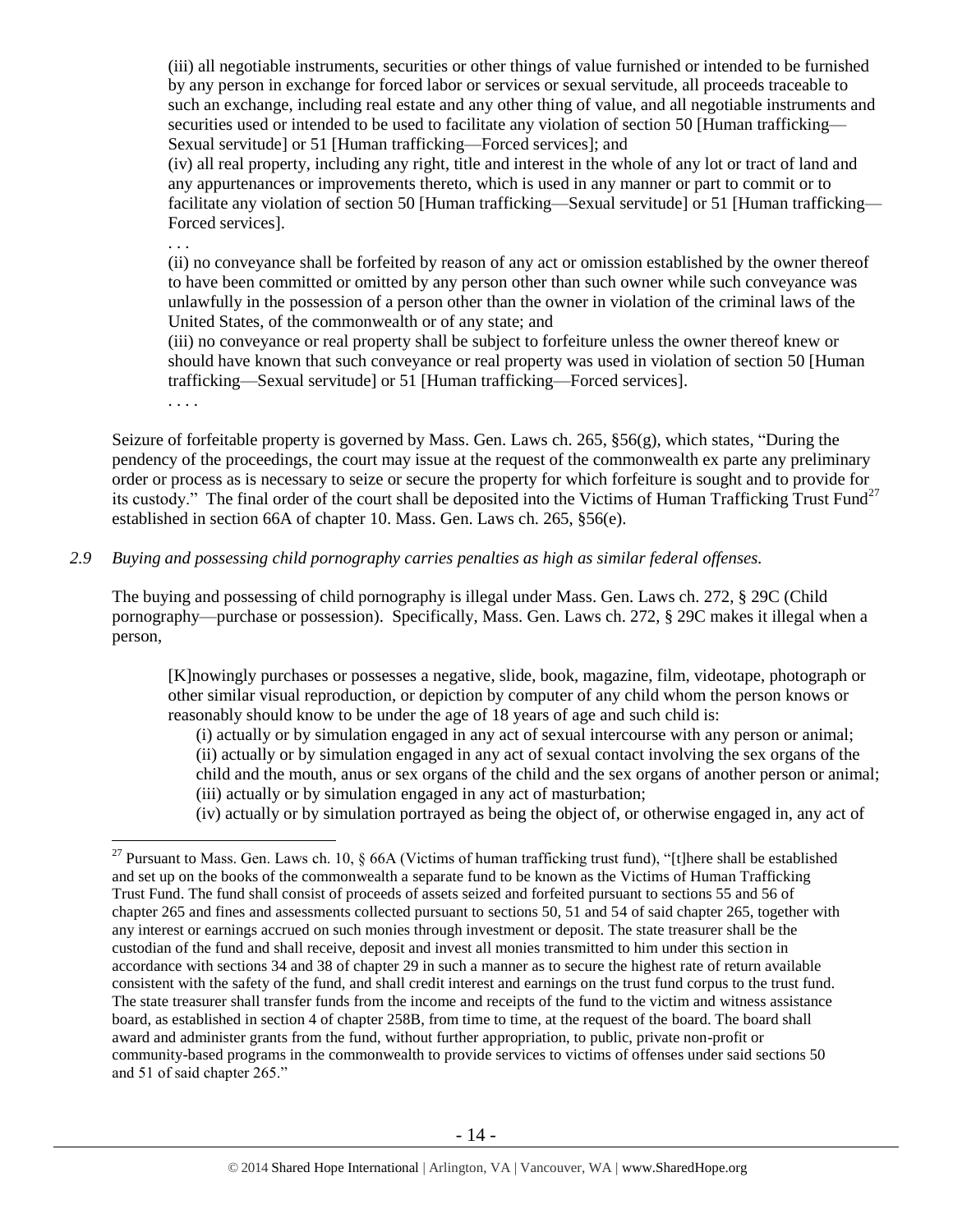(iii) all negotiable instruments, securities or other things of value furnished or intended to be furnished by any person in exchange for forced labor or services or sexual servitude, all proceeds traceable to such an exchange, including real estate and any other thing of value, and all negotiable instruments and securities used or intended to be used to facilitate any violation of section 50 [Human trafficking— Sexual servitude] or 51 [Human trafficking—Forced services]; and

(iv) all real property, including any right, title and interest in the whole of any lot or tract of land and any appurtenances or improvements thereto, which is used in any manner or part to commit or to facilitate any violation of section 50 [Human trafficking—Sexual servitude] or 51 [Human trafficking— Forced services].

. . .

(ii) no conveyance shall be forfeited by reason of any act or omission established by the owner thereof to have been committed or omitted by any person other than such owner while such conveyance was unlawfully in the possession of a person other than the owner in violation of the criminal laws of the United States, of the commonwealth or of any state; and

(iii) no conveyance or real property shall be subject to forfeiture unless the owner thereof knew or should have known that such conveyance or real property was used in violation of section 50 [Human trafficking—Sexual servitude] or 51 [Human trafficking—Forced services].

<span id="page-13-0"></span>. . . .

 $\overline{a}$ 

Seizure of forfeitable property is governed by Mass. Gen. Laws ch. 265, §56(g), which states, "During the pendency of the proceedings, the court may issue at the request of the commonwealth ex parte any preliminary order or process as is necessary to seize or secure the property for which forfeiture is sought and to provide for its custody." The final order of the court shall be deposited into the Victims of Human Trafficking Trust Fund<sup>27</sup> established in section 66A of chapter 10. Mass. Gen. Laws ch. 265, §56(e).

*2.9 Buying and possessing child pornography carries penalties as high as similar federal offenses.*

The buying and possessing of child pornography is illegal under Mass. Gen. Laws ch. 272, § 29C (Child pornography—purchase or possession). Specifically, Mass. Gen. Laws ch. 272, § 29C makes it illegal when a person,

[K]nowingly purchases or possesses a negative, slide, book, magazine, film, videotape, photograph or other similar visual reproduction, or depiction by computer of any child whom the person knows or reasonably should know to be under the age of 18 years of age and such child is:

(i) actually or by simulation engaged in any act of sexual intercourse with any person or animal; (ii) actually or by simulation engaged in any act of sexual contact involving the sex organs of the child and the mouth, anus or sex organs of the child and the sex organs of another person or animal; (iii) actually or by simulation engaged in any act of masturbation;

(iv) actually or by simulation portrayed as being the object of, or otherwise engaged in, any act of

<sup>&</sup>lt;sup>27</sup> Pursuant to Mass. Gen. Laws ch. 10,  $\delta$  66A (Victims of human trafficking trust fund), "[t]here shall be established and set up on the books of the commonwealth a separate fund to be known as the Victims of Human Trafficking Trust Fund. The fund shall consist of proceeds of assets seized and forfeited pursuant to sections 55 and 56 of chapter 265 and fines and assessments collected pursuant to sections 50, 51 and 54 of said chapter 265, together with any interest or earnings accrued on such monies through investment or deposit. The state treasurer shall be the custodian of the fund and shall receive, deposit and invest all monies transmitted to him under this section in accordance with sections 34 and 38 of chapter 29 in such a manner as to secure the highest rate of return available consistent with the safety of the fund, and shall credit interest and earnings on the trust fund corpus to the trust fund. The state treasurer shall transfer funds from the income and receipts of the fund to the victim and witness assistance board, as established in section 4 of chapter 258B, from time to time, at the request of the board. The board shall award and administer grants from the fund, without further appropriation, to public, private non-profit or community-based programs in the commonwealth to provide services to victims of offenses under said sections 50 and 51 of said chapter 265."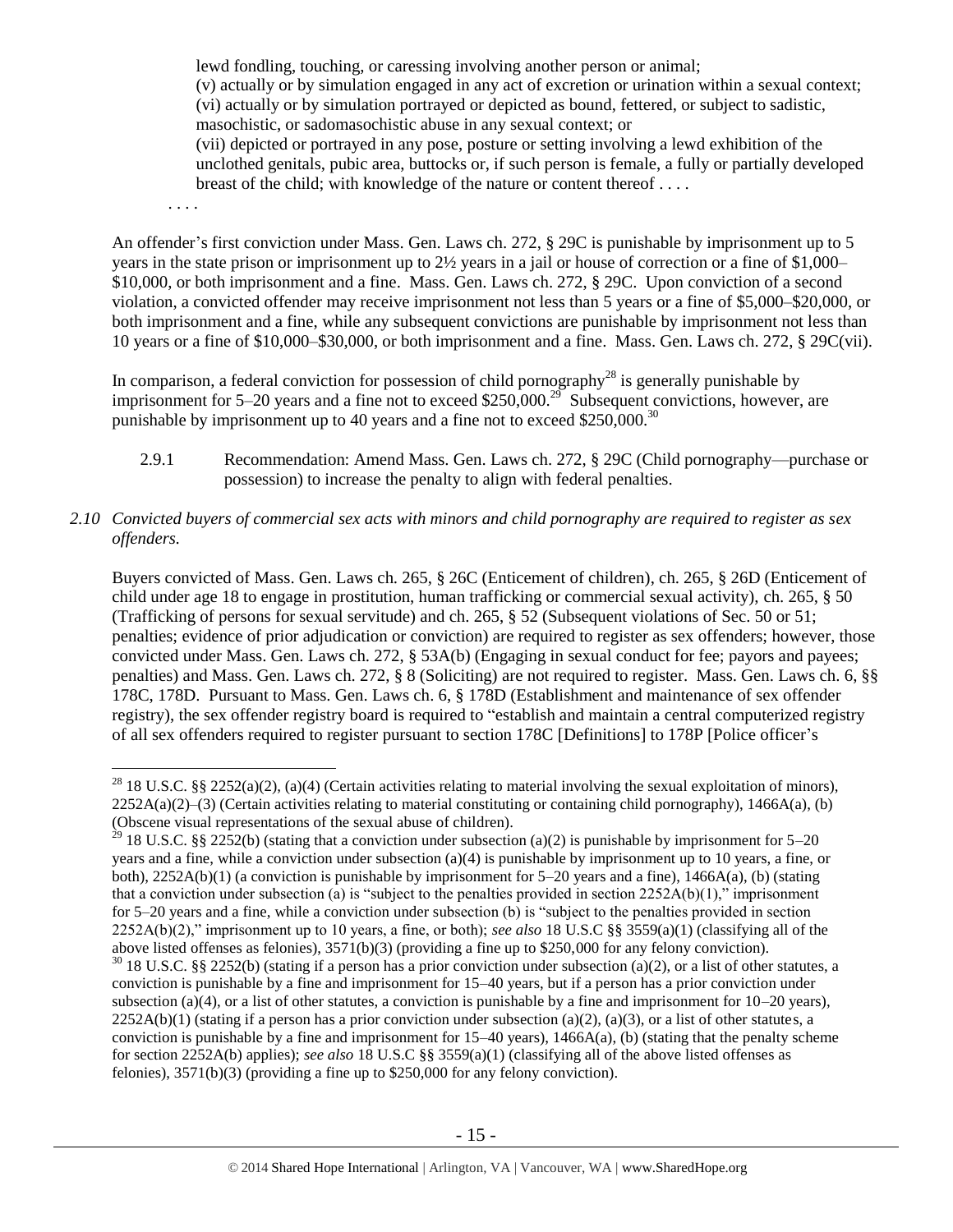lewd fondling, touching, or caressing involving another person or animal; (v) actually or by simulation engaged in any act of excretion or urination within a sexual context; (vi) actually or by simulation portrayed or depicted as bound, fettered, or subject to sadistic, masochistic, or sadomasochistic abuse in any sexual context; or

(vii) depicted or portrayed in any pose, posture or setting involving a lewd exhibition of the unclothed genitals, pubic area, buttocks or, if such person is female, a fully or partially developed breast of the child; with knowledge of the nature or content thereof . . . .

. . . .

 $\overline{a}$ 

An offender's first conviction under Mass. Gen. Laws ch. 272, § 29C is punishable by imprisonment up to 5 years in the state prison or imprisonment up to 2½ years in a jail or house of correction or a fine of \$1,000– \$10,000, or both imprisonment and a fine. Mass. Gen. Laws ch. 272, § 29C. Upon conviction of a second violation, a convicted offender may receive imprisonment not less than 5 years or a fine of \$5,000–\$20,000, or both imprisonment and a fine, while any subsequent convictions are punishable by imprisonment not less than 10 years or a fine of \$10,000–\$30,000, or both imprisonment and a fine. Mass. Gen. Laws ch. 272, § 29C(vii).

In comparison, a federal conviction for possession of child pornography<sup>28</sup> is generally punishable by imprisonment for 5–20 years and a fine not to exceed \$250,000.<sup>29</sup> Subsequent convictions, however, are punishable by imprisonment up to 40 years and a fine not to exceed \$250,000.<sup>30</sup>

- 2.9.1 Recommendation: Amend Mass. Gen. Laws ch. 272, § 29C (Child pornography—purchase or possession) to increase the penalty to align with federal penalties.
- *2.10 Convicted buyers of commercial sex acts with minors and child pornography are required to register as sex offenders.*

Buyers convicted of Mass. Gen. Laws ch. 265, § 26C (Enticement of children), ch. 265, § 26D (Enticement of child under age 18 to engage in prostitution, human trafficking or commercial sexual activity), ch. 265, § 50 (Trafficking of persons for sexual servitude) and ch. 265, § 52 (Subsequent violations of Sec. 50 or 51; penalties; evidence of prior adjudication or conviction) are required to register as sex offenders; however, those convicted under Mass. Gen. Laws ch. 272, § 53A(b) (Engaging in sexual conduct for fee; payors and payees; penalties) and Mass. Gen. Laws ch. 272, § 8 (Soliciting) are not required to register. Mass. Gen. Laws ch. 6, §§ 178C, 178D. Pursuant to Mass. Gen. Laws ch. 6, § 178D (Establishment and maintenance of sex offender registry), the sex offender registry board is required to "establish and maintain a central computerized registry of all sex offenders required to register pursuant to section 178C [Definitions] to 178P [Police officer's

<sup>&</sup>lt;sup>28</sup> 18 U.S.C. §§ 2252(a)(2), (a)(4) (Certain activities relating to material involving the sexual exploitation of minors),  $2252A(a)(2)$ –(3) (Certain activities relating to material constituting or containing child pornography), 1466A(a), (b) (Obscene visual representations of the sexual abuse of children).

<sup>&</sup>lt;sup>29</sup> 18 U.S.C. §§ 2252(b) (stating that a conviction under subsection (a)(2) is punishable by imprisonment for 5–20 years and a fine, while a conviction under subsection (a)(4) is punishable by imprisonment up to 10 years, a fine, or both), 2252A(b)(1) (a conviction is punishable by imprisonment for 5–20 years and a fine), 1466A(a), (b) (stating that a conviction under subsection (a) is "subject to the penalties provided in section  $2252A(b)(1)$ ," imprisonment for 5–20 years and a fine, while a conviction under subsection (b) is "subject to the penalties provided in section 2252A(b)(2)," imprisonment up to 10 years, a fine, or both); *see also* 18 U.S.C §§ 3559(a)(1) (classifying all of the above listed offenses as felonies), 3571(b)(3) (providing a fine up to \$250,000 for any felony conviction).  $30$  18 U.S.C. §§ 2252(b) (stating if a person has a prior conviction under subsection (a)(2), or a list of other statutes, a conviction is punishable by a fine and imprisonment for 15–40 years, but if a person has a prior conviction under subsection (a)(4), or a list of other statutes, a conviction is punishable by a fine and imprisonment for  $10-20$  years),  $2252A(b)(1)$  (stating if a person has a prior conviction under subsection (a)(2), (a)(3), or a list of other statutes, a conviction is punishable by a fine and imprisonment for  $15-40$  years),  $1466A(a)$ , (b) (stating that the penalty scheme for section 2252A(b) applies); *see also* 18 U.S.C §§ 3559(a)(1) (classifying all of the above listed offenses as felonies), 3571(b)(3) (providing a fine up to \$250,000 for any felony conviction).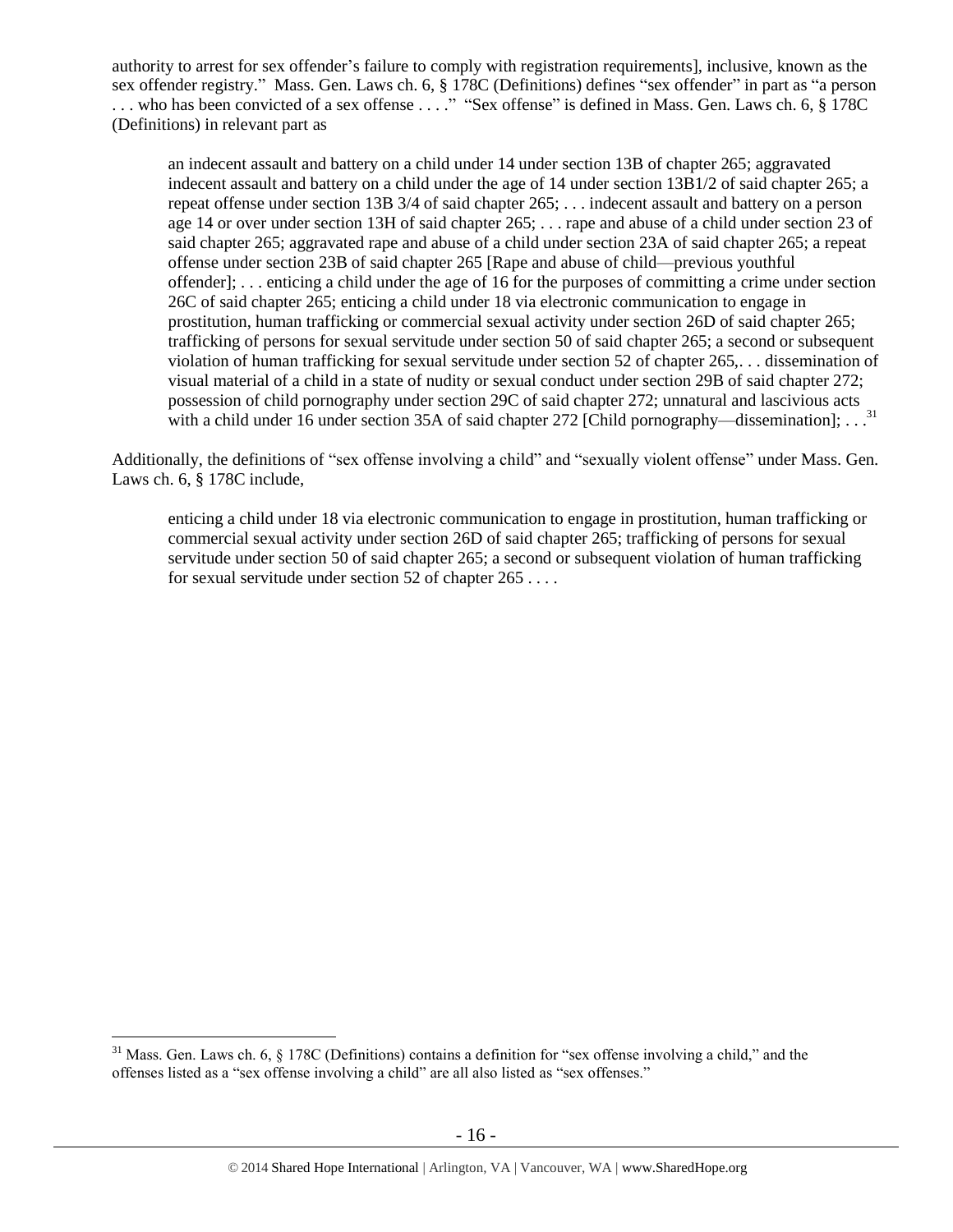authority to arrest for sex offender's failure to comply with registration requirements], inclusive, known as the sex offender registry." Mass. Gen. Laws ch. 6, § 178C (Definitions) defines "sex offender" in part as "a person ... who has been convicted of a sex offense ...." "Sex offense" is defined in Mass. Gen. Laws ch. 6, § 178C (Definitions) in relevant part as

an indecent assault and battery on a child under 14 under section 13B of chapter 265; aggravated indecent assault and battery on a child under the age of 14 under section 13B1/2 of said chapter 265; a repeat offense under section 13B 3/4 of said chapter 265; . . . indecent assault and battery on a person age 14 or over under section 13H of said chapter 265; . . . rape and abuse of a child under section 23 of said chapter 265; aggravated rape and abuse of a child under section 23A of said chapter 265; a repeat offense under section 23B of said chapter 265 [Rape and abuse of child—previous youthful offender]; . . . enticing a child under the age of 16 for the purposes of committing a crime under section 26C of said chapter 265; enticing a child under 18 via electronic communication to engage in prostitution, human trafficking or commercial sexual activity under section 26D of said chapter 265; trafficking of persons for sexual servitude under section 50 of said chapter 265; a second or subsequent violation of human trafficking for sexual servitude under section 52 of chapter 265,. . . dissemination of visual material of a child in a state of nudity or sexual conduct under section 29B of said chapter 272; possession of child pornography under section 29C of said chapter 272; unnatural and lascivious acts with a child under 16 under section 35A of said chapter 272 [Child pornography—dissemination];  $\dots$ <sup>31</sup>

Additionally, the definitions of "sex offense involving a child" and "sexually violent offense" under Mass. Gen. Laws ch. 6, § 178C include,

enticing a child under 18 via electronic communication to engage in prostitution, human trafficking or commercial sexual activity under section 26D of said chapter 265; trafficking of persons for sexual servitude under section 50 of said chapter 265; a second or subsequent violation of human trafficking for sexual servitude under section 52 of chapter 265 . . . .

 $31$  Mass. Gen. Laws ch. 6,  $\S$  178C (Definitions) contains a definition for "sex offense involving a child," and the offenses listed as a "sex offense involving a child" are all also listed as "sex offenses."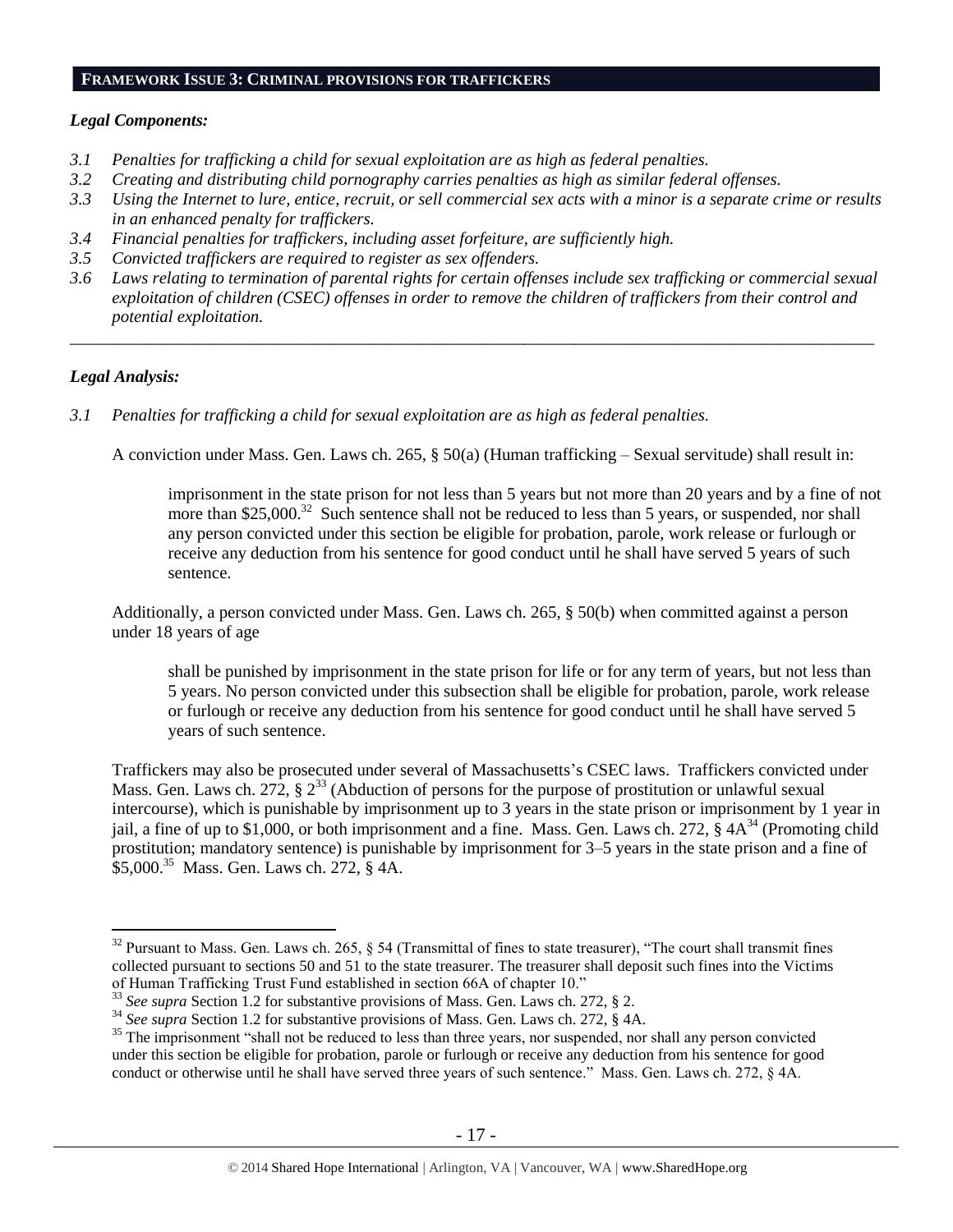#### **FRAMEWORK ISSUE 3: CRIMINAL PROVISIONS FOR TRAFFICKERS**

## *Legal Components:*

- *3.1 Penalties for trafficking a child for sexual exploitation are as high as federal penalties.*
- *3.2 Creating and distributing child pornography carries penalties as high as similar federal offenses.*
- *3.3 Using the Internet to lure, entice, recruit, or sell commercial sex acts with a minor is a separate crime or results in an enhanced penalty for traffickers.*
- *3.4 Financial penalties for traffickers, including asset forfeiture, are sufficiently high.*
- *3.5 Convicted traffickers are required to register as sex offenders.*
- *3.6 Laws relating to termination of parental rights for certain offenses include sex trafficking or commercial sexual exploitation of children (CSEC) offenses in order to remove the children of traffickers from their control and potential exploitation.*

*\_\_\_\_\_\_\_\_\_\_\_\_\_\_\_\_\_\_\_\_\_\_\_\_\_\_\_\_\_\_\_\_\_\_\_\_\_\_\_\_\_\_\_\_\_\_\_\_\_\_\_\_\_\_\_\_\_\_\_\_\_\_\_\_\_\_\_\_\_\_\_\_\_\_\_\_\_\_\_\_\_\_\_\_\_\_\_\_\_\_\_\_\_\_*

## *Legal Analysis:*

<span id="page-16-1"></span> $\overline{a}$ 

*3.1 Penalties for trafficking a child for sexual exploitation are as high as federal penalties.*

A conviction under Mass. Gen. Laws ch. 265, § 50(a) (Human trafficking – Sexual servitude) shall result in:

<span id="page-16-0"></span>imprisonment in the state prison for not less than 5 years but not more than 20 years and by a fine of not more than \$25,000.<sup>32</sup> Such sentence shall not be reduced to less than 5 years, or suspended, nor shall any person convicted under this section be eligible for probation, parole, work release or furlough or receive any deduction from his sentence for good conduct until he shall have served 5 years of such sentence.

Additionally, a person convicted under Mass. Gen. Laws ch. 265, § 50(b) when committed against a person under 18 years of age

shall be punished by imprisonment in the state prison for life or for any term of years, but not less than 5 years. No person convicted under this subsection shall be eligible for probation, parole, work release or furlough or receive any deduction from his sentence for good conduct until he shall have served 5 years of such sentence.

Traffickers may also be prosecuted under several of Massachusetts's CSEC laws. Traffickers convicted under Mass. Gen. Laws ch. 272, § 2<sup>33</sup> (Abduction of persons for the purpose of prostitution or unlawful sexual intercourse), which is punishable by imprisonment up to 3 years in the state prison or imprisonment by 1 year in jail, a fine of up to \$1,000, or both imprisonment and a fine. Mass. Gen. Laws ch. 272,  $\hat{\S}$  4A<sup>34</sup> (Promoting child prostitution; mandatory sentence) is punishable by imprisonment for 3–5 years in the state prison and a fine of \$5,000. 35 Mass. Gen. Laws ch. 272, § 4A.

 $32$  Pursuant to Mass. Gen. Laws ch. 265, § 54 (Transmittal of fines to state treasurer), "The court shall transmit fines collected pursuant to sections 50 and 51 to the state treasurer. The treasurer shall deposit such fines into the Victims of Human Trafficking Trust Fund established in section 66A of chapter 10."

<sup>33</sup> *See supra* Section 1.2 for substantive provisions of Mass. Gen. Laws ch. 272, § 2.

<sup>&</sup>lt;sup>34</sup> See supra Section 1.2 for substantive provisions of Mass. Gen. Laws ch. 272, § 4A.

<sup>&</sup>lt;sup>35</sup> The imprisonment "shall not be reduced to less than three years, nor suspended, nor shall any person convicted under this section be eligible for probation, parole or furlough or receive any deduction from his sentence for good conduct or otherwise until he shall have served three years of such sentence." Mass. Gen. Laws ch. 272, § 4A.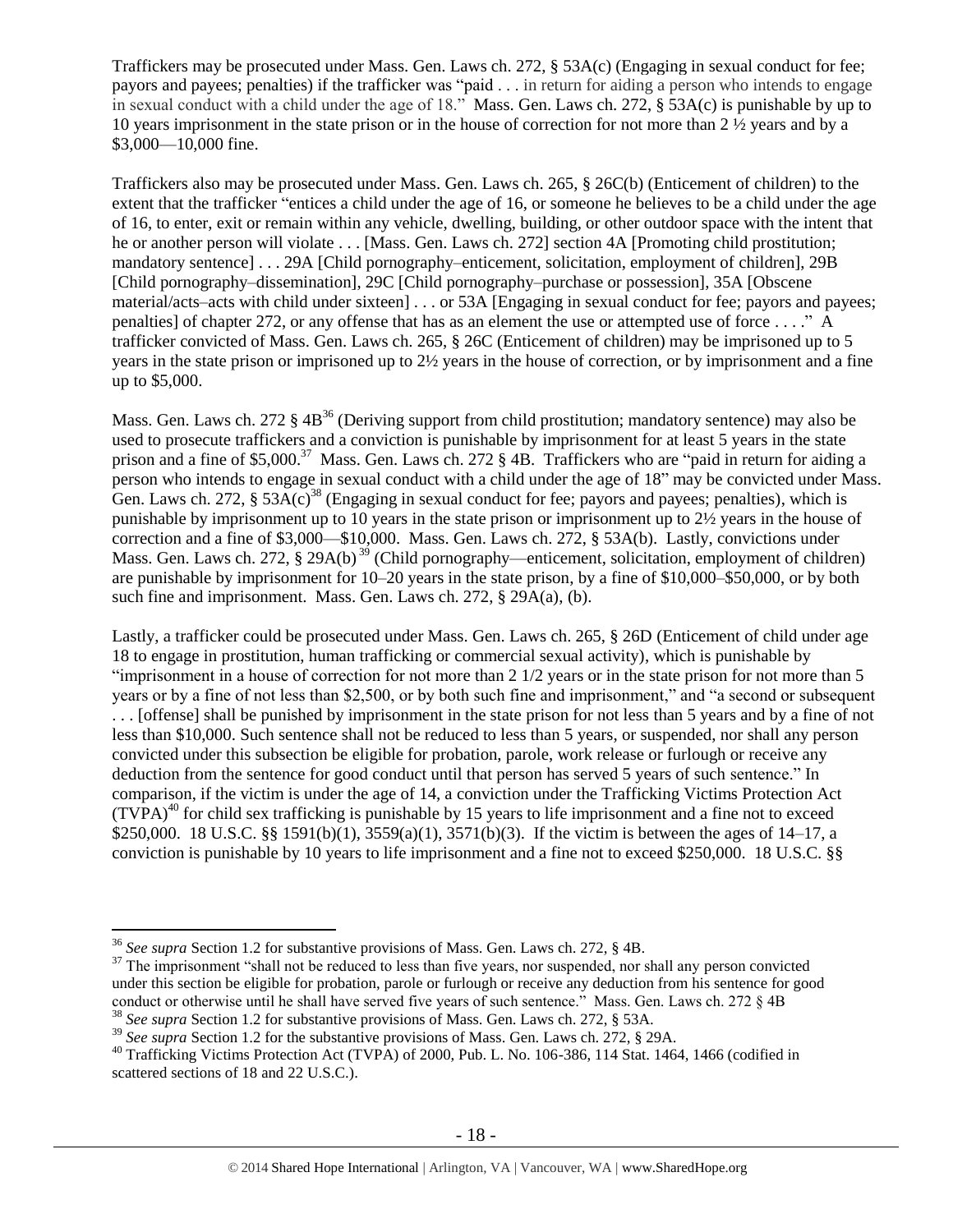Traffickers may be prosecuted under Mass. Gen. Laws ch. 272, § 53A(c) (Engaging in sexual conduct for fee; payors and payees; penalties) if the trafficker was "paid . . . in return for aiding a person who intends to engage in sexual conduct with a child under the age of 18." Mass. Gen. Laws ch. 272, § 53A(c) is punishable by up to 10 years imprisonment in the state prison or in the house of correction for not more than 2 ½ years and by a \$3,000—10,000 fine.

Traffickers also may be prosecuted under Mass. Gen. Laws ch. 265, § 26C(b) (Enticement of children) to the extent that the trafficker "entices a child under the age of 16, or someone he believes to be a child under the age of 16, to enter, exit or remain within any vehicle, dwelling, building, or other outdoor space with the intent that he or another person will violate . . . [Mass. Gen. Laws ch. 272] section 4A [Promoting child prostitution; mandatory sentence] . . . 29A [Child pornography–enticement, solicitation, employment of children], 29B [Child pornography–dissemination], 29C [Child pornography–purchase or possession], 35A [Obscene material/acts–acts with child under sixteen] . . . or 53A [Engaging in sexual conduct for fee; payors and payees; penalties] of chapter 272, or any offense that has as an element the use or attempted use of force . . . ." A trafficker convicted of Mass. Gen. Laws ch. 265, § 26C (Enticement of children) may be imprisoned up to 5 years in the state prison or imprisoned up to 2½ years in the house of correction, or by imprisonment and a fine up to \$5,000.

Mass. Gen. Laws ch. 272  $\S$  4B<sup>36</sup> (Deriving support from child prostitution; mandatory sentence) may also be used to prosecute traffickers and a conviction is punishable by imprisonment for at least 5 years in the state prison and a fine of \$5,000.<sup>37</sup> Mass. Gen. Laws ch. 272 § 4B. Traffickers who are "paid in return for aiding a person who intends to engage in sexual conduct with a child under the age of 18" may be convicted under Mass. Gen. Laws ch. 272,  $\S 53A(c)^{38}$  (Engaging in sexual conduct for fee; payors and payees; penalties), which is punishable by imprisonment up to 10 years in the state prison or imprisonment up to 2½ years in the house of correction and a fine of \$3,000—\$10,000. Mass. Gen. Laws ch. 272, § 53A(b). Lastly, convictions under Mass. Gen. Laws ch. 272, § 29A(b)<sup>39</sup> (Child pornography—enticement, solicitation, employment of children) are punishable by imprisonment for 10–20 years in the state prison, by a fine of \$10,000–\$50,000, or by both such fine and imprisonment. Mass. Gen. Laws ch. 272, § 29A(a), (b).

Lastly, a trafficker could be prosecuted under Mass. Gen. Laws ch. 265, § 26D (Enticement of child under age 18 to engage in prostitution, human trafficking or commercial sexual activity), which is punishable by "imprisonment in a house of correction for not more than 2 1/2 years or in the state prison for not more than 5 years or by a fine of not less than \$2,500, or by both such fine and imprisonment," and "a second or subsequent . . . [offense] shall be punished by imprisonment in the state prison for not less than 5 years and by a fine of not less than \$10,000. Such sentence shall not be reduced to less than 5 years, or suspended, nor shall any person convicted under this subsection be eligible for probation, parole, work release or furlough or receive any deduction from the sentence for good conduct until that person has served 5 years of such sentence." In comparison, if the victim is under the age of 14, a conviction under the Trafficking Victims Protection Act  $(TVPA)^{40}$  for child sex trafficking is punishable by 15 years to life imprisonment and a fine not to exceed \$250,000. 18 U.S.C. §§ 1591(b)(1), 3559(a)(1), 3571(b)(3). If the victim is between the ages of 14–17, a conviction is punishable by 10 years to life imprisonment and a fine not to exceed \$250,000. 18 U.S.C. §§

<sup>36</sup> *See supra* Section 1.2 for substantive provisions of Mass. Gen. Laws ch. 272, § 4B.

<sup>&</sup>lt;sup>37</sup> The imprisonment "shall not be reduced to less than five years, nor suspended, nor shall any person convicted under this section be eligible for probation, parole or furlough or receive any deduction from his sentence for good conduct or otherwise until he shall have served five years of such sentence." Mass. Gen. Laws ch. 272 § 4B <sup>38</sup> *See supra* Section 1.2 for substantive provisions of Mass. Gen. Laws ch. 272, § 53A.

<sup>&</sup>lt;sup>39</sup> See supra Section 1.2 for the substantive provisions of Mass. Gen. Laws ch. 272, § 29A.

<sup>&</sup>lt;sup>40</sup> Trafficking Victims Protection Act (TVPA) of 2000, Pub. L. No. 106-386, 114 Stat. 1464, 1466 (codified in scattered sections of 18 and 22 U.S.C.).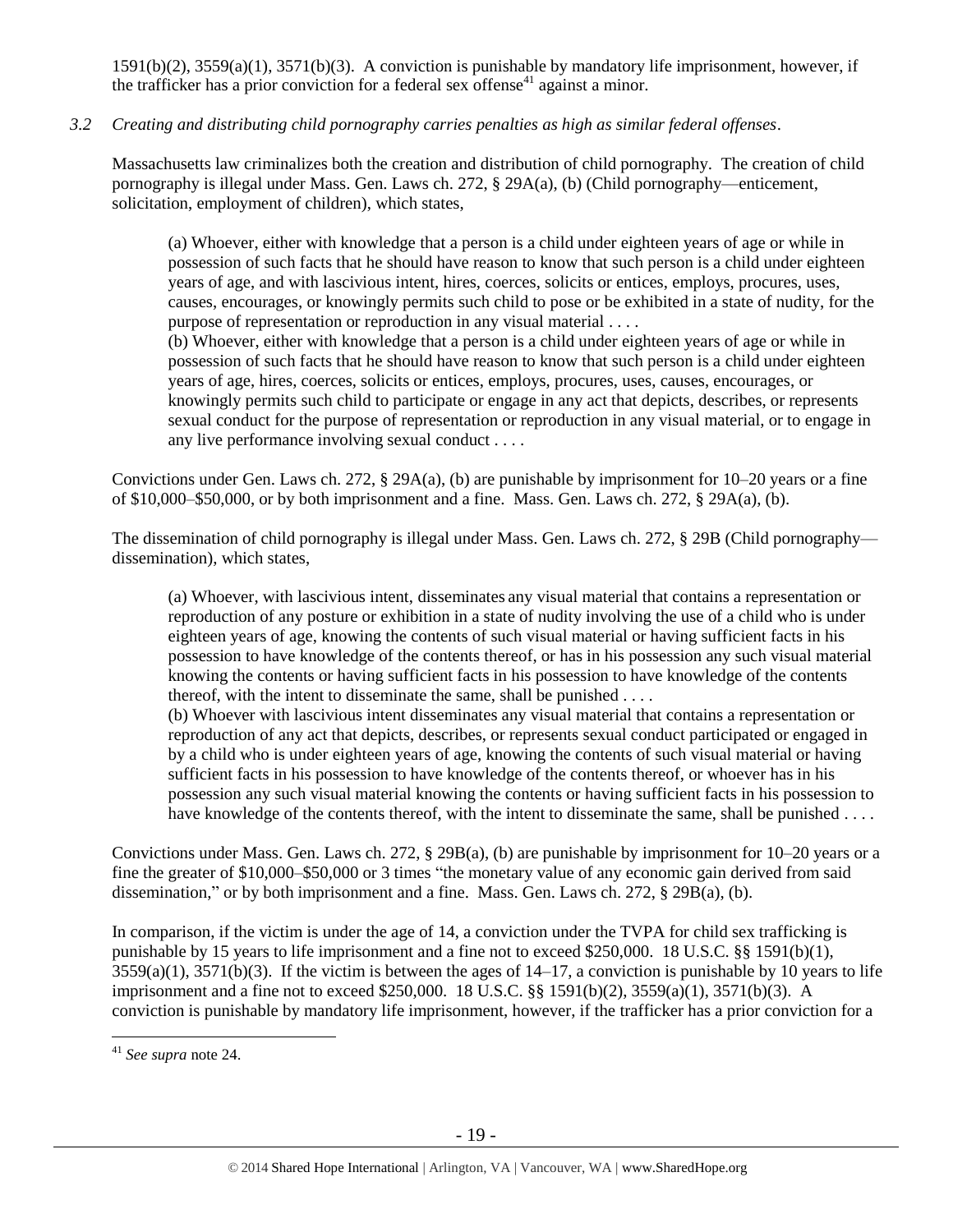1591(b)(2), 3559(a)(1), 3571(b)(3). A conviction is punishable by mandatory life imprisonment, however, if the trafficker has a prior conviction for a federal sex offense<sup>41</sup> against a minor.

# *3.2 Creating and distributing child pornography carries penalties as high as similar federal offenses*.

Massachusetts law criminalizes both the creation and distribution of child pornography. The creation of child pornography is illegal under Mass. Gen. Laws ch. 272, § 29A(a), (b) (Child pornography—enticement, solicitation, employment of children), which states,

(a) Whoever, either with knowledge that a person is a child under eighteen years of age or while in possession of such facts that he should have reason to know that such person is a child under eighteen years of age, and with lascivious intent, hires, coerces, solicits or entices, employs, procures, uses, causes, encourages, or knowingly permits such child to pose or be exhibited in a state of nudity, for the purpose of representation or reproduction in any visual material . . . .

(b) Whoever, either with knowledge that a person is a child under eighteen years of age or while in possession of such facts that he should have reason to know that such person is a child under eighteen years of age, hires, coerces, solicits or entices, employs, procures, uses, causes, encourages, or knowingly permits such child to participate or engage in any act that depicts, describes, or represents sexual conduct for the purpose of representation or reproduction in any visual material, or to engage in any live performance involving sexual conduct . . . .

Convictions under Gen. Laws ch. 272, § 29A(a), (b) are punishable by imprisonment for 10–20 years or a fine of \$10,000–\$50,000, or by both imprisonment and a fine. Mass. Gen. Laws ch. 272, § 29A(a), (b).

The dissemination of child pornography is illegal under Mass. Gen. Laws ch. 272, § 29B (Child pornography dissemination), which states,

(a) Whoever, with lascivious intent, disseminates any visual material that contains a representation or reproduction of any posture or exhibition in a state of nudity involving the use of a child who is under eighteen years of age, knowing the contents of such visual material or having sufficient facts in his possession to have knowledge of the contents thereof, or has in his possession any such visual material knowing the contents or having sufficient facts in his possession to have knowledge of the contents thereof, with the intent to disseminate the same, shall be punished . . . .

(b) Whoever with lascivious intent disseminates any visual material that contains a representation or reproduction of any act that depicts, describes, or represents sexual conduct participated or engaged in by a child who is under eighteen years of age, knowing the contents of such visual material or having sufficient facts in his possession to have knowledge of the contents thereof, or whoever has in his possession any such visual material knowing the contents or having sufficient facts in his possession to have knowledge of the contents thereof, with the intent to disseminate the same, shall be punished . . . .

Convictions under Mass. Gen. Laws ch. 272, § 29B(a), (b) are punishable by imprisonment for 10–20 years or a fine the greater of \$10,000–\$50,000 or 3 times "the monetary value of any economic gain derived from said dissemination," or by both imprisonment and a fine. Mass. Gen. Laws ch. 272, § 29B(a), (b).

In comparison, if the victim is under the age of 14, a conviction under the TVPA for child sex trafficking is punishable by 15 years to life imprisonment and a fine not to exceed \$250,000. 18 U.S.C. §§ 1591(b)(1),  $3559(a)(1)$ ,  $3571(b)(3)$ . If the victim is between the ages of  $14-17$ , a conviction is punishable by 10 years to life imprisonment and a fine not to exceed \$250,000. 18 U.S.C. §§ 1591(b)(2), 3559(a)(1), 3571(b)(3). A conviction is punishable by mandatory life imprisonment, however, if the trafficker has a prior conviction for a

<sup>41</sup> *See supra* note [24.](#page-10-0)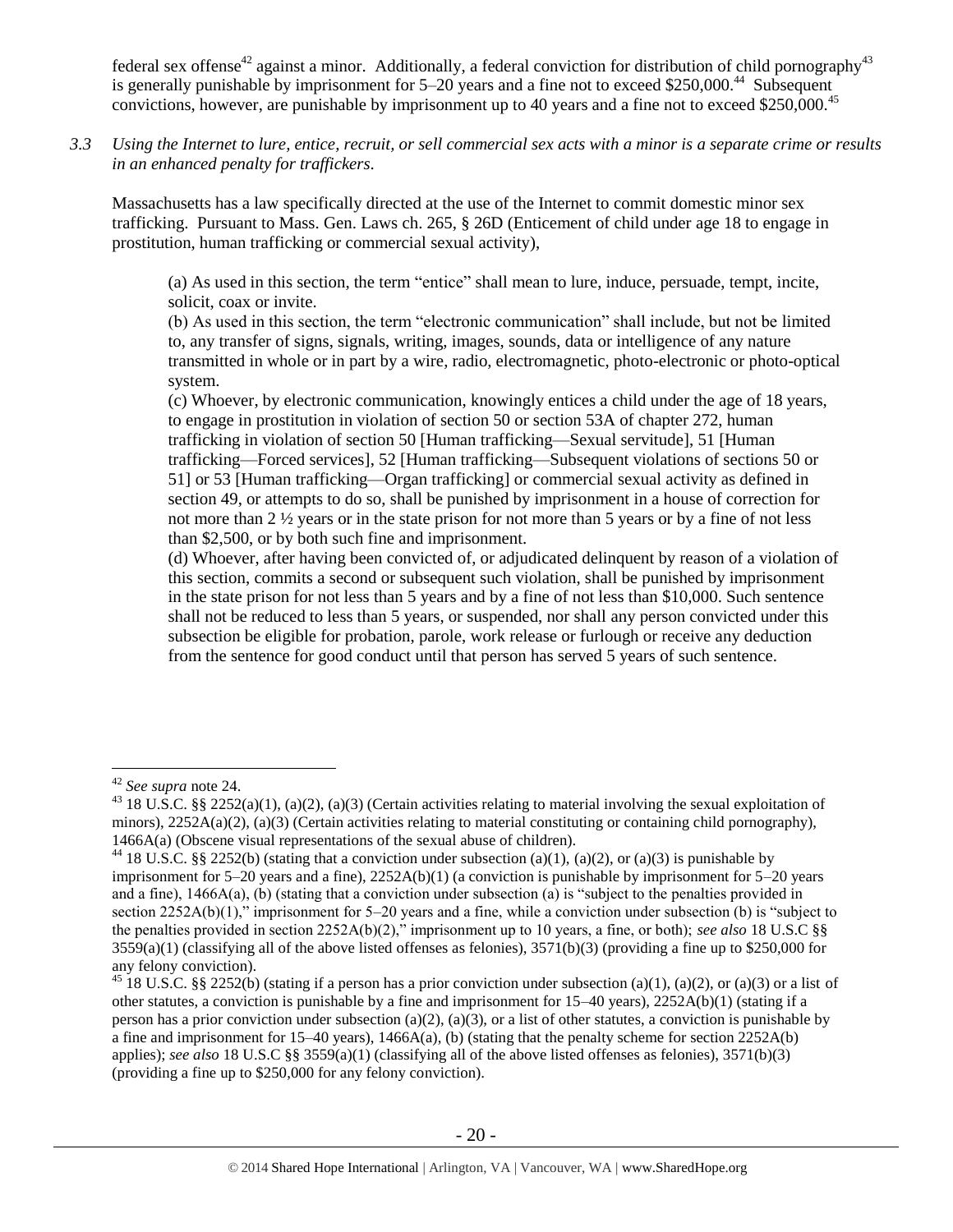federal sex offense<sup>42</sup> against a minor. Additionally, a federal conviction for distribution of child pornography<sup>43</sup> is generally punishable by imprisonment for 5–20 years and a fine not to exceed \$250,000.<sup>44</sup> Subsequent convictions, however, are punishable by imprisonment up to 40 years and a fine not to exceed \$250,000.<sup>45</sup>

*3.3 Using the Internet to lure, entice, recruit, or sell commercial sex acts with a minor is a separate crime or results in an enhanced penalty for traffickers.*

Massachusetts has a law specifically directed at the use of the Internet to commit domestic minor sex trafficking. Pursuant to Mass. Gen. Laws ch. 265, § 26D (Enticement of child under age 18 to engage in prostitution, human trafficking or commercial sexual activity),

(a) As used in this section, the term "entice" shall mean to lure, induce, persuade, tempt, incite, solicit, coax or invite.

(b) As used in this section, the term "electronic communication" shall include, but not be limited to, any transfer of signs, signals, writing, images, sounds, data or intelligence of any nature transmitted in whole or in part by a wire, radio, electromagnetic, photo-electronic or photo-optical system.

(c) Whoever, by electronic communication, knowingly entices a child under the age of 18 years, to engage in prostitution in violation of section 50 or section 53A of chapter 272, human trafficking in violation of section 50 [Human trafficking—Sexual servitude], 51 [Human trafficking—Forced services], 52 [Human trafficking—Subsequent violations of sections 50 or 51] or 53 [Human trafficking—Organ trafficking] or commercial sexual activity as defined in section 49, or attempts to do so, shall be punished by imprisonment in a house of correction for not more than 2 ½ years or in the state prison for not more than 5 years or by a fine of not less than \$2,500, or by both such fine and imprisonment.

(d) Whoever, after having been convicted of, or adjudicated delinquent by reason of a violation of this section, commits a second or subsequent such violation, shall be punished by imprisonment in the state prison for not less than 5 years and by a fine of not less than \$10,000. Such sentence shall not be reduced to less than 5 years, or suspended, nor shall any person convicted under this subsection be eligible for probation, parole, work release or furlough or receive any deduction from the sentence for good conduct until that person has served 5 years of such sentence.

<sup>42</sup> *See supra* note [24.](#page-10-0)

<sup>&</sup>lt;sup>43</sup> 18 U.S.C. §§ 2252(a)(1), (a)(2), (a)(3) (Certain activities relating to material involving the sexual exploitation of minors),  $2252A(a)(2)$ , (a)(3) (Certain activities relating to material constituting or containing child pornography), 1466A(a) (Obscene visual representations of the sexual abuse of children).

<sup>&</sup>lt;sup>44</sup> 18 U.S.C. §§ 2252(b) (stating that a conviction under subsection (a)(1), (a)(2), or (a)(3) is punishable by imprisonment for  $5-20$  years and a fine),  $2252A(b)(1)$  (a conviction is punishable by imprisonment for  $5-20$  years and a fine), 1466A(a), (b) (stating that a conviction under subsection (a) is "subject to the penalties provided in section 2252A(b)(1)," imprisonment for 5–20 years and a fine, while a conviction under subsection (b) is "subject to the penalties provided in section 2252A(b)(2)," imprisonment up to 10 years, a fine, or both); *see also* 18 U.S.C §§  $3559(a)(1)$  (classifying all of the above listed offenses as felonies),  $3571(b)(3)$  (providing a fine up to \$250,000 for any felony conviction).

<sup>&</sup>lt;sup>45</sup> 18 U.S.C. §§ 2252(b) (stating if a person has a prior conviction under subsection (a)(1), (a)(2), or (a)(3) or a list of other statutes, a conviction is punishable by a fine and imprisonment for 15–40 years), 2252A(b)(1) (stating if a person has a prior conviction under subsection (a)(2), (a)(3), or a list of other statutes, a conviction is punishable by a fine and imprisonment for 15–40 years), 1466A(a), (b) (stating that the penalty scheme for section 2252A(b) applies); *see also* 18 U.S.C §§ 3559(a)(1) (classifying all of the above listed offenses as felonies), 3571(b)(3) (providing a fine up to \$250,000 for any felony conviction).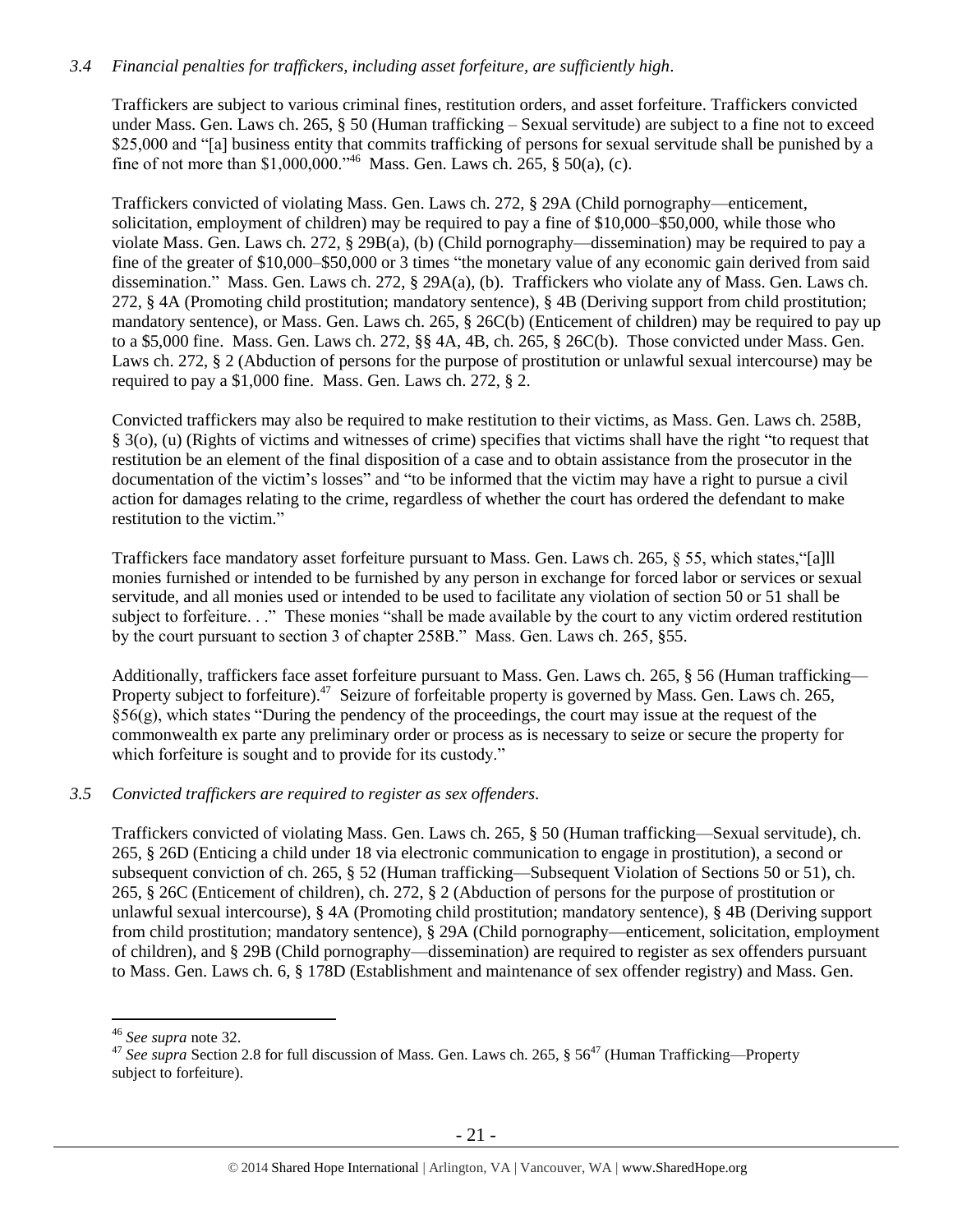# *3.4 Financial penalties for traffickers, including asset forfeiture, are sufficiently high*.

Traffickers are subject to various criminal fines, restitution orders, and asset forfeiture. Traffickers convicted under Mass. Gen. Laws ch. 265, § 50 (Human trafficking – Sexual servitude) are subject to a fine not to exceed \$25,000 and "[a] business entity that commits trafficking of persons for sexual servitude shall be punished by a fine of not more than \$1,000,000."<sup>46</sup> Mass. Gen. Laws ch. 265,  $\S$  50(a), (c).

Traffickers convicted of violating Mass. Gen. Laws ch. 272, § 29A (Child pornography—enticement, solicitation, employment of children) may be required to pay a fine of \$10,000–\$50,000, while those who violate Mass. Gen. Laws ch. 272, § 29B(a), (b) (Child pornography—dissemination) may be required to pay a fine of the greater of \$10,000–\$50,000 or 3 times "the monetary value of any economic gain derived from said dissemination." Mass. Gen. Laws ch. 272, § 29A(a), (b). Traffickers who violate any of Mass. Gen. Laws ch. 272, § 4A (Promoting child prostitution; mandatory sentence), § 4B (Deriving support from child prostitution; mandatory sentence), or Mass. Gen. Laws ch. 265, § 26C(b) (Enticement of children) may be required to pay up to a \$5,000 fine. Mass. Gen. Laws ch. 272, §§ 4A, 4B, ch. 265, § 26C(b). Those convicted under Mass. Gen. Laws ch. 272, § 2 (Abduction of persons for the purpose of prostitution or unlawful sexual intercourse) may be required to pay a \$1,000 fine. Mass. Gen. Laws ch. 272, § 2.

Convicted traffickers may also be required to make restitution to their victims, as Mass. Gen. Laws ch. 258B, § 3(o), (u) (Rights of victims and witnesses of crime) specifies that victims shall have the right "to request that restitution be an element of the final disposition of a case and to obtain assistance from the prosecutor in the documentation of the victim's losses" and "to be informed that the victim may have a right to pursue a civil action for damages relating to the crime, regardless of whether the court has ordered the defendant to make restitution to the victim."

Traffickers face mandatory asset forfeiture pursuant to Mass. Gen. Laws ch. 265, § 55, which states,"[a]ll monies furnished or intended to be furnished by any person in exchange for forced labor or services or sexual servitude, and all monies used or intended to be used to facilitate any violation of section 50 or 51 shall be subject to forfeiture. . ." These monies "shall be made available by the court to any victim ordered restitution by the court pursuant to section 3 of chapter 258B." Mass. Gen. Laws ch. 265, §55.

Additionally, traffickers face asset forfeiture pursuant to Mass. Gen. Laws ch. 265, § 56 (Human trafficking— Property subject to forfeiture).<sup>47</sup> Seizure of forfeitable property is governed by Mass. Gen. Laws ch. 265,  $§56(g)$ , which states "During the pendency of the proceedings, the court may issue at the request of the commonwealth ex parte any preliminary order or process as is necessary to seize or secure the property for which forfeiture is sought and to provide for its custody."

## *3.5 Convicted traffickers are required to register as sex offenders.*

Traffickers convicted of violating Mass. Gen. Laws ch. 265, § 50 (Human trafficking—Sexual servitude), ch. 265, § 26D (Enticing a child under 18 via electronic communication to engage in prostitution), a second or subsequent conviction of ch. 265, § 52 (Human trafficking—Subsequent Violation of Sections 50 or 51), ch. 265, § 26C (Enticement of children), ch. 272, § 2 (Abduction of persons for the purpose of prostitution or unlawful sexual intercourse), § 4A (Promoting child prostitution; mandatory sentence), § 4B (Deriving support from child prostitution; mandatory sentence), § 29A (Child pornography—enticement, solicitation, employment of children), and § 29B (Child pornography—dissemination) are required to register as sex offenders pursuant to Mass. Gen. Laws ch. 6, § 178D (Establishment and maintenance of sex offender registry) and Mass. Gen.

<sup>46</sup> *See supra* note [32.](#page-16-0)

<sup>&</sup>lt;sup>47</sup> See supra Section 2.8 for full discussion of Mass. Gen. Laws ch. 265, § 56<sup>47</sup> (Human Trafficking—Property subject to forfeiture).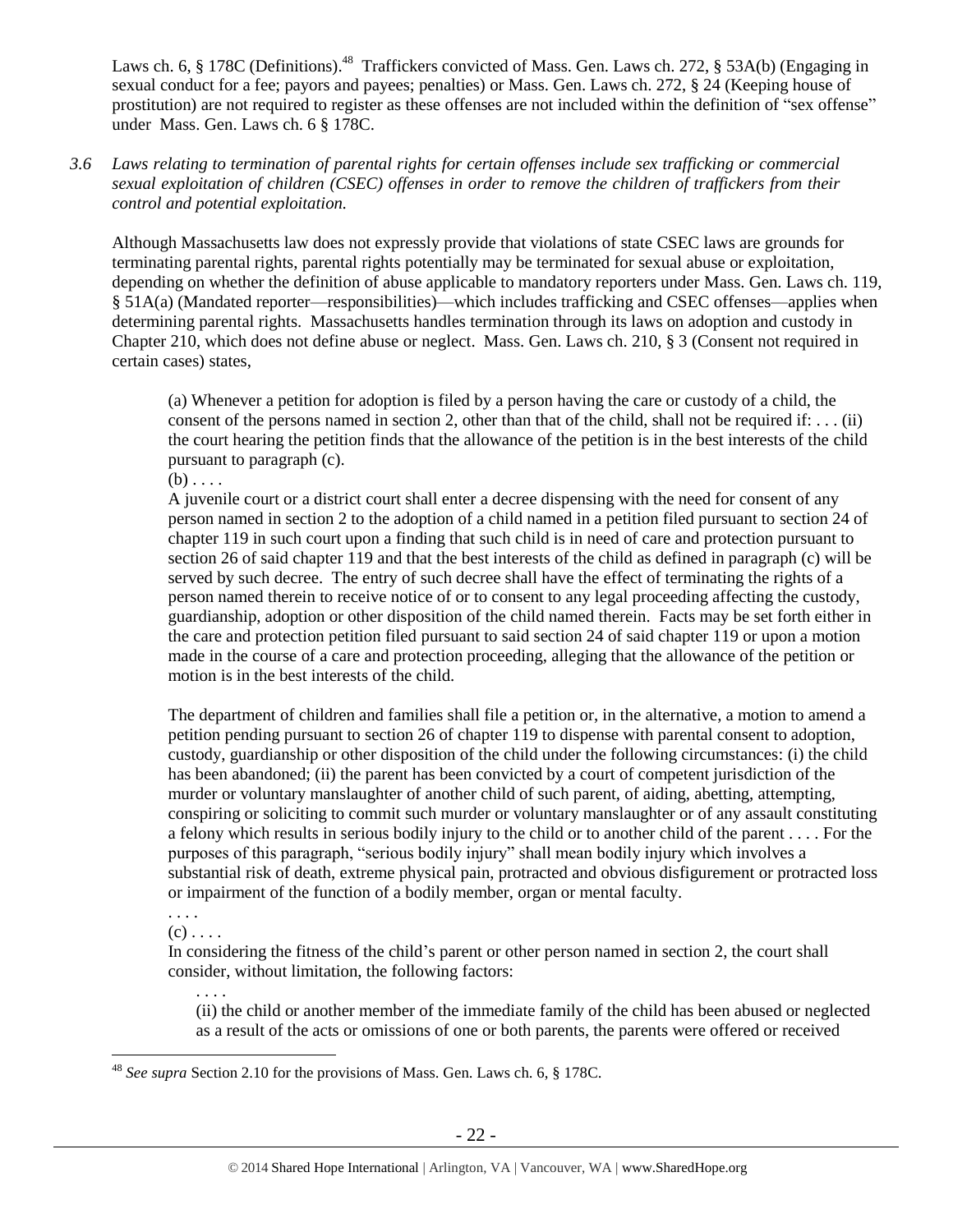Laws ch. 6, § 178C (Definitions).<sup>48</sup> Traffickers convicted of Mass. Gen. Laws ch. 272, § 53A(b) (Engaging in sexual conduct for a fee; payors and payees; penalties) or Mass. Gen. Laws ch. 272, § 24 (Keeping house of prostitution) are not required to register as these offenses are not included within the definition of "sex offense" under Mass. Gen. Laws ch. 6 § 178C.

# *3.6 Laws relating to termination of parental rights for certain offenses include sex trafficking or commercial sexual exploitation of children (CSEC) offenses in order to remove the children of traffickers from their control and potential exploitation.*

Although Massachusetts law does not expressly provide that violations of state CSEC laws are grounds for terminating parental rights, parental rights potentially may be terminated for sexual abuse or exploitation, depending on whether the definition of abuse applicable to mandatory reporters under Mass. Gen. Laws ch. 119, § 51A(a) (Mandated reporter—responsibilities)—which includes trafficking and CSEC offenses—applies when determining parental rights. Massachusetts handles termination through its laws on adoption and custody in Chapter 210, which does not define abuse or neglect. Mass. Gen. Laws ch. 210, § 3 (Consent not required in certain cases) states,

(a) Whenever a petition for adoption is filed by a person having the care or custody of a child, the consent of the persons named in section 2, other than that of the child, shall not be required if:  $\dots$  (ii) the court hearing the petition finds that the allowance of the petition is in the best interests of the child pursuant to paragraph (c).

 $(b) \ldots$ 

A juvenile court or a district court shall enter a decree dispensing with the need for consent of any person named in section 2 to the adoption of a child named in a petition filed pursuant to section 24 of chapter 119 in such court upon a finding that such child is in need of care and protection pursuant to section 26 of said chapter 119 and that the best interests of the child as defined in paragraph (c) will be served by such decree. The entry of such decree shall have the effect of terminating the rights of a person named therein to receive notice of or to consent to any legal proceeding affecting the custody, guardianship, adoption or other disposition of the child named therein. Facts may be set forth either in the care and protection petition filed pursuant to said section 24 of said chapter 119 or upon a motion made in the course of a care and protection proceeding, alleging that the allowance of the petition or motion is in the best interests of the child.

The department of children and families shall file a petition or, in the alternative, a motion to amend a petition pending pursuant to section 26 of chapter 119 to dispense with parental consent to adoption, custody, guardianship or other disposition of the child under the following circumstances: (i) the child has been abandoned; (ii) the parent has been convicted by a court of competent jurisdiction of the murder or voluntary manslaughter of another child of such parent, of aiding, abetting, attempting, conspiring or soliciting to commit such murder or voluntary manslaughter or of any assault constituting a felony which results in serious bodily injury to the child or to another child of the parent . . . . For the purposes of this paragraph, "serious bodily injury" shall mean bodily injury which involves a substantial risk of death, extreme physical pain, protracted and obvious disfigurement or protracted loss or impairment of the function of a bodily member, organ or mental faculty.

. . . .  $(c)$ ...

. . . .

In considering the fitness of the child's parent or other person named in section 2, the court shall consider, without limitation, the following factors:

(ii) the child or another member of the immediate family of the child has been abused or neglected as a result of the acts or omissions of one or both parents, the parents were offered or received

 $\overline{a}$ <sup>48</sup> *See supra* Section 2.10 for the provisions of Mass. Gen. Laws ch. 6, § 178C.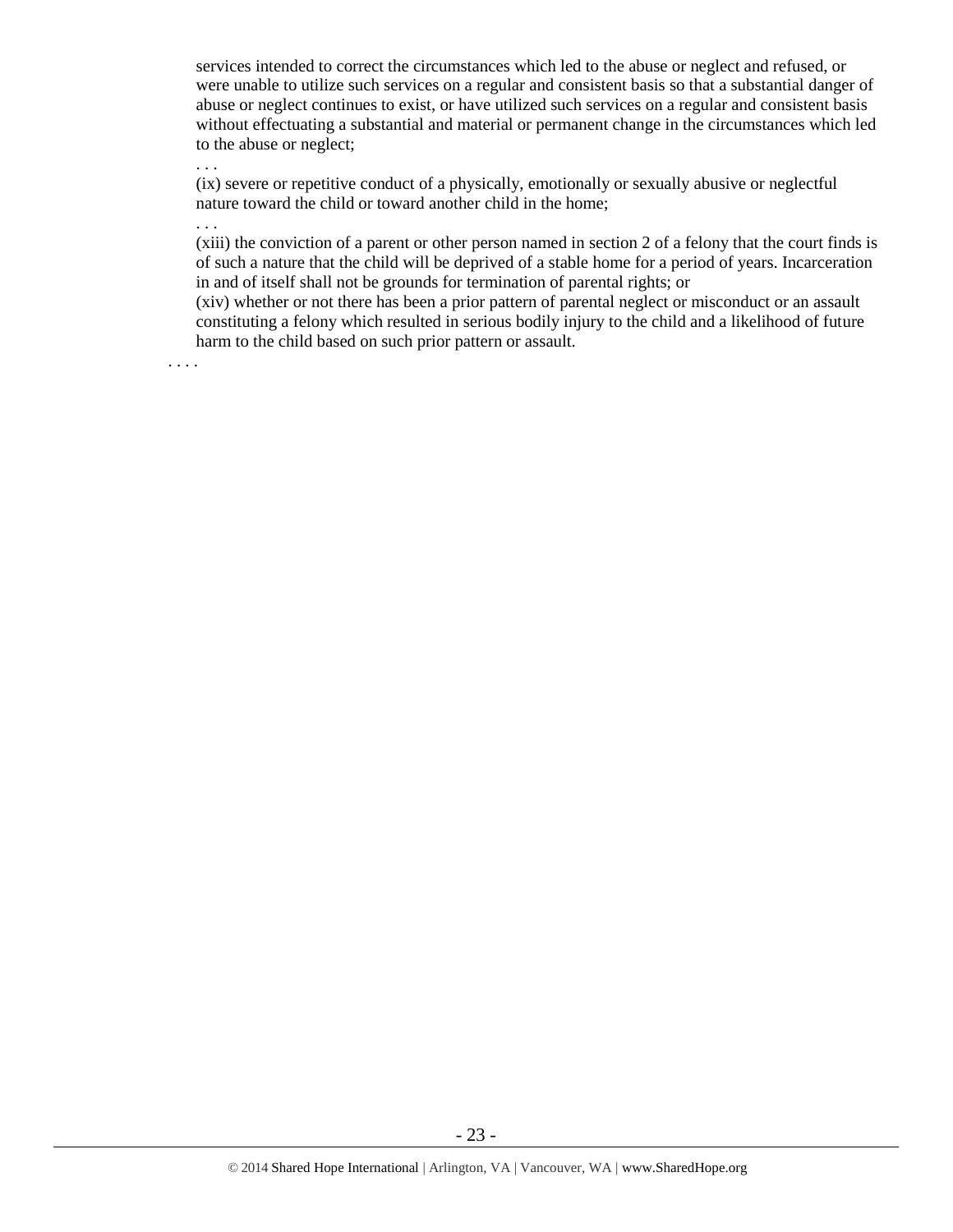services intended to correct the circumstances which led to the abuse or neglect and refused, or were unable to utilize such services on a regular and consistent basis so that a substantial danger of abuse or neglect continues to exist, or have utilized such services on a regular and consistent basis without effectuating a substantial and material or permanent change in the circumstances which led to the abuse or neglect;

(ix) severe or repetitive conduct of a physically, emotionally or sexually abusive or neglectful nature toward the child or toward another child in the home;

. . .

. . .

(xiii) the conviction of a parent or other person named in section 2 of a felony that the court finds is of such a nature that the child will be deprived of a stable home for a period of years. Incarceration in and of itself shall not be grounds for termination of parental rights; or

(xiv) whether or not there has been a prior pattern of parental neglect or misconduct or an assault constituting a felony which resulted in serious bodily injury to the child and a likelihood of future harm to the child based on such prior pattern or assault.

. . . .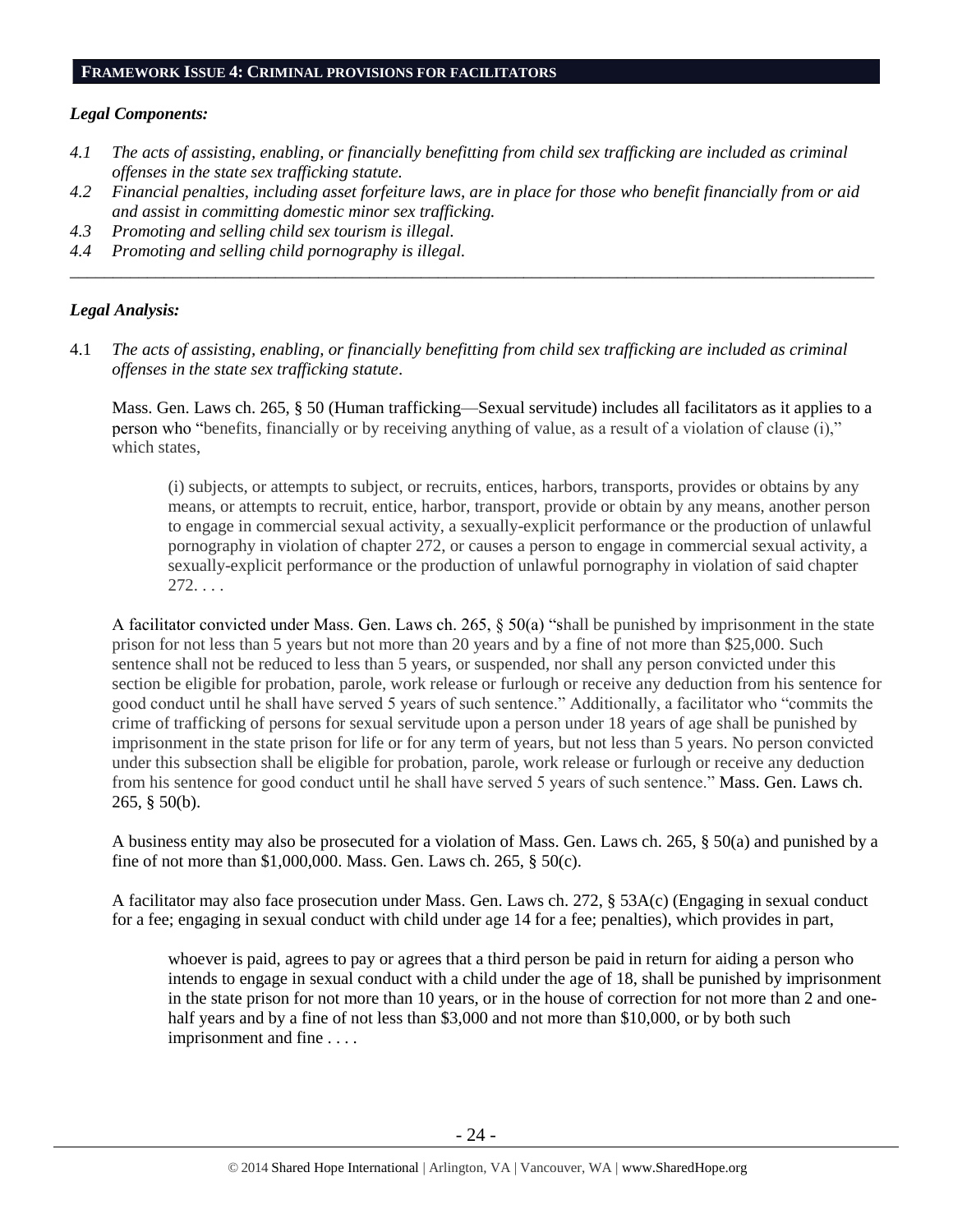#### **FRAMEWORK ISSUE 4: CRIMINAL PROVISIONS FOR FACILITATORS**

#### *Legal Components:*

- *4.1 The acts of assisting, enabling, or financially benefitting from child sex trafficking are included as criminal offenses in the state sex trafficking statute.*
- *4.2 Financial penalties, including asset forfeiture laws, are in place for those who benefit financially from or aid and assist in committing domestic minor sex trafficking.*

*\_\_\_\_\_\_\_\_\_\_\_\_\_\_\_\_\_\_\_\_\_\_\_\_\_\_\_\_\_\_\_\_\_\_\_\_\_\_\_\_\_\_\_\_\_\_\_\_\_\_\_\_\_\_\_\_\_\_\_\_\_\_\_\_\_\_\_\_\_\_\_\_\_\_\_\_\_\_\_\_\_\_\_\_\_\_\_\_\_\_\_\_\_\_*

- *4.3 Promoting and selling child sex tourism is illegal.*
- *4.4 Promoting and selling child pornography is illegal.*

#### *Legal Analysis:*

4.1 *The acts of assisting, enabling, or financially benefitting from child sex trafficking are included as criminal offenses in the state sex trafficking statute*.

Mass. Gen. Laws ch. 265, § 50 (Human trafficking—Sexual servitude) includes all facilitators as it applies to a person who "benefits, financially or by receiving anything of value, as a result of a violation of clause (i)," which states,

(i) subjects, or attempts to subject, or recruits, entices, harbors, transports, provides or obtains by any means, or attempts to recruit, entice, harbor, transport, provide or obtain by any means, another person to engage in commercial sexual activity, a sexually-explicit performance or the production of unlawful pornography in violation of chapter 272, or causes a person to engage in commercial sexual activity, a sexually-explicit performance or the production of unlawful pornography in violation of said chapter 272. . . .

A facilitator convicted under Mass. Gen. Laws ch. 265, § 50(a) "shall be punished by imprisonment in the state prison for not less than 5 years but not more than 20 years and by a fine of not more than \$25,000. Such sentence shall not be reduced to less than 5 years, or suspended, nor shall any person convicted under this section be eligible for probation, parole, work release or furlough or receive any deduction from his sentence for good conduct until he shall have served 5 years of such sentence." Additionally, a facilitator who "commits the crime of trafficking of persons for sexual servitude upon a person under 18 years of age shall be punished by imprisonment in the state prison for life or for any term of years, but not less than 5 years. No person convicted under this subsection shall be eligible for probation, parole, work release or furlough or receive any deduction from his sentence for good conduct until he shall have served 5 years of such sentence." Mass. Gen. Laws ch. 265, § 50(b).

A business entity may also be prosecuted for a violation of Mass. Gen. Laws ch. 265, § 50(a) and punished by a fine of not more than \$1,000,000. Mass. Gen. Laws ch. 265, § 50(c).

A facilitator may also face prosecution under Mass. Gen. Laws ch. 272, § 53A(c) (Engaging in sexual conduct for a fee; engaging in sexual conduct with child under age 14 for a fee; penalties), which provides in part,

whoever is paid, agrees to pay or agrees that a third person be paid in return for aiding a person who intends to engage in sexual conduct with a child under the age of 18, shall be punished by imprisonment in the state prison for not more than 10 years, or in the house of correction for not more than 2 and onehalf years and by a fine of not less than \$3,000 and not more than \$10,000, or by both such imprisonment and fine . . . .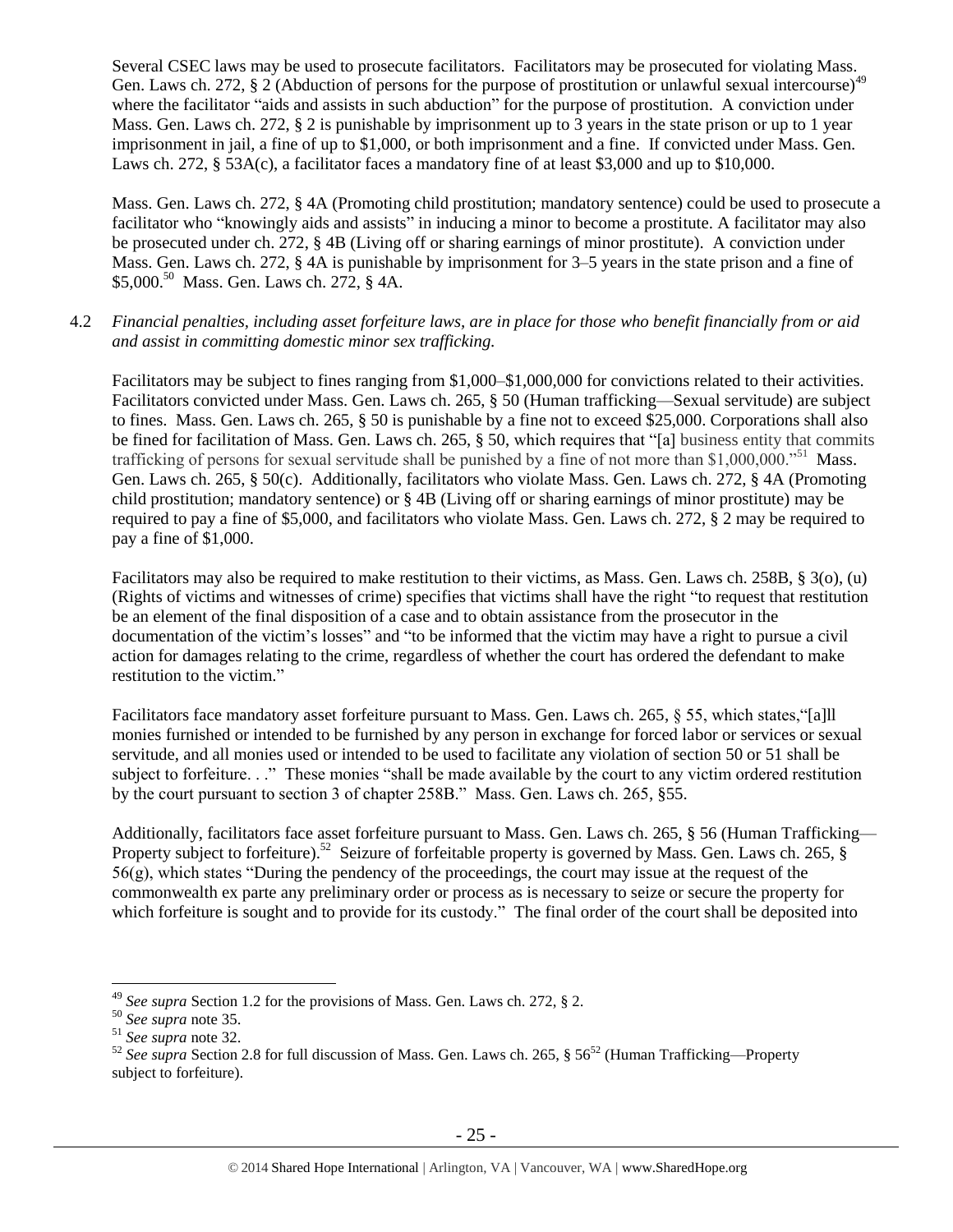Several CSEC laws may be used to prosecute facilitators. Facilitators may be prosecuted for violating Mass. Gen. Laws ch. 272, § 2 (Abduction of persons for the purpose of prostitution or unlawful sexual intercourse)<sup>49</sup> where the facilitator "aids and assists in such abduction" for the purpose of prostitution. A conviction under Mass. Gen. Laws ch. 272, § 2 is punishable by imprisonment up to 3 years in the state prison or up to 1 year imprisonment in jail, a fine of up to \$1,000, or both imprisonment and a fine. If convicted under Mass. Gen. Laws ch. 272, § 53A(c), a facilitator faces a mandatory fine of at least \$3,000 and up to \$10,000.

Mass. Gen. Laws ch. 272, § 4A (Promoting child prostitution; mandatory sentence) could be used to prosecute a facilitator who "knowingly aids and assists" in inducing a minor to become a prostitute. A facilitator may also be prosecuted under ch. 272, § 4B (Living off or sharing earnings of minor prostitute). A conviction under Mass. Gen. Laws ch. 272, § 4A is punishable by imprisonment for 3–5 years in the state prison and a fine of \$5,000. <sup>50</sup> Mass. Gen. Laws ch. 272, § 4A.

4.2 *Financial penalties, including asset forfeiture laws, are in place for those who benefit financially from or aid and assist in committing domestic minor sex trafficking.*

Facilitators may be subject to fines ranging from \$1,000–\$1,000,000 for convictions related to their activities. Facilitators convicted under Mass. Gen. Laws ch. 265, § 50 (Human trafficking—Sexual servitude) are subject to fines. Mass. Gen. Laws ch. 265, § 50 is punishable by a fine not to exceed \$25,000. Corporations shall also be fined for facilitation of Mass. Gen. Laws ch. 265, § 50, which requires that "[a] business entity that commits trafficking of persons for sexual servitude shall be punished by a fine of not more than \$1,000,000."<sup>51</sup> Mass. Gen. Laws ch. 265, § 50(c). Additionally, facilitators who violate Mass. Gen. Laws ch. 272, § 4A (Promoting child prostitution; mandatory sentence) or § 4B (Living off or sharing earnings of minor prostitute) may be required to pay a fine of \$5,000, and facilitators who violate Mass. Gen. Laws ch. 272, § 2 may be required to pay a fine of \$1,000.

Facilitators may also be required to make restitution to their victims, as Mass. Gen. Laws ch. 258B, § 3(o), (u) (Rights of victims and witnesses of crime) specifies that victims shall have the right "to request that restitution be an element of the final disposition of a case and to obtain assistance from the prosecutor in the documentation of the victim's losses" and "to be informed that the victim may have a right to pursue a civil action for damages relating to the crime, regardless of whether the court has ordered the defendant to make restitution to the victim."

Facilitators face mandatory asset forfeiture pursuant to Mass. Gen. Laws ch. 265, § 55, which states,"[a]ll monies furnished or intended to be furnished by any person in exchange for forced labor or services or sexual servitude, and all monies used or intended to be used to facilitate any violation of section 50 or 51 shall be subject to forfeiture. . ." These monies "shall be made available by the court to any victim ordered restitution by the court pursuant to section 3 of chapter 258B." Mass. Gen. Laws ch. 265, §55.

Additionally, facilitators face asset forfeiture pursuant to Mass. Gen. Laws ch. 265, § 56 (Human Trafficking— Property subject to forfeiture).<sup>52</sup> Seizure of forfeitable property is governed by Mass. Gen. Laws ch. 265, § 56(g), which states "During the pendency of the proceedings, the court may issue at the request of the commonwealth ex parte any preliminary order or process as is necessary to seize or secure the property for which forfeiture is sought and to provide for its custody." The final order of the court shall be deposited into

<sup>49</sup> *See supra* Section 1.2 for the provisions of Mass. Gen. Laws ch. 272, § 2.

<sup>50</sup> *See supra* note [35.](#page-16-1)

<sup>51</sup> *See supra* note [32.](#page-16-0)

<sup>&</sup>lt;sup>52</sup> See supra Section 2.8 for full discussion of Mass. Gen. Laws ch. 265, § 56<sup>52</sup> (Human Trafficking—Property subject to forfeiture).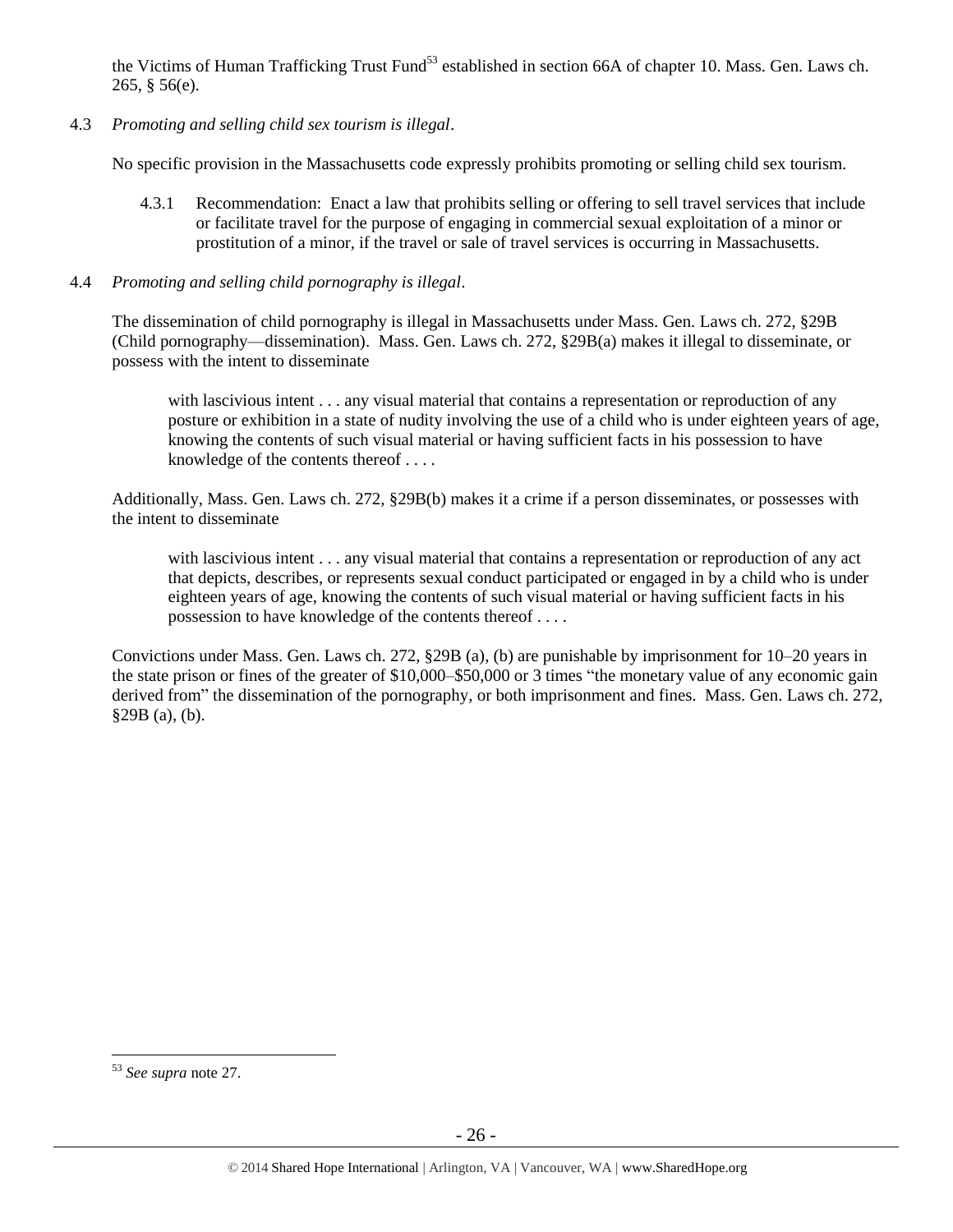the Victims of Human Trafficking Trust Fund<sup>53</sup> established in section 66A of chapter 10. Mass. Gen. Laws ch. 265, § 56(e).

4.3 *Promoting and selling child sex tourism is illegal*.

No specific provision in the Massachusetts code expressly prohibits promoting or selling child sex tourism.

- 4.3.1 Recommendation: Enact a law that prohibits selling or offering to sell travel services that include or facilitate travel for the purpose of engaging in commercial sexual exploitation of a minor or prostitution of a minor, if the travel or sale of travel services is occurring in Massachusetts.
- 4.4 *Promoting and selling child pornography is illegal*.

The dissemination of child pornography is illegal in Massachusetts under Mass. Gen. Laws ch. 272, §29B (Child pornography—dissemination). Mass. Gen. Laws ch. 272, §29B(a) makes it illegal to disseminate, or possess with the intent to disseminate

with lascivious intent . . . any visual material that contains a representation or reproduction of any posture or exhibition in a state of nudity involving the use of a child who is under eighteen years of age, knowing the contents of such visual material or having sufficient facts in his possession to have knowledge of the contents thereof . . . .

Additionally, Mass. Gen. Laws ch. 272, §29B(b) makes it a crime if a person disseminates, or possesses with the intent to disseminate

with lascivious intent . . . any visual material that contains a representation or reproduction of any act that depicts, describes, or represents sexual conduct participated or engaged in by a child who is under eighteen years of age, knowing the contents of such visual material or having sufficient facts in his possession to have knowledge of the contents thereof . . . .

Convictions under Mass. Gen. Laws ch. 272, §29B (a), (b) are punishable by imprisonment for 10–20 years in the state prison or fines of the greater of \$10,000–\$50,000 or 3 times "the monetary value of any economic gain derived from" the dissemination of the pornography, or both imprisonment and fines. Mass. Gen. Laws ch. 272, §29B (a), (b).

<sup>53</sup> *See supra* note [27.](#page-13-0)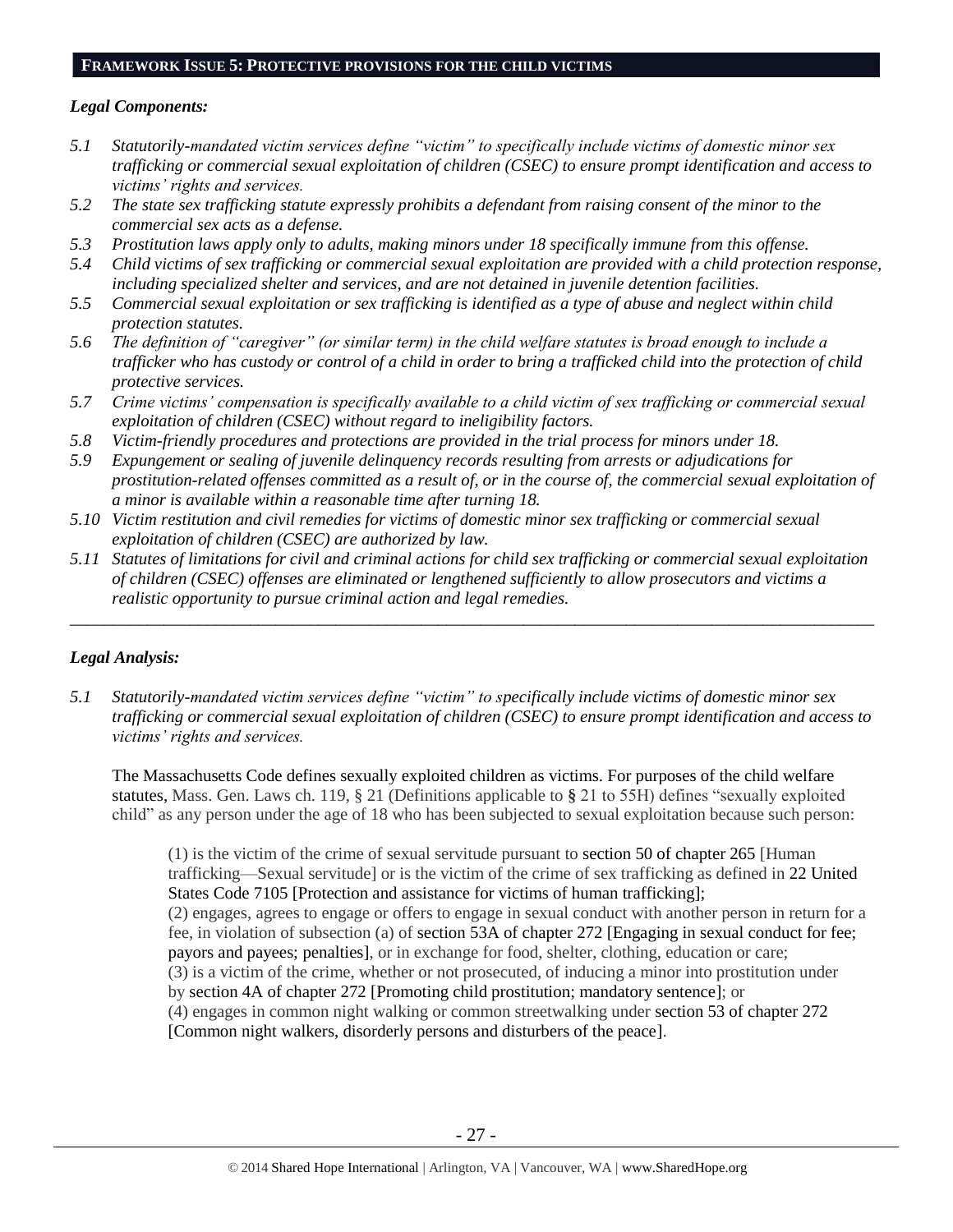#### **FRAMEWORK ISSUE 5: PROTECTIVE PROVISIONS FOR THE CHILD VICTIMS**

## *Legal Components:*

- <span id="page-26-0"></span>*5.1 Statutorily-mandated victim services define "victim" to specifically include victims of domestic minor sex trafficking or commercial sexual exploitation of children (CSEC) to ensure prompt identification and access to victims' rights and services.*
- *5.2 The state sex trafficking statute expressly prohibits a defendant from raising consent of the minor to the commercial sex acts as a defense.*
- *5.3 Prostitution laws apply only to adults, making minors under 18 specifically immune from this offense.*
- <span id="page-26-1"></span>*5.4 Child victims of sex trafficking or commercial sexual exploitation are provided with a child protection response, including specialized shelter and services, and are not detained in juvenile detention facilities.*
- *5.5 Commercial sexual exploitation or sex trafficking is identified as a type of abuse and neglect within child protection statutes.*
- *5.6 The definition of "caregiver" (or similar term) in the child welfare statutes is broad enough to include a trafficker who has custody or control of a child in order to bring a trafficked child into the protection of child protective services.*
- *5.7 Crime victims' compensation is specifically available to a child victim of sex trafficking or commercial sexual exploitation of children (CSEC) without regard to ineligibility factors.*
- *5.8 Victim-friendly procedures and protections are provided in the trial process for minors under 18.*
- *5.9 Expungement or sealing of juvenile delinquency records resulting from arrests or adjudications for prostitution-related offenses committed as a result of, or in the course of, the commercial sexual exploitation of a minor is available within a reasonable time after turning 18.*
- *5.10 Victim restitution and civil remedies for victims of domestic minor sex trafficking or commercial sexual exploitation of children (CSEC) are authorized by law.*
- *5.11 Statutes of limitations for civil and criminal actions for child sex trafficking or commercial sexual exploitation of children (CSEC) offenses are eliminated or lengthened sufficiently to allow prosecutors and victims a realistic opportunity to pursue criminal action and legal remedies.*

*\_\_\_\_\_\_\_\_\_\_\_\_\_\_\_\_\_\_\_\_\_\_\_\_\_\_\_\_\_\_\_\_\_\_\_\_\_\_\_\_\_\_\_\_\_\_\_\_\_\_\_\_\_\_\_\_\_\_\_\_\_\_\_\_\_\_\_\_\_\_\_\_\_\_\_\_\_\_\_\_\_\_\_\_\_\_\_\_\_\_\_\_\_\_*

## *Legal Analysis:*

*5.1 Statutorily-mandated victim services define "victim" to specifically include victims of domestic minor sex trafficking or commercial sexual exploitation of children (CSEC) to ensure prompt identification and access to victims' rights and services.*

The Massachusetts Code defines sexually exploited children as victims. For purposes of the child welfare statutes, Mass. Gen. Laws ch. 119, § 21 (Definitions applicable to **§** 21 to 55H) defines "sexually exploited child" as any person under the age of 18 who has been subjected to sexual exploitation because such person:

(1) is the victim of the crime of sexual servitude pursuant to section 50 of chapter 265 [Human trafficking—Sexual servitude] or is the victim of the crime of sex trafficking as defined in 22 United States Code 7105 [Protection and assistance for victims of human trafficking]; (2) engages, agrees to engage or offers to engage in sexual conduct with another person in return for a fee, in violation of subsection (a) of section 53A of chapter 272 [Engaging in sexual conduct for fee; payors and payees; penalties], or in exchange for food, shelter, clothing, education or care; (3) is a victim of the crime, whether or not prosecuted, of inducing a minor into prostitution under by section 4A of chapter 272 [Promoting child prostitution; mandatory sentence]; or (4) engages in common night walking or common streetwalking under section 53 of chapter 272 [Common night walkers, disorderly persons and disturbers of the peace].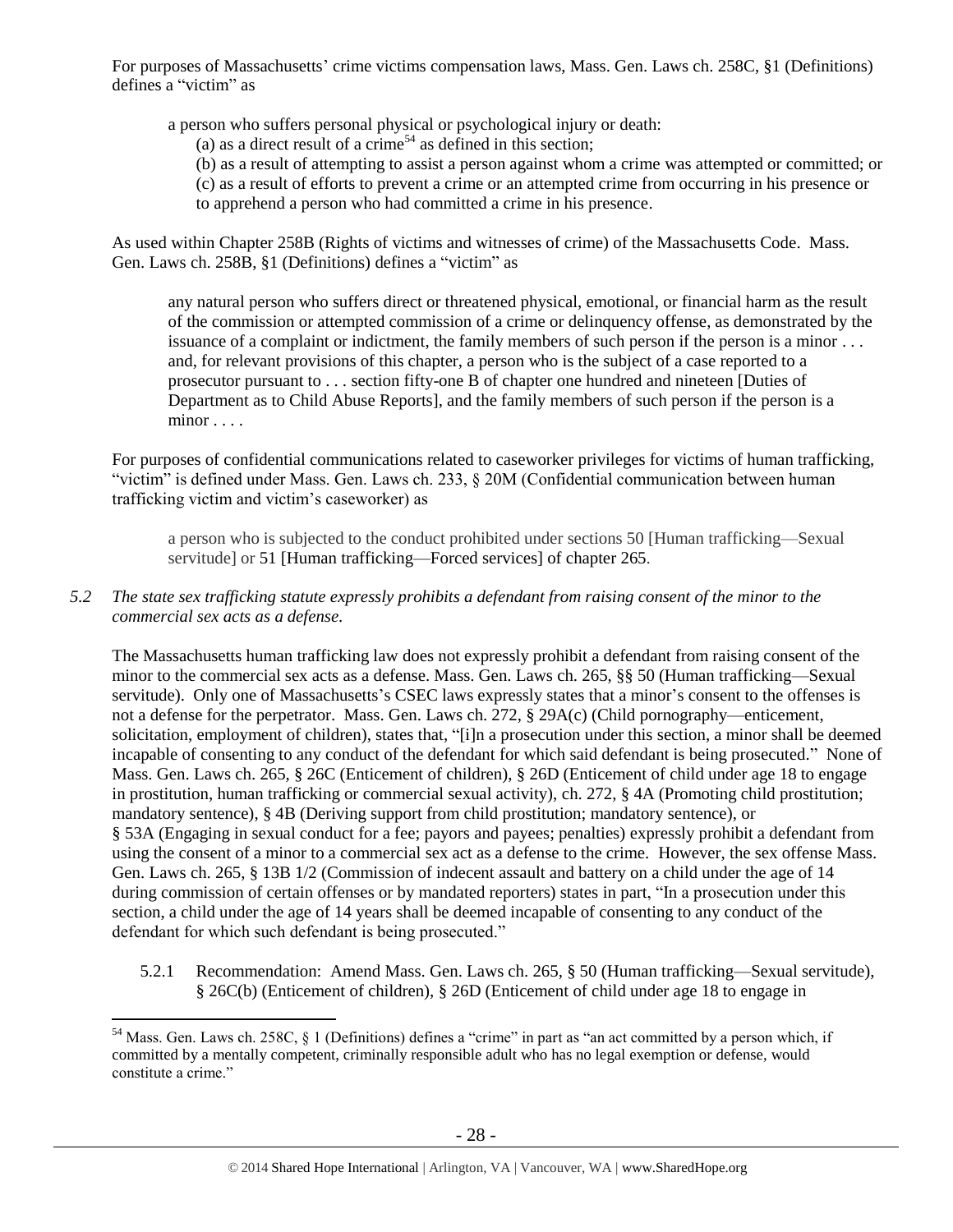For purposes of Massachusetts' crime victims compensation laws, Mass. Gen. Laws ch. 258C, §1 (Definitions) defines a "victim" as

a person who suffers personal physical or psychological injury or death:

(a) as a direct result of a crime<sup>54</sup> as defined in this section;

- (b) as a result of attempting to assist a person against whom a crime was attempted or committed; or
- (c) as a result of efforts to prevent a crime or an attempted crime from occurring in his presence or
- to apprehend a person who had committed a crime in his presence.

As used within Chapter 258B (Rights of victims and witnesses of crime) of the Massachusetts Code. Mass. Gen. Laws ch. 258B, §1 (Definitions) defines a "victim" as

any natural person who suffers direct or threatened physical, emotional, or financial harm as the result of the commission or attempted commission of a crime or delinquency offense, as demonstrated by the issuance of a complaint or indictment, the family members of such person if the person is a minor . . . and, for relevant provisions of this chapter, a person who is the subject of a case reported to a prosecutor pursuant to . . . [section fifty-one B of chapter one hundred and nineteen](https://a.next.westlaw.com/Link/Document/FullText?findType=L&pubNum=1000042&cite=MAST119S51B&originatingDoc=NB51C3450173D11DB9292C066B0348FB7&refType=LQ&originationContext=document&transitionType=DocumentItem&contextData=(sc.Search)) [Duties of Department as to Child Abuse Reports], and the family members of such person if the person is a minor . . . .

For purposes of confidential communications related to caseworker privileges for victims of human trafficking, "victim" is defined under Mass. Gen. Laws ch. 233, § 20M (Confidential communication between human trafficking victim and victim's caseworker) as

a person who is subjected to the conduct prohibited under sections 50 [Human trafficking—Sexual servitude] or 51 [Human trafficking—Forced services] of chapter 265.

# *5.2 The state sex trafficking statute expressly prohibits a defendant from raising consent of the minor to the commercial sex acts as a defense.*

The Massachusetts human trafficking law does not expressly prohibit a defendant from raising consent of the minor to the commercial sex acts as a defense. Mass. Gen. Laws ch. 265, §§ 50 (Human trafficking—Sexual servitude). Only one of Massachusetts's CSEC laws expressly states that a minor's consent to the offenses is not a defense for the perpetrator. Mass. Gen. Laws ch. 272, § 29A(c) (Child pornography—enticement, solicitation, employment of children), states that, "[i]n a prosecution under this section, a minor shall be deemed incapable of consenting to any conduct of the defendant for which said defendant is being prosecuted." None of Mass. Gen. Laws ch. 265, § 26C (Enticement of children), § 26D (Enticement of child under age 18 to engage in prostitution, human trafficking or commercial sexual activity), ch. 272, § 4A (Promoting child prostitution; mandatory sentence), § 4B (Deriving support from child prostitution; mandatory sentence), or § 53A (Engaging in sexual conduct for a fee; payors and payees; penalties) expressly prohibit a defendant from using the consent of a minor to a commercial sex act as a defense to the crime. However, the sex offense Mass. Gen. Laws ch. 265, § 13B 1/2 (Commission of indecent assault and battery on a child under the age of 14 during commission of certain offenses or by mandated reporters) states in part, "In a prosecution under this section, a child under the age of 14 years shall be deemed incapable of consenting to any conduct of the defendant for which such defendant is being prosecuted."

5.2.1 Recommendation: Amend Mass. Gen. Laws ch. 265, § 50 (Human trafficking—Sexual servitude), § 26C(b) (Enticement of children), § 26D (Enticement of child under age 18 to engage in

 $54$  Mass. Gen. Laws ch. 258C, § 1 (Definitions) defines a "crime" in part as "an act committed by a person which, if committed by a mentally competent, criminally responsible adult who has no legal exemption or defense, would constitute a crime."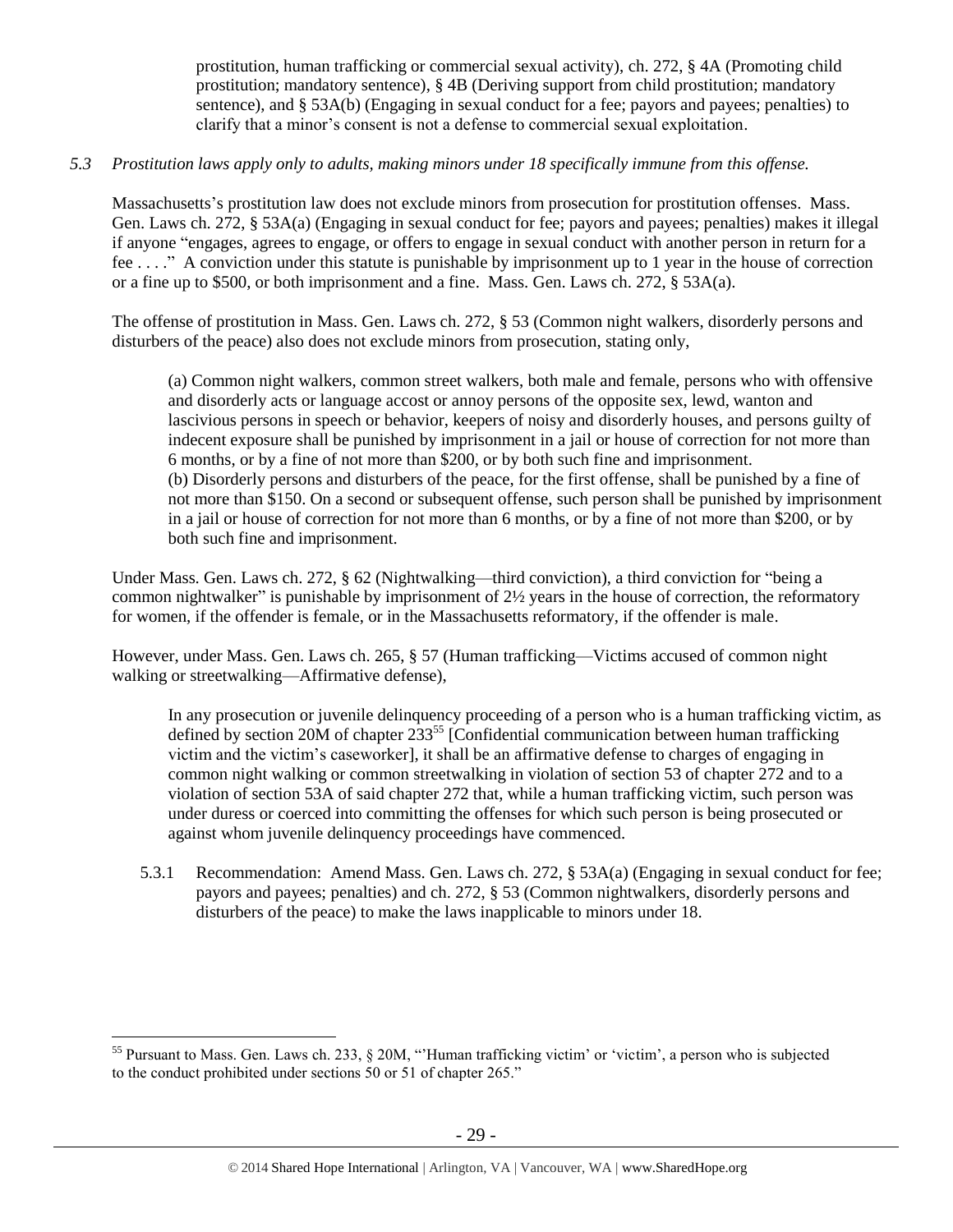prostitution, human trafficking or commercial sexual activity), ch. 272, § 4A (Promoting child prostitution; mandatory sentence), § 4B (Deriving support from child prostitution; mandatory sentence), and § 53A(b) (Engaging in sexual conduct for a fee; payors and payees; penalties) to clarify that a minor's consent is not a defense to commercial sexual exploitation.

# *5.3 Prostitution laws apply only to adults, making minors under 18 specifically immune from this offense.*

Massachusetts's prostitution law does not exclude minors from prosecution for prostitution offenses. Mass. Gen. Laws ch. 272, § 53A(a) (Engaging in sexual conduct for fee; payors and payees; penalties) makes it illegal if anyone "engages, agrees to engage, or offers to engage in sexual conduct with another person in return for a fee . . . ." A conviction under this statute is punishable by imprisonment up to 1 year in the house of correction or a fine up to \$500, or both imprisonment and a fine. Mass. Gen. Laws ch. 272, § 53A(a).

The offense of prostitution in Mass. Gen. Laws ch. 272, § 53 (Common night walkers, disorderly persons and disturbers of the peace) also does not exclude minors from prosecution, stating only,

(a) Common night walkers, common street walkers, both male and female, persons who with offensive and disorderly acts or language accost or annoy persons of the opposite sex, lewd, wanton and lascivious persons in speech or behavior, keepers of noisy and disorderly houses, and persons guilty of indecent exposure shall be punished by imprisonment in a jail or house of correction for not more than 6 months, or by a fine of not more than \$200, or by both such fine and imprisonment. (b) Disorderly persons and disturbers of the peace, for the first offense, shall be punished by a fine of not more than \$150. On a second or subsequent offense, such person shall be punished by imprisonment in a jail or house of correction for not more than 6 months, or by a fine of not more than \$200, or by both such fine and imprisonment.

Under Mass. Gen. Laws ch. 272, § 62 (Nightwalking—third conviction), a third conviction for "being a common nightwalker" is punishable by imprisonment of 2½ years in the house of correction, the reformatory for women, if the offender is female, or in the Massachusetts reformatory, if the offender is male.

However, under Mass. Gen. Laws ch. 265, § 57 (Human trafficking—Victims accused of common night walking or streetwalking—Affirmative defense),

In any prosecution or juvenile delinquency proceeding of a person who is a human trafficking victim, as defined by section 20M of chapter  $233^{55}$  [Confidential communication between human trafficking victim and the victim's caseworker], it shall be an affirmative defense to charges of engaging in common night walking or common streetwalking in violation of section 53 of chapter 272 and to a violation of section 53A of said chapter 272 that, while a human trafficking victim, such person was under duress or coerced into committing the offenses for which such person is being prosecuted or against whom juvenile delinquency proceedings have commenced.

5.3.1 Recommendation: Amend Mass. Gen. Laws ch. 272, § 53A(a) (Engaging in sexual conduct for fee; payors and payees; penalties) and ch. 272, § 53 (Common nightwalkers, disorderly persons and disturbers of the peace) to make the laws inapplicable to minors under 18.

<sup>&</sup>lt;sup>55</sup> Pursuant to Mass. Gen. Laws ch. 233,  $\S$  20M, "Human trafficking victim' or 'victim', a person who is subjected to the conduct prohibited under sections 50 or 51 of chapter 265."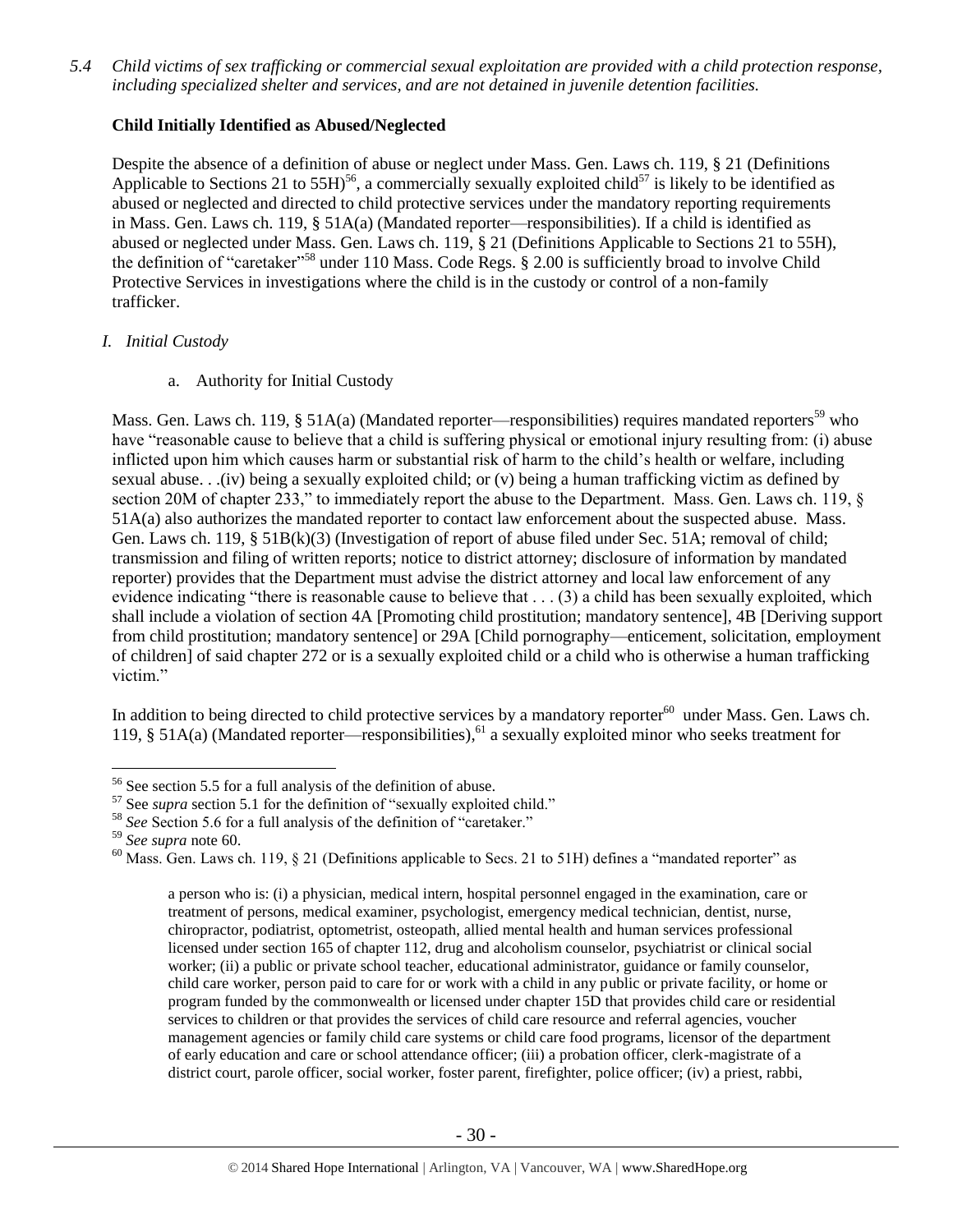*5.4 Child victims of sex trafficking or commercial sexual exploitation are provided with a child protection response, including specialized shelter and services, and are not detained in juvenile detention facilities.*

# **Child Initially Identified as Abused/Neglected**

Despite the absence of a definition of abuse or neglect under Mass. Gen. Laws ch. 119, § 21 (Definitions Applicable to Sections 21 to 55H)<sup>56</sup>, a commercially sexually exploited child<sup>57</sup> is likely to be identified as abused or neglected and directed to child protective services under the mandatory reporting requirements in Mass. Gen. Laws ch. 119, § 51A(a) (Mandated reporter—responsibilities). If a child is identified as abused or neglected under Mass. Gen. Laws ch. 119, § 21 (Definitions Applicable to Sections 21 to 55H), the definition of "caretaker"<sup>58</sup> under 110 Mass. Code Regs. § 2.00 is sufficiently broad to involve Child Protective Services in investigations where the child is in the custody or control of a non-family trafficker.

# *I. Initial Custody*

a. Authority for Initial Custody

Mass. Gen. Laws ch. 119, § 51A(a) (Mandated reporter—responsibilities) requires mandated reporters<sup>59</sup> who have "reasonable cause to believe that a child is suffering physical or emotional injury resulting from: (i) abuse inflicted upon him which causes harm or substantial risk of harm to the child's health or welfare, including sexual abuse. . .(iv) being a sexually exploited child; or (v) being a human trafficking victim as defined by section 20M of chapter 233," to immediately report the abuse to the Department. Mass. Gen. Laws ch. 119,  $\&$ 51A(a) also authorizes the mandated reporter to contact law enforcement about the suspected abuse. Mass. Gen. Laws ch. 119, § 51B(k)(3) (Investigation of report of abuse filed under Sec. 51A; removal of child; transmission and filing of written reports; notice to district attorney; disclosure of information by mandated reporter) provides that the Department must advise the district attorney and local law enforcement of any evidence indicating "there is reasonable cause to believe that . . . (3) a child has been sexually exploited, which shall include a violation of section 4A [Promoting child prostitution; mandatory sentence], 4B [Deriving support from child prostitution; mandatory sentence] or 29A [Child pornography—enticement, solicitation, employment of children] of said chapter 272 or is a sexually exploited child or a child who is otherwise a human trafficking victim."

In addition to being directed to child protective services by a mandatory reporter $60$  under Mass. Gen. Laws ch. 119, § 51A(a) (Mandated reporter—responsibilities), <sup>61</sup> a sexually exploited minor who seeks treatment for

 $\overline{a}$ 

<span id="page-29-0"></span>a person who is: (i) a physician, medical intern, hospital personnel engaged in the examination, care or treatment of persons, medical examiner, psychologist, emergency medical technician, dentist, nurse, chiropractor, podiatrist, optometrist, osteopath, allied mental health and human services professional licensed under section 165 of chapter 112, drug and alcoholism counselor, psychiatrist or clinical social worker; (ii) a public or private school teacher, educational administrator, guidance or family counselor, child care worker, person paid to care for or work with a child in any public or private facility, or home or program funded by the commonwealth or licensed under chapter 15D that provides child care or residential services to children or that provides the services of child care resource and referral agencies, voucher management agencies or family child care systems or child care food programs, licensor of the department of early education and care or school attendance officer; (iii) a probation officer, clerk-magistrate of a district court, parole officer, social worker, foster parent, firefighter, police officer; (iv) a priest, rabbi,

<sup>56</sup> See section 5.5 for a full analysis of the definition of abuse.

<sup>57</sup> See *supra* section [5.1](#page-26-0) for the definition of "sexually exploited child."

<sup>&</sup>lt;sup>58</sup> See Section 5.6 for a full analysis of the definition of "caretaker."

<sup>59</sup> *See supra* note [60.](#page-29-0)

<sup>&</sup>lt;sup>60</sup> Mass. Gen. Laws ch. 119, § 21 (Definitions applicable to Secs. 21 to 51H) defines a "mandated reporter" as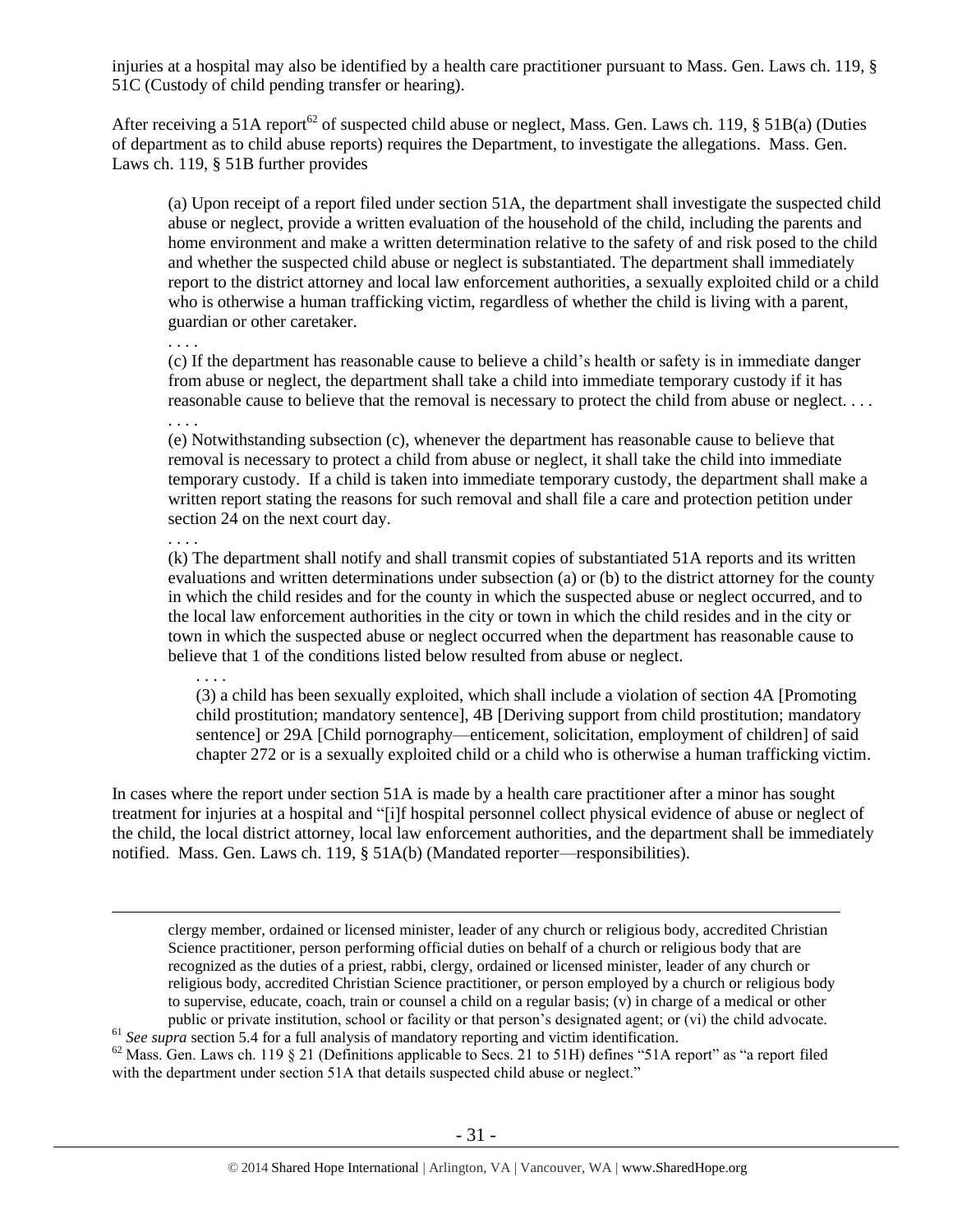injuries at a hospital may also be identified by a health care practitioner pursuant to Mass. Gen. Laws ch. 119, § 51C (Custody of child pending transfer or hearing).

After receiving a 51A report<sup>62</sup> of suspected child abuse or neglect, Mass. Gen. Laws ch. 119, § 51B(a) (Duties of department as to child abuse reports) requires the Department, to investigate the allegations. Mass. Gen. Laws ch. 119, § 51B further provides

(a) Upon receipt of a report filed under section 51A, the department shall investigate the suspected child abuse or neglect, provide a written evaluation of the household of the child, including the parents and home environment and make a written determination relative to the safety of and risk posed to the child and whether the suspected child abuse or neglect is substantiated. The department shall immediately report to the district attorney and local law enforcement authorities, a sexually exploited child or a child who is otherwise a human trafficking victim, regardless of whether the child is living with a parent, guardian or other caretaker.

. . . . (c) If the department has reasonable cause to believe a child's health or safety is in immediate danger from abuse or neglect, the department shall take a child into immediate temporary custody if it has reasonable cause to believe that the removal is necessary to protect the child from abuse or neglect. . . . . . . .

(e) Notwithstanding subsection (c), whenever the department has reasonable cause to believe that removal is necessary to protect a child from abuse or neglect, it shall take the child into immediate temporary custody. If a child is taken into immediate temporary custody, the department shall make a written report stating the reasons for such removal and shall file a care and protection petition under section 24 on the next court day.

. . . .

 $\overline{a}$ 

(k) The department shall notify and shall transmit copies of substantiated 51A reports and its written evaluations and written determinations under subsection (a) or (b) to the district attorney for the county in which the child resides and for the county in which the suspected abuse or neglect occurred, and to the local law enforcement authorities in the city or town in which the child resides and in the city or town in which the suspected abuse or neglect occurred when the department has reasonable cause to believe that 1 of the conditions listed below resulted from abuse or neglect.

. . . .

(3) a child has been sexually exploited, which shall include a violation of section 4A [Promoting child prostitution; mandatory sentence], 4B [Deriving support from child prostitution; mandatory sentence] or 29A [Child pornography—enticement, solicitation, employment of children] of said chapter 272 or is a sexually exploited child or a child who is otherwise a human trafficking victim.

In cases where the report under section 51A is made by a health care practitioner after a minor has sought treatment for injuries at a hospital and "[i]f hospital personnel collect physical evidence of abuse or neglect of the child, the local district attorney, local law enforcement authorities, and the department shall be immediately notified. Mass. Gen. Laws ch. 119, § 51A(b) (Mandated reporter—responsibilities).

clergy member, ordained or licensed minister, leader of any church or religious body, accredited Christian Science practitioner, person performing official duties on behalf of a church or religious body that are recognized as the duties of a priest, rabbi, clergy, ordained or licensed minister, leader of any church or religious body, accredited Christian Science practitioner, or person employed by a church or religious body to supervise, educate, coach, train or counsel a child on a regular basis; (v) in charge of a medical or other public or private institution, school or facility or that person's designated agent; or (vi) the child advocate.

<sup>61</sup> See supra sectio[n 5.4](#page-26-1) for a full analysis of mandatory reporting and victim identification.

<sup>62</sup> Mass. Gen. Laws ch. 119 § 21 (Definitions applicable to Secs. 21 to 51H) defines "51A report" as "a report filed with the department under section 51A that details suspected child abuse or neglect."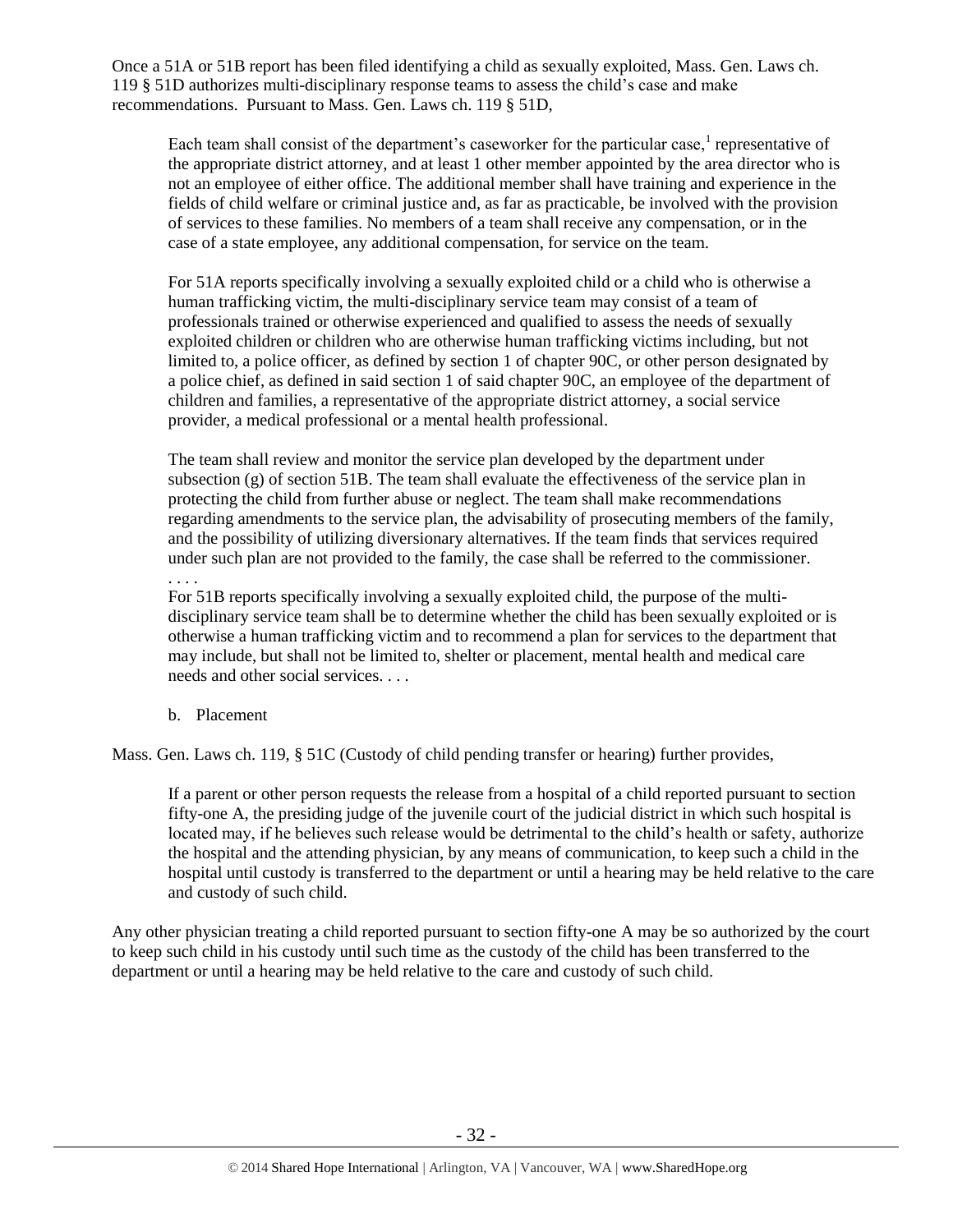Once a 51A or 51B report has been filed identifying a child as sexually exploited, Mass. Gen. Laws ch. 119 § 51D authorizes multi-disciplinary response teams to assess the child's case and make recommendations. Pursuant to Mass. Gen. Laws ch. 119 § 51D,

Each team shall consist of the department's caseworker for the particular case, $<sup>1</sup>$  representative of</sup> the appropriate district attorney, and at least 1 other member appointed by the area director who is not an employee of either office. The additional member shall have training and experience in the fields of child welfare or criminal justice and, as far as practicable, be involved with the provision of services to these families. No members of a team shall receive any compensation, or in the case of a state employee, any additional compensation, for service on the team.

For 51A reports specifically involving a sexually exploited child or a child who is otherwise a human trafficking victim, the multi-disciplinary service team may consist of a team of professionals trained or otherwise experienced and qualified to assess the needs of sexually exploited children or children who are otherwise human trafficking victims including, but not limited to, a police officer, as defined by section 1 of chapter 90C, or other person designated by a police chief, as defined in said section 1 of said chapter 90C, an employee of the department of children and families, a representative of the appropriate district attorney, a social service provider, a medical professional or a mental health professional.

The team shall review and monitor the service plan developed by the department under subsection (g) of section 51B. The team shall evaluate the effectiveness of the service plan in protecting the child from further abuse or neglect. The team shall make recommendations regarding amendments to the service plan, the advisability of prosecuting members of the family, and the possibility of utilizing diversionary alternatives. If the team finds that services required under such plan are not provided to the family, the case shall be referred to the commissioner.

. . . .

For 51B reports specifically involving a sexually exploited child, the purpose of the multidisciplinary service team shall be to determine whether the child has been sexually exploited or is otherwise a human trafficking victim and to recommend a plan for services to the department that may include, but shall not be limited to, shelter or placement, mental health and medical care needs and other social services. . . .

b. Placement

Mass. Gen. Laws ch. 119, § 51C (Custody of child pending transfer or hearing) further provides,

If a parent or other person requests the release from a hospital of a child reported pursuant to section fifty-one A, the presiding judge of the juvenile court of the judicial district in which such hospital is located may, if he believes such release would be detrimental to the child's health or safety, authorize the hospital and the attending physician, by any means of communication, to keep such a child in the hospital until custody is transferred to the department or until a hearing may be held relative to the care and custody of such child.

Any other physician treating a child reported pursuant to section fifty-one A may be so authorized by the court to keep such child in his custody until such time as the custody of the child has been transferred to the department or until a hearing may be held relative to the care and custody of such child.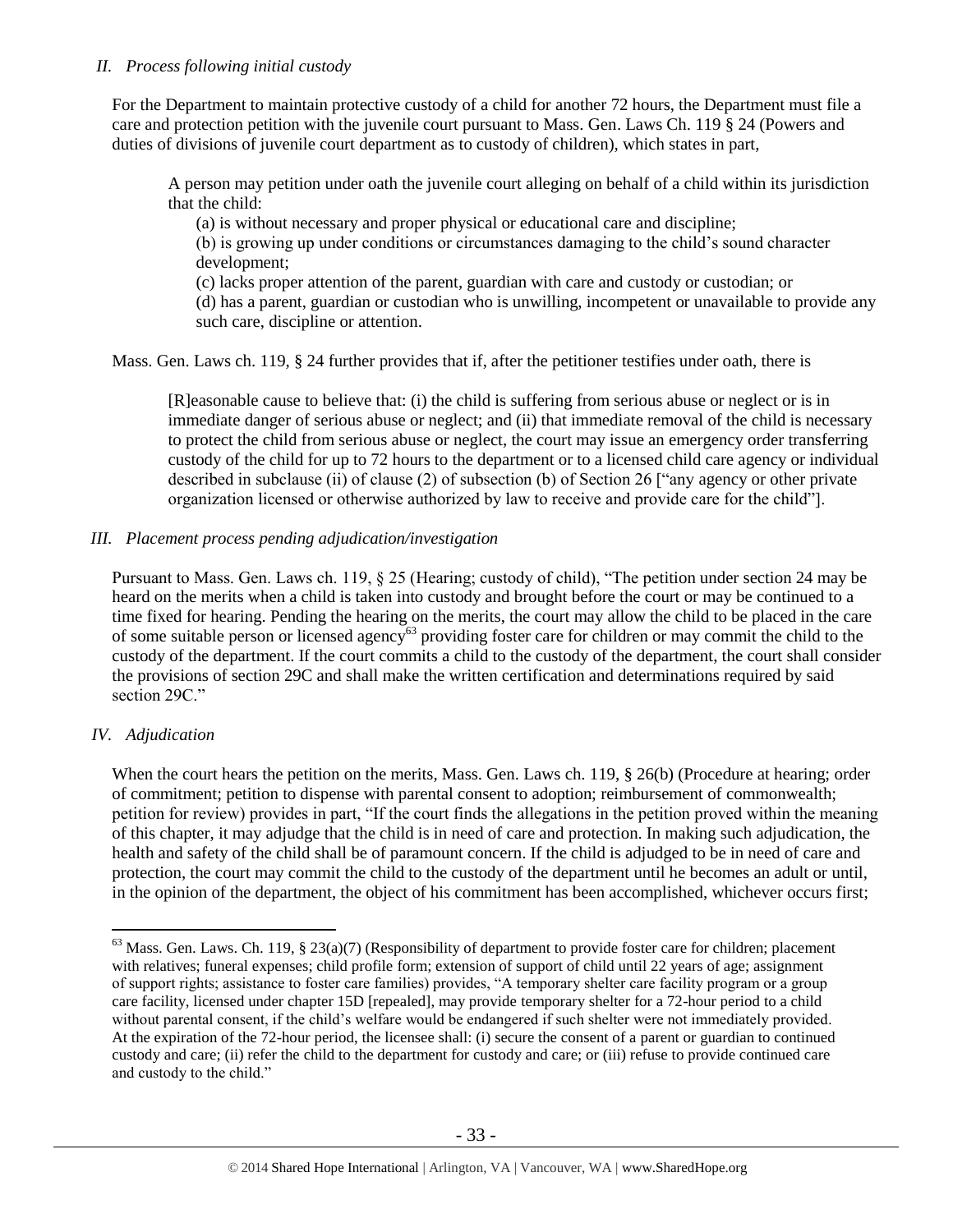# *II. Process following initial custody*

For the Department to maintain protective custody of a child for another 72 hours, the Department must file a care and protection petition with the juvenile court pursuant to Mass. Gen. Laws Ch. 119 § 24 (Powers and duties of divisions of juvenile court department as to custody of children), which states in part,

A person may petition under oath the juvenile court alleging on behalf of a child within its jurisdiction that the child:

(a) is without necessary and proper physical or educational care and discipline;

(b) is growing up under conditions or circumstances damaging to the child's sound character development;

(c) lacks proper attention of the parent, guardian with care and custody or custodian; or (d) has a parent, guardian or custodian who is unwilling, incompetent or unavailable to provide any such care, discipline or attention.

Mass. Gen. Laws ch. 119, § 24 further provides that if, after the petitioner testifies under oath, there is

[R]easonable cause to believe that: (i) the child is suffering from serious abuse or neglect or is in immediate danger of serious abuse or neglect; and (ii) that immediate removal of the child is necessary to protect the child from serious abuse or neglect, the court may issue an emergency order transferring custody of the child for up to 72 hours to the department or to a licensed child care agency or individual described in subclause (ii) of clause (2) of subsection (b) of Section 26 ["any agency or other private organization licensed or otherwise authorized by law to receive and provide care for the child"].

# *III. Placement process pending adjudication/investigation*

Pursuant to Mass. Gen. Laws ch. 119, § 25 (Hearing; custody of child), "The petition under section 24 may be heard on the merits when a child is taken into custody and brought before the court or may be continued to a time fixed for hearing. Pending the hearing on the merits, the court may allow the child to be placed in the care of some suitable person or licensed agency<sup>63</sup> providing foster care for children or may commit the child to the custody of the department. If the court commits a child to the custody of the department, the court shall consider the provisions of section 29C and shall make the written certification and determinations required by said section 29C."

# *IV. Adjudication*

 $\overline{a}$ 

When the court hears the petition on the merits, Mass. Gen. Laws ch. 119, § 26(b) (Procedure at hearing; order of commitment; petition to dispense with parental consent to adoption; reimbursement of commonwealth; petition for review) provides in part, "If the court finds the allegations in the petition proved within the meaning of this chapter, it may adjudge that the child is in need of care and protection. In making such adjudication, the health and safety of the child shall be of paramount concern. If the child is adjudged to be in need of care and protection, the court may commit the child to the custody of the department until he becomes an adult or until, in the opinion of the department, the object of his commitment has been accomplished, whichever occurs first;

 $63$  Mass. Gen. Laws. Ch. 119, § 23(a)(7) (Responsibility of department to provide foster care for children; placement with relatives; funeral expenses; child profile form; extension of support of child until 22 years of age; assignment of support rights; assistance to foster care families) provides, "A temporary shelter care facility program or a group care facility, licensed under chapter 15D [repealed], may provide temporary shelter for a 72-hour period to a child without parental consent, if the child's welfare would be endangered if such shelter were not immediately provided. At the expiration of the 72-hour period, the licensee shall: (i) secure the consent of a parent or guardian to continued custody and care; (ii) refer the child to the department for custody and care; or (iii) refuse to provide continued care and custody to the child."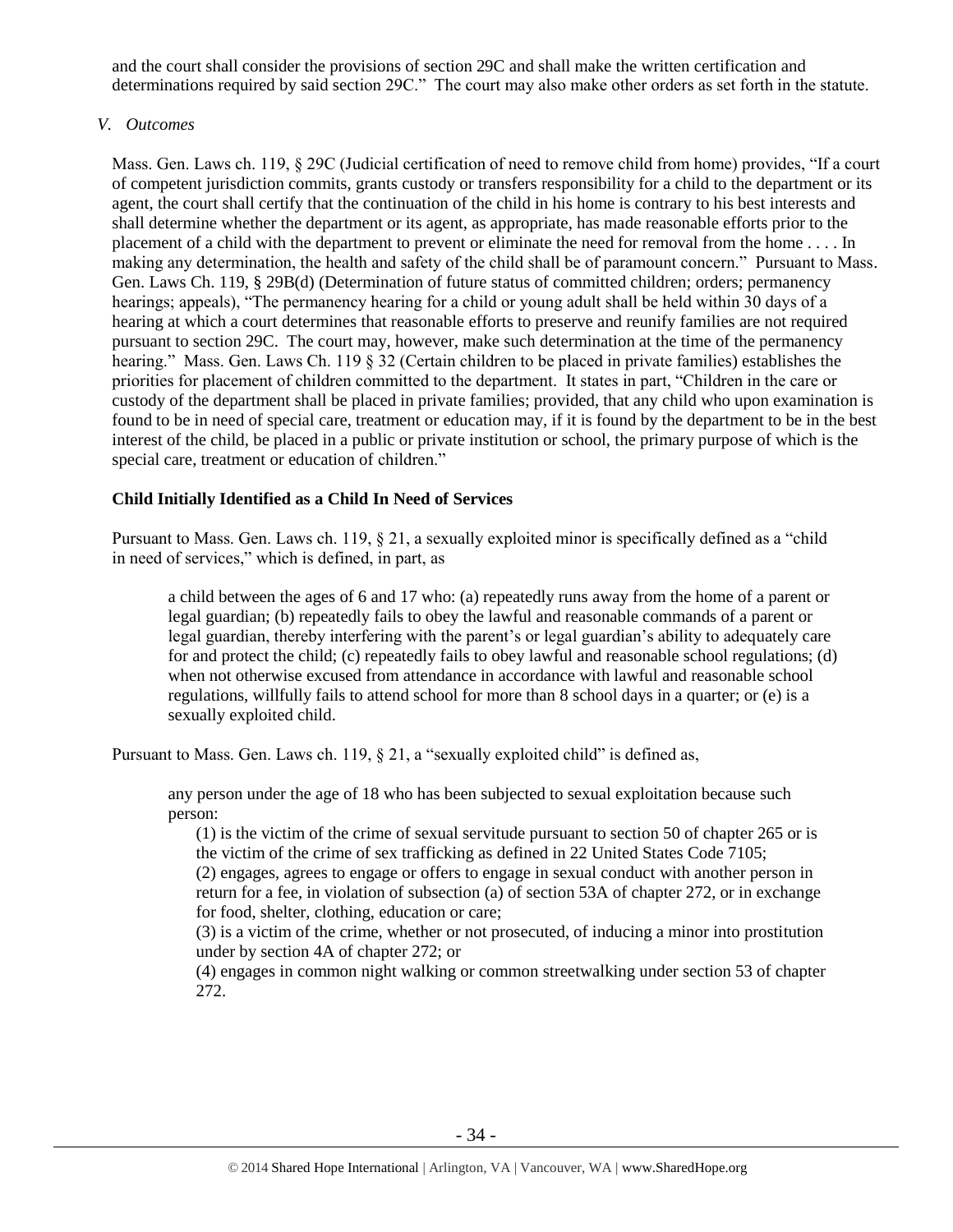and the court shall consider the provisions of section 29C and shall make the written certification and determinations required by said section 29C." The court may also make other orders as set forth in the statute.

# *V. Outcomes*

Mass. Gen. Laws ch. 119, § 29C (Judicial certification of need to remove child from home) provides, "If a court of competent jurisdiction commits, grants custody or transfers responsibility for a child to the department or its agent, the court shall certify that the continuation of the child in his home is contrary to his best interests and shall determine whether the department or its agent, as appropriate, has made reasonable efforts prior to the placement of a child with the department to prevent or eliminate the need for removal from the home . . . . In making any determination, the health and safety of the child shall be of paramount concern." Pursuant to Mass. Gen. Laws Ch. 119, § 29B(d) (Determination of future status of committed children; orders; permanency hearings; appeals), "The permanency hearing for a child or young adult shall be held within 30 days of a hearing at which a court determines that reasonable efforts to preserve and reunify families are not required pursuant to section 29C. The court may, however, make such determination at the time of the permanency hearing." Mass. Gen. Laws Ch. 119 § 32 (Certain children to be placed in private families) establishes the priorities for placement of children committed to the department. It states in part, "Children in the care or custody of the department shall be placed in private families; provided, that any child who upon examination is found to be in need of special care, treatment or education may, if it is found by the department to be in the best interest of the child, be placed in a public or private institution or school, the primary purpose of which is the special care, treatment or education of children."

# **Child Initially Identified as a Child In Need of Services**

Pursuant to Mass. Gen. Laws ch. 119, § 21, a sexually exploited minor is specifically defined as a "child in need of services," which is defined, in part, as

a child between the ages of 6 and 17 who: (a) repeatedly runs away from the home of a parent or legal guardian; (b) repeatedly fails to obey the lawful and reasonable commands of a parent or legal guardian, thereby interfering with the parent's or legal guardian's ability to adequately care for and protect the child; (c) repeatedly fails to obey lawful and reasonable school regulations; (d) when not otherwise excused from attendance in accordance with lawful and reasonable school regulations, willfully fails to attend school for more than 8 school days in a quarter; or (e) is a sexually exploited child.

Pursuant to Mass. Gen. Laws ch. 119, § 21, a "sexually exploited child" is defined as,

any person under the age of 18 who has been subjected to sexual exploitation because such person:

(1) is the victim of the crime of sexual servitude pursuant to section 50 of chapter 265 or is the victim of the crime of sex trafficking as defined in 22 United States Code 7105;

(2) engages, agrees to engage or offers to engage in sexual conduct with another person in return for a fee, in violation of subsection (a) of section 53A of chapter 272, or in exchange for food, shelter, clothing, education or care;

(3) is a victim of the crime, whether or not prosecuted, of inducing a minor into prostitution under by section 4A of chapter 272; or

(4) engages in common night walking or common streetwalking under section 53 of chapter 272.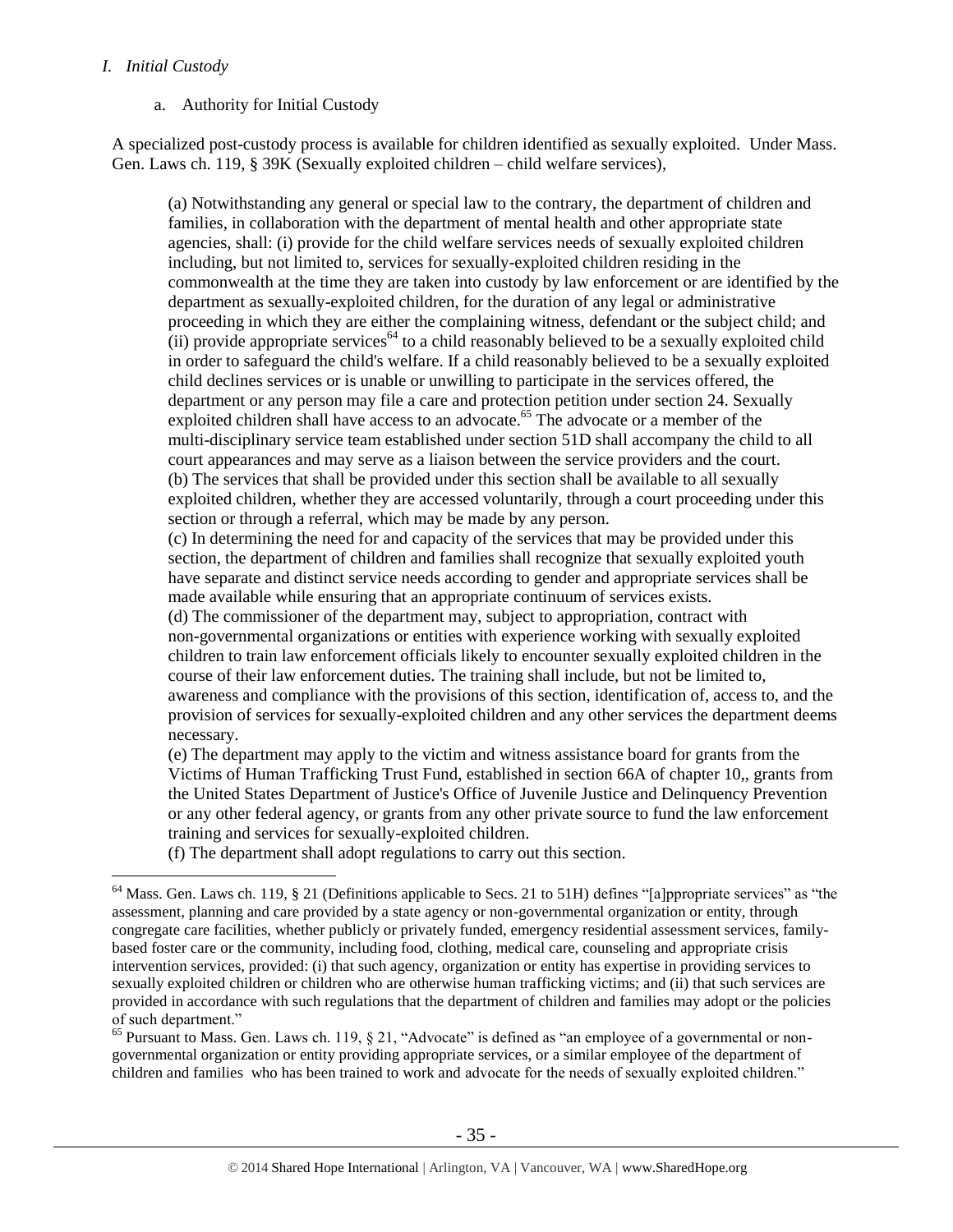# *I. Initial Custody*

 $\overline{a}$ 

# a. Authority for Initial Custody

A specialized post-custody process is available for children identified as sexually exploited. Under Mass. Gen. Laws ch. 119, § 39K (Sexually exploited children – child welfare services),

(a) Notwithstanding any general or special law to the contrary, the department of children and families, in collaboration with the department of mental health and other appropriate state agencies, shall: (i) provide for the child welfare services needs of sexually exploited children including, but not limited to, services for sexually-exploited children residing in the commonwealth at the time they are taken into custody by law enforcement or are identified by the department as sexually-exploited children, for the duration of any legal or administrative proceeding in which they are either the complaining witness, defendant or the subject child; and  $(iii)$  provide appropriate services<sup>64</sup> to a child reasonably believed to be a sexually exploited child in order to safeguard the child's welfare. If a child reasonably believed to be a sexually exploited child declines services or is unable or unwilling to participate in the services offered, the department or any person may file a care and protection petition under section 24. Sexually exploited children shall have access to an advocate.<sup>65</sup> The advocate or a member of the multi-disciplinary service team established under section 51D shall accompany the child to all court appearances and may serve as a liaison between the service providers and the court. (b) The services that shall be provided under this section shall be available to all sexually exploited children, whether they are accessed voluntarily, through a court proceeding under this section or through a referral, which may be made by any person.

(c) In determining the need for and capacity of the services that may be provided under this section, the department of children and families shall recognize that sexually exploited youth have separate and distinct service needs according to gender and appropriate services shall be made available while ensuring that an appropriate continuum of services exists.

(d) The commissioner of the department may, subject to appropriation, contract with non-governmental organizations or entities with experience working with sexually exploited children to train law enforcement officials likely to encounter sexually exploited children in the course of their law enforcement duties. The training shall include, but not be limited to, awareness and compliance with the provisions of this section, identification of, access to, and the provision of services for sexually-exploited children and any other services the department deems necessary.

(e) The department may apply to the victim and witness assistance board for grants from the Victims of Human Trafficking Trust Fund, established in section 66A of chapter 10,, grants from the United States Department of Justice's Office of Juvenile Justice and Delinquency Prevention or any other federal agency, or grants from any other private source to fund the law enforcement training and services for sexually-exploited children.

(f) The department shall adopt regulations to carry out this section.

<sup>65</sup> Pursuant to Mass. Gen. Laws ch. 119, § 21, "Advocate" is defined as "an employee of a governmental or nongovernmental organization or entity providing appropriate services, or a similar employee of the department of children and families who has been trained to work and advocate for the needs of sexually exploited children."

<sup>&</sup>lt;sup>64</sup> Mass. Gen. Laws ch. 119, § 21 (Definitions applicable to Secs. 21 to 51H) defines "[a]ppropriate services" as "the assessment, planning and care provided by a state agency or non-governmental organization or entity, through congregate care facilities, whether publicly or privately funded, emergency residential assessment services, familybased foster care or the community, including food, clothing, medical care, counseling and appropriate crisis intervention services, provided: (i) that such agency, organization or entity has expertise in providing services to sexually exploited children or children who are otherwise human trafficking victims; and (ii) that such services are provided in accordance with such regulations that the department of children and families may adopt or the policies of such department."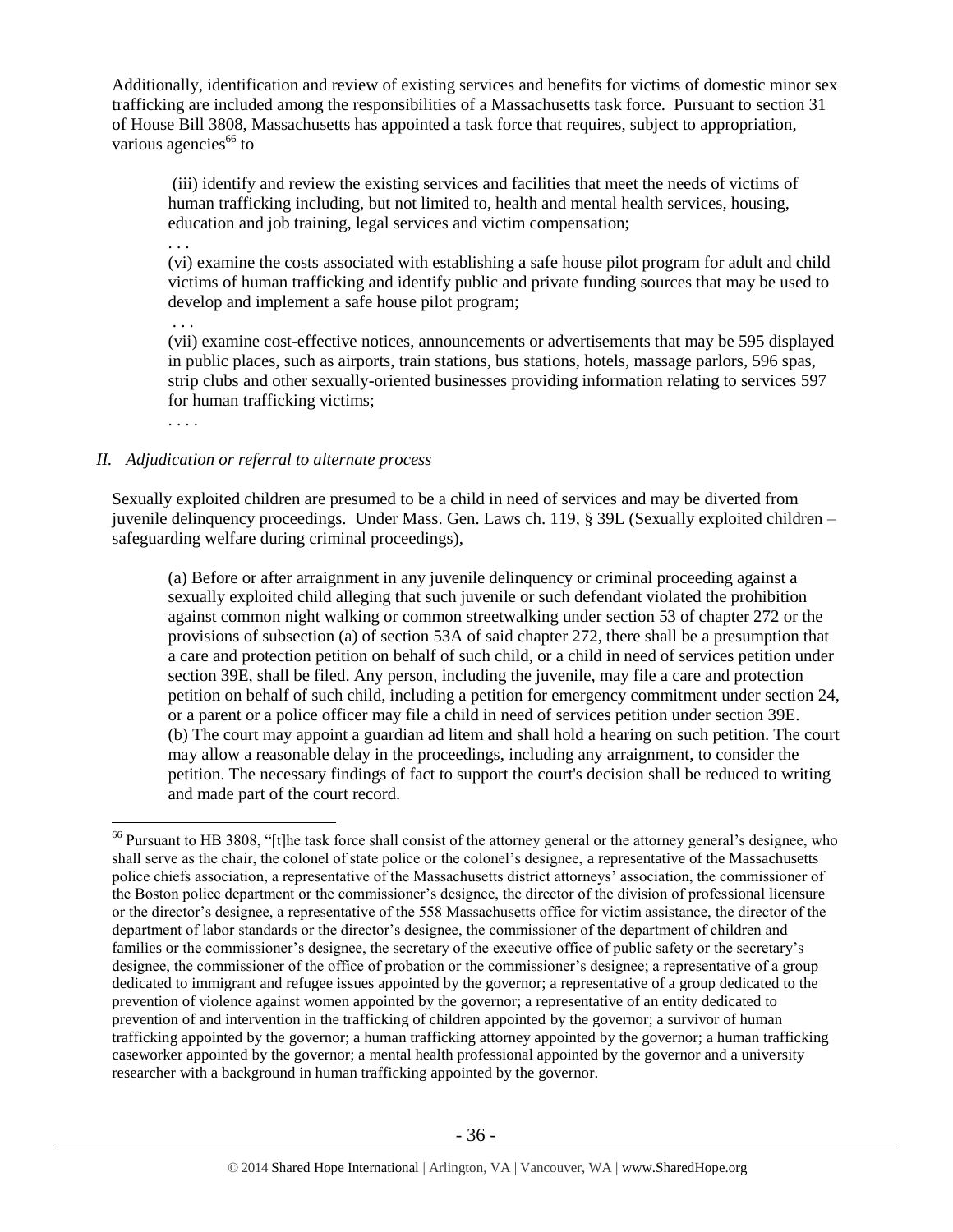Additionally, identification and review of existing services and benefits for victims of domestic minor sex trafficking are included among the responsibilities of a Massachusetts task force. Pursuant to section 31 of House Bill 3808, Massachusetts has appointed a task force that requires, subject to appropriation, various agencies $^{66}$  to

<span id="page-35-0"></span>(iii) identify and review the existing services and facilities that meet the needs of victims of human trafficking including, but not limited to, health and mental health services, housing, education and job training, legal services and victim compensation;

. . .

(vi) examine the costs associated with establishing a safe house pilot program for adult and child victims of human trafficking and identify public and private funding sources that may be used to develop and implement a safe house pilot program;

. . . (vii) examine cost-effective notices, announcements or advertisements that may be 595 displayed in public places, such as airports, train stations, bus stations, hotels, massage parlors, 596 spas, strip clubs and other sexually-oriented businesses providing information relating to services 597 for human trafficking victims;

. . . .

 $\overline{a}$ 

# *II. Adjudication or referral to alternate process*

Sexually exploited children are presumed to be a child in need of services and may be diverted from juvenile delinquency proceedings. Under Mass. Gen. Laws ch. 119, § 39L (Sexually exploited children – safeguarding welfare during criminal proceedings),

(a) Before or after arraignment in any juvenile delinquency or criminal proceeding against a sexually exploited child alleging that such juvenile or such defendant violated the prohibition against common night walking or common streetwalking under section 53 of chapter 272 or the provisions of subsection (a) of section 53A of said chapter 272, there shall be a presumption that a care and protection petition on behalf of such child, or a child in need of services petition under section 39E, shall be filed. Any person, including the juvenile, may file a care and protection petition on behalf of such child, including a petition for emergency commitment under section 24, or a parent or a police officer may file a child in need of services petition under section 39E. (b) The court may appoint a guardian ad litem and shall hold a hearing on such petition. The court may allow a reasonable delay in the proceedings, including any arraignment, to consider the petition. The necessary findings of fact to support the court's decision shall be reduced to writing and made part of the court record.

<sup>&</sup>lt;sup>66</sup> Pursuant to HB 3808, "[t]he task force shall consist of the attorney general or the attorney general's designee, who shall serve as the chair, the colonel of state police or the colonel's designee, a representative of the Massachusetts police chiefs association, a representative of the Massachusetts district attorneys' association, the commissioner of the Boston police department or the commissioner's designee, the director of the division of professional licensure or the director's designee, a representative of the 558 Massachusetts office for victim assistance, the director of the department of labor standards or the director's designee, the commissioner of the department of children and families or the commissioner's designee, the secretary of the executive office of public safety or the secretary's designee, the commissioner of the office of probation or the commissioner's designee; a representative of a group dedicated to immigrant and refugee issues appointed by the governor; a representative of a group dedicated to the prevention of violence against women appointed by the governor; a representative of an entity dedicated to prevention of and intervention in the trafficking of children appointed by the governor; a survivor of human trafficking appointed by the governor; a human trafficking attorney appointed by the governor; a human trafficking caseworker appointed by the governor; a mental health professional appointed by the governor and a university researcher with a background in human trafficking appointed by the governor.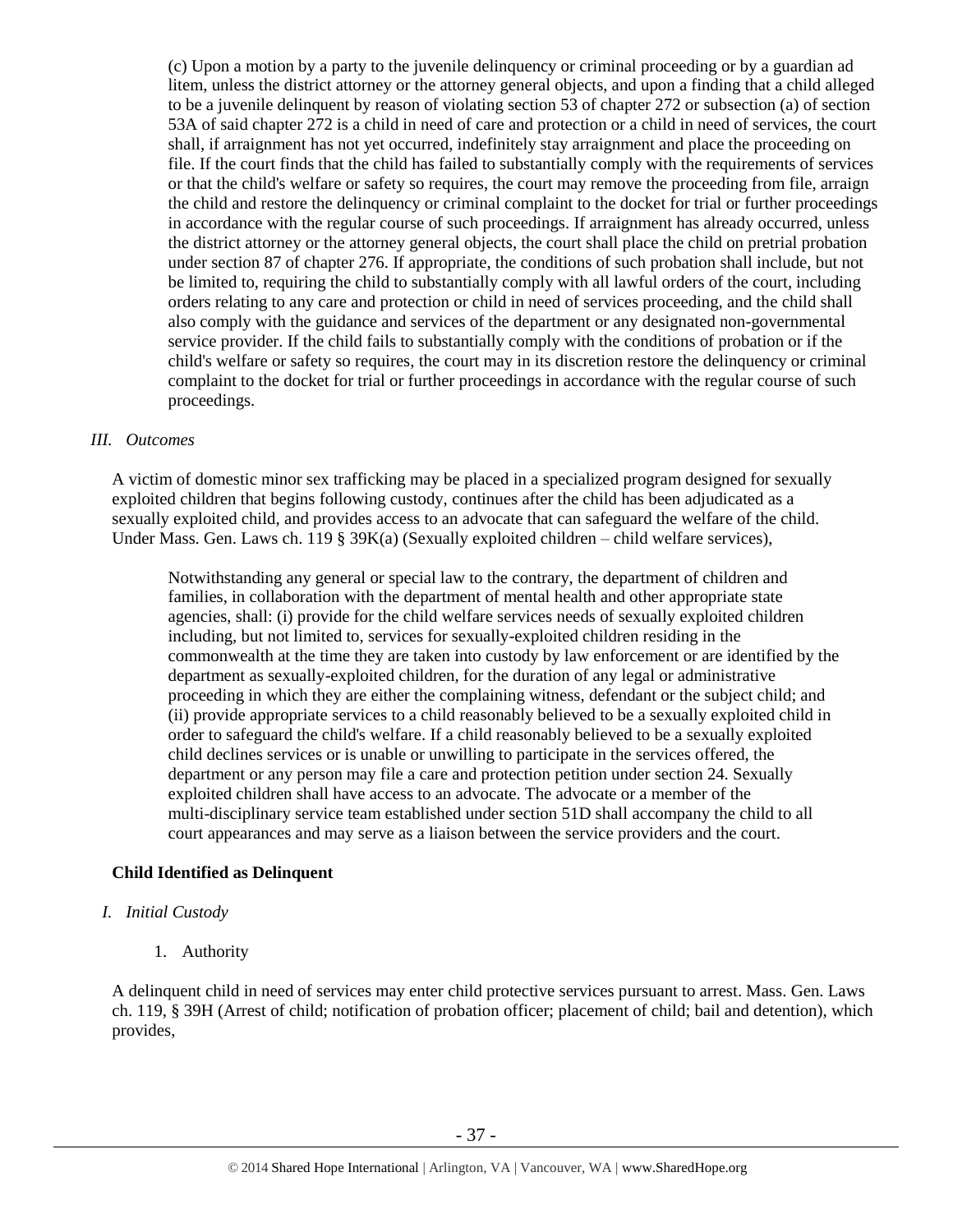(c) Upon a motion by a party to the juvenile delinquency or criminal proceeding or by a guardian ad litem, unless the district attorney or the attorney general objects, and upon a finding that a child alleged to be a juvenile delinquent by reason of violating section 53 of chapter 272 or subsection (a) of section 53A of said chapter 272 is a child in need of care and protection or a child in need of services, the court shall, if arraignment has not yet occurred, indefinitely stay arraignment and place the proceeding on file. If the court finds that the child has failed to substantially comply with the requirements of services or that the child's welfare or safety so requires, the court may remove the proceeding from file, arraign the child and restore the delinquency or criminal complaint to the docket for trial or further proceedings in accordance with the regular course of such proceedings. If arraignment has already occurred, unless the district attorney or the attorney general objects, the court shall place the child on pretrial probation under section 87 of chapter 276. If appropriate, the conditions of such probation shall include, but not be limited to, requiring the child to substantially comply with all lawful orders of the court, including orders relating to any care and protection or child in need of services proceeding, and the child shall also comply with the guidance and services of the department or any designated non-governmental service provider. If the child fails to substantially comply with the conditions of probation or if the child's welfare or safety so requires, the court may in its discretion restore the delinquency or criminal complaint to the docket for trial or further proceedings in accordance with the regular course of such proceedings.

## *III. Outcomes*

A victim of domestic minor sex trafficking may be placed in a specialized program designed for sexually exploited children that begins following custody, continues after the child has been adjudicated as a sexually exploited child, and provides access to an advocate that can safeguard the welfare of the child. Under Mass. Gen. Laws ch. 119 § 39K(a) (Sexually exploited children – child welfare services),

Notwithstanding any general or special law to the contrary, the department of children and families, in collaboration with the department of mental health and other appropriate state agencies, shall: (i) provide for the child welfare services needs of sexually exploited children including, but not limited to, services for sexually-exploited children residing in the commonwealth at the time they are taken into custody by law enforcement or are identified by the department as sexually-exploited children, for the duration of any legal or administrative proceeding in which they are either the complaining witness, defendant or the subject child; and (ii) provide appropriate services to a child reasonably believed to be a sexually exploited child in order to safeguard the child's welfare. If a child reasonably believed to be a sexually exploited child declines services or is unable or unwilling to participate in the services offered, the department or any person may file a care and protection petition under section 24. Sexually exploited children shall have access to an advocate. The advocate or a member of the multi-disciplinary service team established under section 51D shall accompany the child to all court appearances and may serve as a liaison between the service providers and the court.

# **Child Identified as Delinquent**

# *I. Initial Custody*

1. Authority

A delinquent child in need of services may enter child protective services pursuant to arrest. Mass. Gen. Laws ch. 119, § 39H (Arrest of child; notification of probation officer; placement of child; bail and detention), which provides,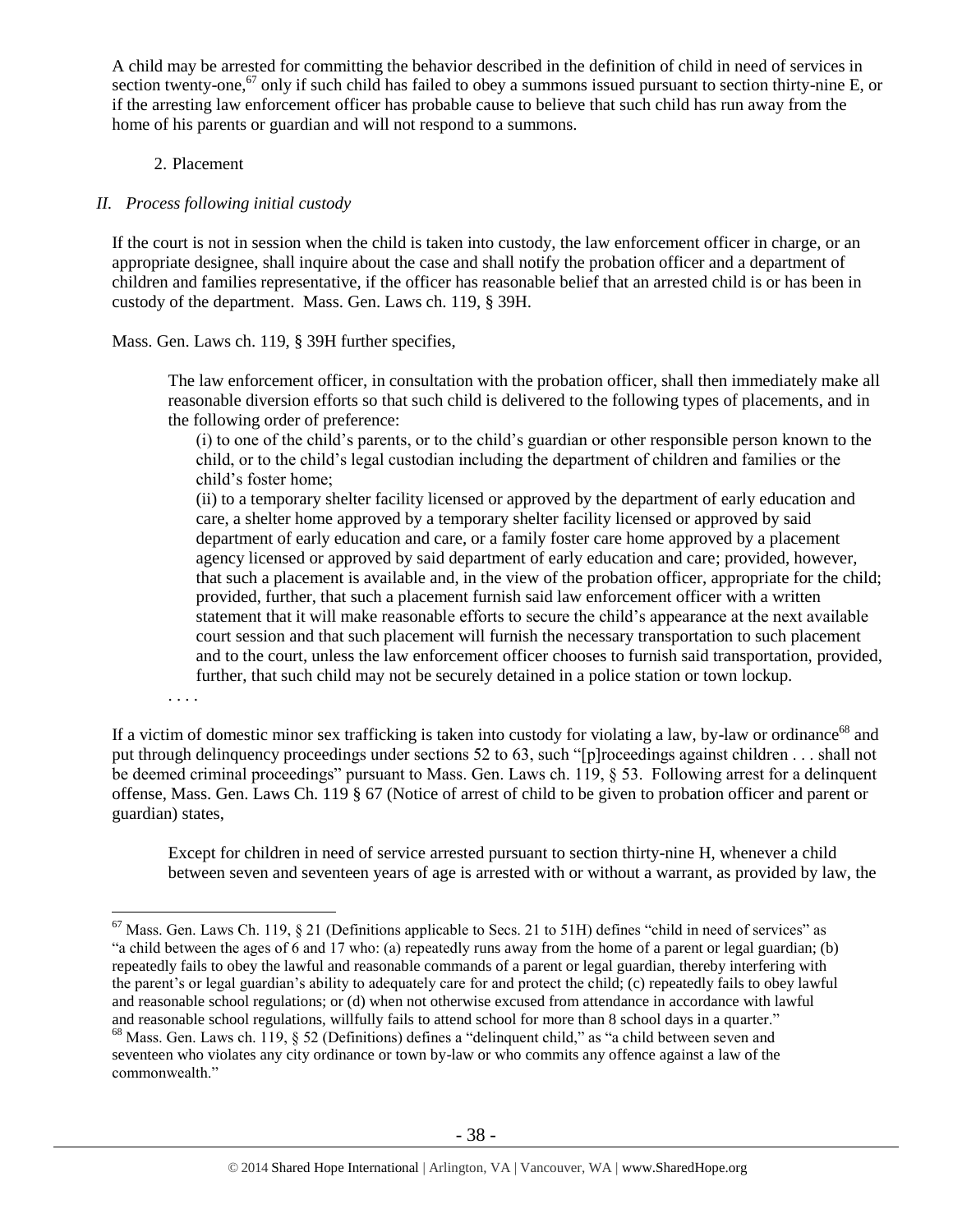A child may be arrested for committing the behavior described in the definition of child in need of services in section twenty-one,<sup>67</sup> only if such child has failed to obey a summons issued pursuant to section thirty-nine E, or if the arresting law enforcement officer has probable cause to believe that such child has run away from the home of his parents or guardian and will not respond to a summons.

# 2. Placement

# *II. Process following initial custody*

If the court is not in session when the child is taken into custody, the law enforcement officer in charge, or an appropriate designee, shall inquire about the case and shall notify the probation officer and a department of children and families representative, if the officer has reasonable belief that an arrested child is or has been in custody of the department. Mass. Gen. Laws ch. 119, § 39H.

Mass. Gen. Laws ch. 119, § 39H further specifies,

The law enforcement officer, in consultation with the probation officer, shall then immediately make all reasonable diversion efforts so that such child is delivered to the following types of placements, and in the following order of preference:

(i) to one of the child's parents, or to the child's guardian or other responsible person known to the child, or to the child's legal custodian including the department of children and families or the child's foster home;

(ii) to a temporary shelter facility licensed or approved by the department of early education and care, a shelter home approved by a temporary shelter facility licensed or approved by said department of early education and care, or a family foster care home approved by a placement agency licensed or approved by said department of early education and care; provided, however, that such a placement is available and, in the view of the probation officer, appropriate for the child; provided, further, that such a placement furnish said law enforcement officer with a written statement that it will make reasonable efforts to secure the child's appearance at the next available court session and that such placement will furnish the necessary transportation to such placement and to the court, unless the law enforcement officer chooses to furnish said transportation, provided, further, that such child may not be securely detained in a police station or town lockup.

. . . .

If a victim of domestic minor sex trafficking is taken into custody for violating a law, by-law or ordinance<sup>68</sup> and put through delinquency proceedings under sections 52 to 63, such "[p]roceedings against children . . . shall not be deemed criminal proceedings" pursuant to Mass. Gen. Laws ch. 119, § 53. Following arrest for a delinquent offense, Mass. Gen. Laws Ch. 119 § 67 (Notice of arrest of child to be given to probation officer and parent or guardian) states,

Except for children in need of service arrested pursuant to section thirty-nine H, whenever a child between seven and seventeen years of age is arrested with or without a warrant, as provided by law, the

 $\overline{a}$  $^{67}$  Mass. Gen. Laws Ch. 119, § 21 (Definitions applicable to Secs. 21 to 51H) defines "child in need of services" as "a child between the ages of 6 and 17 who: (a) repeatedly runs away from the home of a parent or legal guardian; (b) repeatedly fails to obey the lawful and reasonable commands of a parent or legal guardian, thereby interfering with the parent's or legal guardian's ability to adequately care for and protect the child; (c) repeatedly fails to obey lawful and reasonable school regulations; or (d) when not otherwise excused from attendance in accordance with lawful and reasonable school regulations, willfully fails to attend school for more than 8 school days in a quarter."

<sup>68</sup> Mass. Gen. Laws ch. 119, § 52 (Definitions) defines a "delinquent child," as "a child between seven and seventeen who violates any city ordinance or town by-law or who commits any offence against a law of the commonwealth"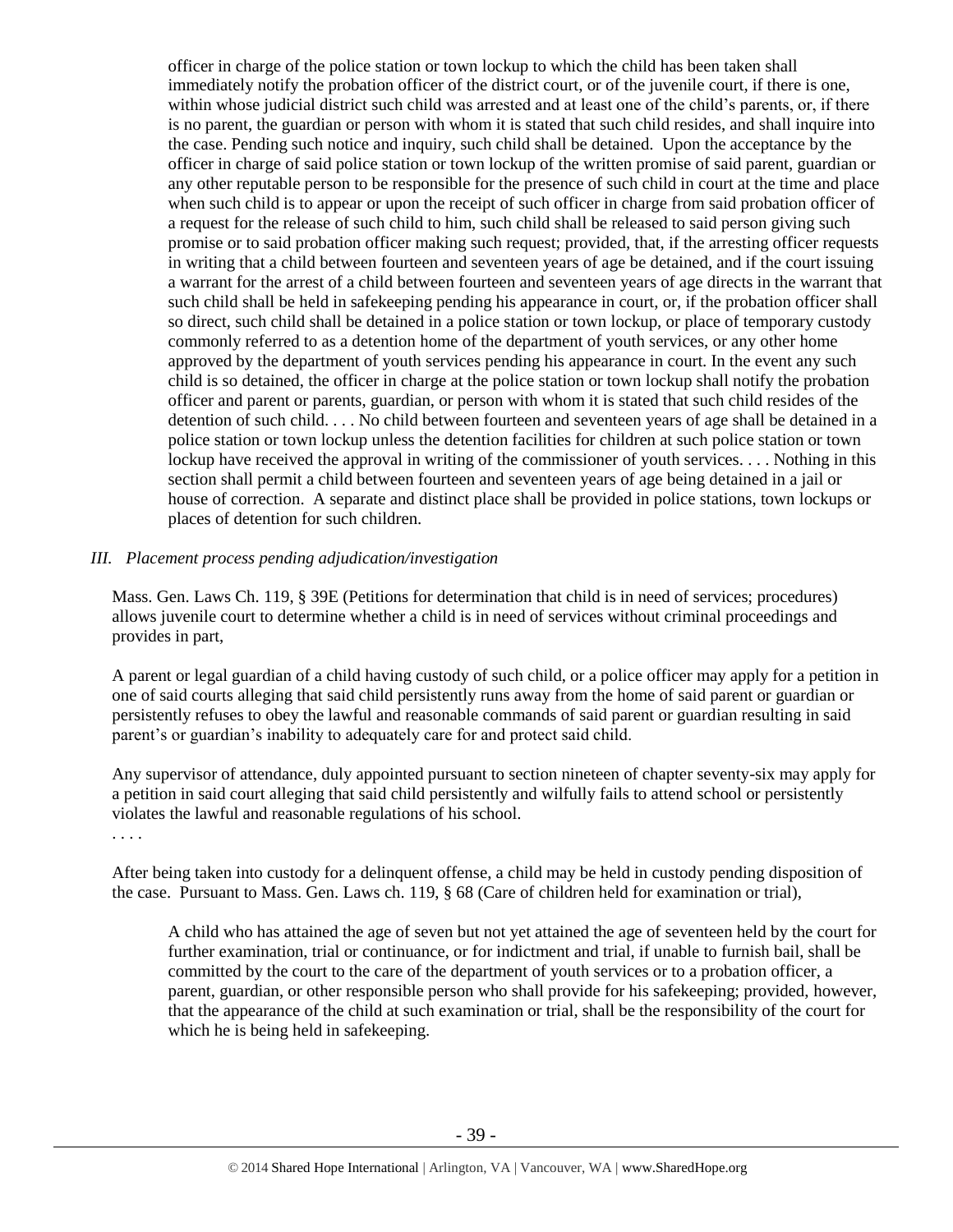officer in charge of the police station or town lockup to which the child has been taken shall immediately notify the probation officer of the district court, or of the juvenile court, if there is one, within whose judicial district such child was arrested and at least one of the child's parents, or, if there is no parent, the guardian or person with whom it is stated that such child resides, and shall inquire into the case. Pending such notice and inquiry, such child shall be detained. Upon the acceptance by the officer in charge of said police station or town lockup of the written promise of said parent, guardian or any other reputable person to be responsible for the presence of such child in court at the time and place when such child is to appear or upon the receipt of such officer in charge from said probation officer of a request for the release of such child to him, such child shall be released to said person giving such promise or to said probation officer making such request; provided, that, if the arresting officer requests in writing that a child between fourteen and seventeen years of age be detained, and if the court issuing a warrant for the arrest of a child between fourteen and seventeen years of age directs in the warrant that such child shall be held in safekeeping pending his appearance in court, or, if the probation officer shall so direct, such child shall be detained in a police station or town lockup, or place of temporary custody commonly referred to as a detention home of the department of youth services, or any other home approved by the department of youth services pending his appearance in court. In the event any such child is so detained, the officer in charge at the police station or town lockup shall notify the probation officer and parent or parents, guardian, or person with whom it is stated that such child resides of the detention of such child. . . . No child between fourteen and seventeen years of age shall be detained in a police station or town lockup unless the detention facilities for children at such police station or town lockup have received the approval in writing of the commissioner of youth services. . . . Nothing in this section shall permit a child between fourteen and seventeen years of age being detained in a jail or house of correction. A separate and distinct place shall be provided in police stations, town lockups or places of detention for such children.

## *III. Placement process pending adjudication/investigation*

Mass. Gen. Laws Ch. 119, § 39E (Petitions for determination that child is in need of services; procedures) allows juvenile court to determine whether a child is in need of services without criminal proceedings and provides in part,

A parent or legal guardian of a child having custody of such child, or a police officer may apply for a petition in one of said courts alleging that said child persistently runs away from the home of said parent or guardian or persistently refuses to obey the lawful and reasonable commands of said parent or guardian resulting in said parent's or guardian's inability to adequately care for and protect said child.

Any supervisor of attendance, duly appointed pursuant to section nineteen of chapter seventy-six may apply for a petition in said court alleging that said child persistently and wilfully fails to attend school or persistently violates the lawful and reasonable regulations of his school.

. . . .

After being taken into custody for a delinquent offense, a child may be held in custody pending disposition of the case. Pursuant to Mass. Gen. Laws ch. 119, § 68 (Care of children held for examination or trial),

A child who has attained the age of seven but not yet attained the age of seventeen held by the court for further examination, trial or continuance, or for indictment and trial, if unable to furnish bail, shall be committed by the court to the care of the department of youth services or to a probation officer, a parent, guardian, or other responsible person who shall provide for his safekeeping; provided, however, that the appearance of the child at such examination or trial, shall be the responsibility of the court for which he is being held in safekeeping.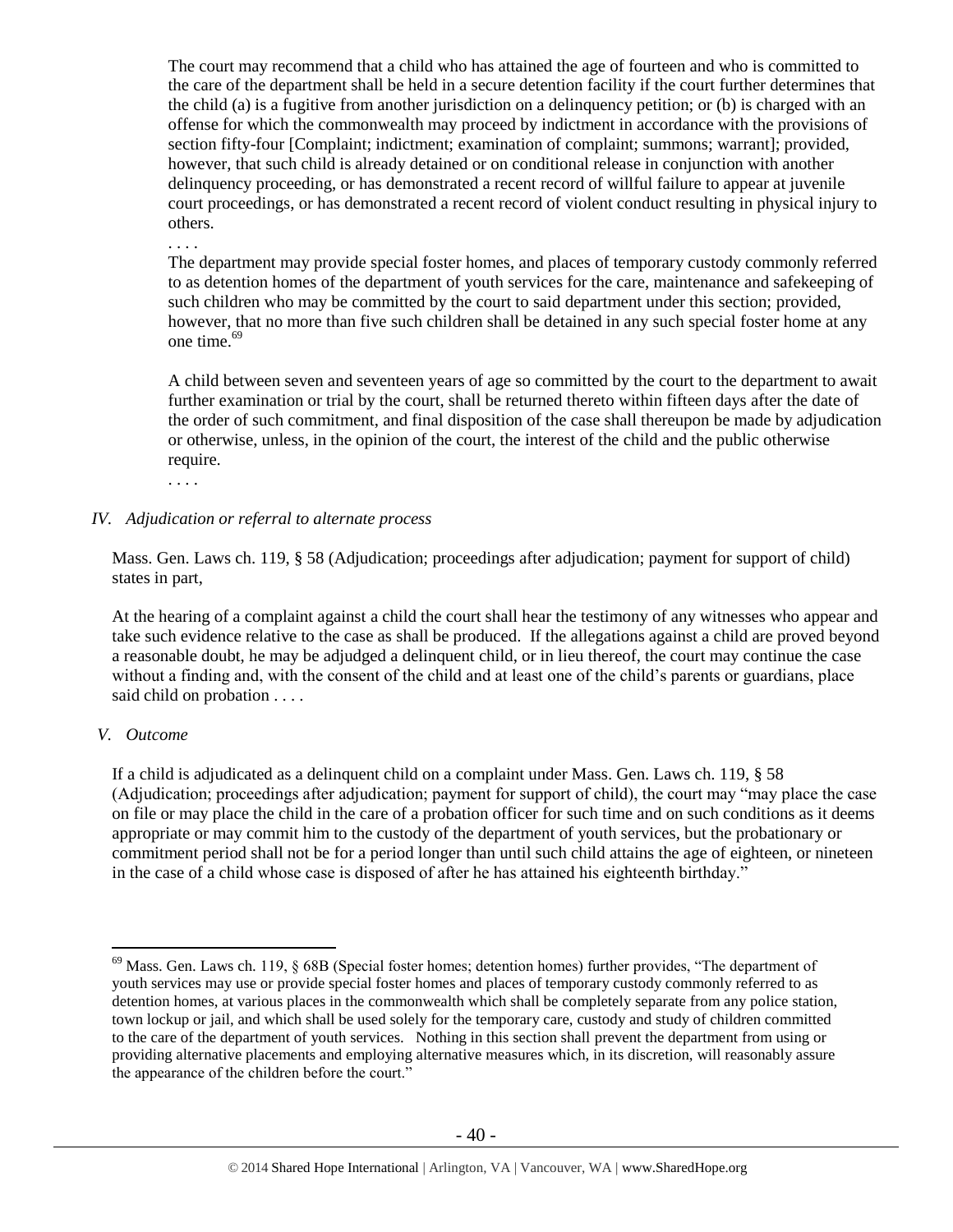The court may recommend that a child who has attained the age of fourteen and who is committed to the care of the department shall be held in a secure detention facility if the court further determines that the child (a) is a fugitive from another jurisdiction on a delinquency petition; or (b) is charged with an offense for which the commonwealth may proceed by indictment in accordance with the provisions of section fifty-four [Complaint; indictment; examination of complaint; summons; warrant]; provided, however, that such child is already detained or on conditional release in conjunction with another delinquency proceeding, or has demonstrated a recent record of willful failure to appear at juvenile court proceedings, or has demonstrated a recent record of violent conduct resulting in physical injury to others.

. . . .

The department may provide special foster homes, and places of temporary custody commonly referred to as detention homes of the department of youth services for the care, maintenance and safekeeping of such children who may be committed by the court to said department under this section; provided, however, that no more than five such children shall be detained in any such special foster home at any one time.<sup>69</sup>

A child between seven and seventeen years of age so committed by the court to the department to await further examination or trial by the court, shall be returned thereto within fifteen days after the date of the order of such commitment, and final disposition of the case shall thereupon be made by adjudication or otherwise, unless, in the opinion of the court, the interest of the child and the public otherwise require.

. . . .

## *IV. Adjudication or referral to alternate process*

Mass. Gen. Laws ch. 119, § 58 (Adjudication; proceedings after adjudication; payment for support of child) states in part,

At the hearing of a complaint against a child the court shall hear the testimony of any witnesses who appear and take such evidence relative to the case as shall be produced. If the allegations against a child are proved beyond a reasonable doubt, he may be adjudged a delinquent child, or in lieu thereof, the court may continue the case without a finding and, with the consent of the child and at least one of the child's parents or guardians, place said child on probation . . . .

## *V. Outcome*

 $\overline{a}$ 

If a child is adjudicated as a delinquent child on a complaint under Mass. Gen. Laws ch. 119, § 58 (Adjudication; proceedings after adjudication; payment for support of child), the court may "may place the case on file or may place the child in the care of a probation officer for such time and on such conditions as it deems appropriate or may commit him to the custody of the department of youth services, but the probationary or commitment period shall not be for a period longer than until such child attains the age of eighteen, or nineteen in the case of a child whose case is disposed of after he has attained his eighteenth birthday."

<sup>&</sup>lt;sup>69</sup> Mass. Gen. Laws ch. 119, § 68B (Special foster homes; detention homes) further provides, "The department of youth services may use or provide special foster homes and places of temporary custody commonly referred to as detention homes, at various places in the commonwealth which shall be completely separate from any police station, town lockup or jail, and which shall be used solely for the temporary care, custody and study of children committed to the care of the department of youth services. Nothing in this section shall prevent the department from using or providing alternative placements and employing alternative measures which, in its discretion, will reasonably assure the appearance of the children before the court."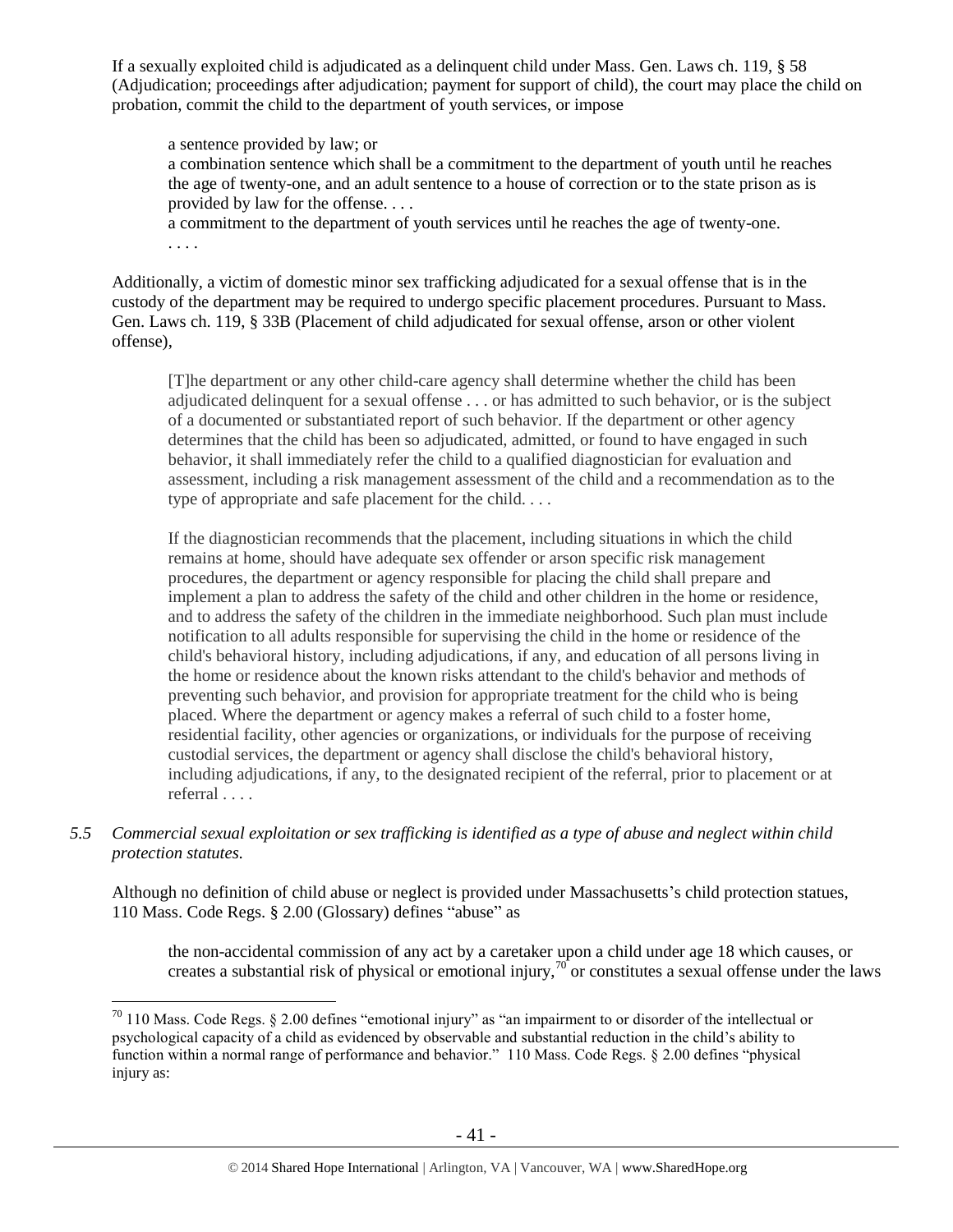If a sexually exploited child is adjudicated as a delinquent child under Mass. Gen. Laws ch. 119, § 58 (Adjudication; proceedings after adjudication; payment for support of child), the court may place the child on probation, commit the child to the department of youth services, or impose

a sentence provided by law; or a combination sentence which shall be a commitment to the department of youth until he reaches the age of twenty-one, and an adult sentence to a house of correction or to the state prison as is provided by law for the offense. . . .

a commitment to the department of youth services until he reaches the age of twenty-one. . . . .

Additionally, a victim of domestic minor sex trafficking adjudicated for a sexual offense that is in the custody of the department may be required to undergo specific placement procedures. Pursuant to Mass. Gen. Laws ch. 119, § 33B (Placement of child adjudicated for sexual offense, arson or other violent offense),

[T]he department or any other child-care agency shall determine whether the child has been adjudicated delinquent for a sexual offense . . . or has admitted to such behavior, or is the subject of a documented or substantiated report of such behavior. If the department or other agency determines that the child has been so adjudicated, admitted, or found to have engaged in such behavior, it shall immediately refer the child to a qualified diagnostician for evaluation and assessment, including a risk management assessment of the child and a recommendation as to the type of appropriate and safe placement for the child. . . .

If the diagnostician recommends that the placement, including situations in which the child remains at home, should have adequate sex offender or arson specific risk management procedures, the department or agency responsible for placing the child shall prepare and implement a plan to address the safety of the child and other children in the home or residence, and to address the safety of the children in the immediate neighborhood. Such plan must include notification to all adults responsible for supervising the child in the home or residence of the child's behavioral history, including adjudications, if any, and education of all persons living in the home or residence about the known risks attendant to the child's behavior and methods of preventing such behavior, and provision for appropriate treatment for the child who is being placed. Where the department or agency makes a referral of such child to a foster home, residential facility, other agencies or organizations, or individuals for the purpose of receiving custodial services, the department or agency shall disclose the child's behavioral history, including adjudications, if any, to the designated recipient of the referral, prior to placement or at referral . . . .

*5.5 Commercial sexual exploitation or sex trafficking is identified as a type of abuse and neglect within child protection statutes.*

Although no definition of child abuse or neglect is provided under Massachusetts's child protection statues, 110 Mass. Code Regs. § 2.00 (Glossary) defines "abuse" as

the non-accidental commission of any act by a caretaker upon a child under age 18 which causes, or creates a substantial risk of physical or emotional injury,<sup>70</sup> or constitutes a sexual offense under the laws

 $70$  110 Mass. Code Regs. § 2.00 defines "emotional injury" as "an impairment to or disorder of the intellectual or psychological capacity of a child as evidenced by observable and substantial reduction in the child's ability to function within a normal range of performance and behavior." 110 Mass. Code Regs. § 2.00 defines "physical injury as: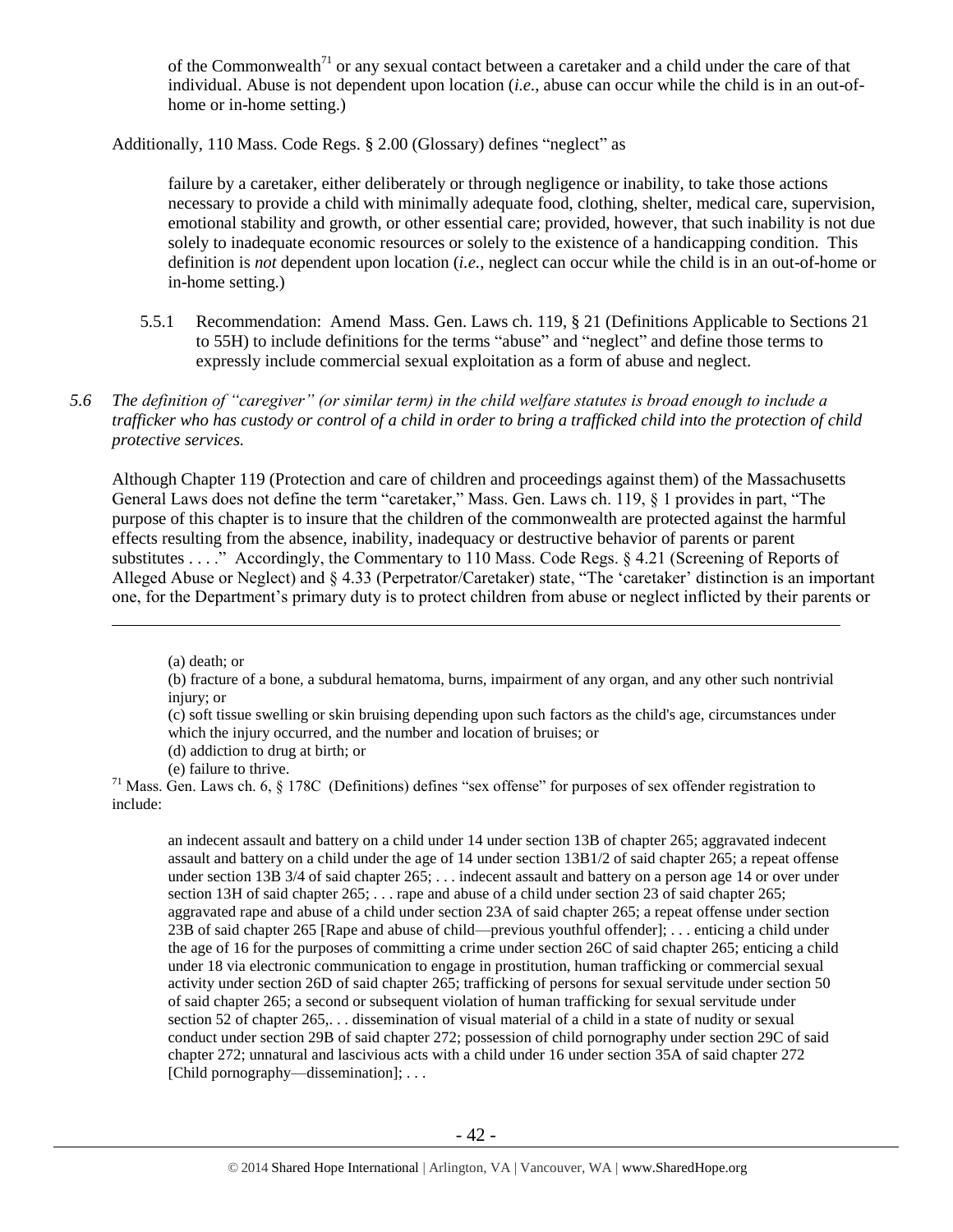of the Commonwealth<sup>71</sup> or any sexual contact between a caretaker and a child under the care of that individual. Abuse is not dependent upon location (*i.e.*, abuse can occur while the child is in an out-ofhome or in-home setting.)

Additionally, 110 Mass. Code Regs. § 2.00 (Glossary) defines "neglect" as

failure by a caretaker, either deliberately or through negligence or inability, to take those actions necessary to provide a child with minimally adequate food, clothing, shelter, medical care, supervision, emotional stability and growth, or other essential care; provided, however, that such inability is not due solely to inadequate economic resources or solely to the existence of a handicapping condition. This definition is *not* dependent upon location (*i.e.*, neglect can occur while the child is in an out-of-home or in-home setting.)

- 5.5.1 Recommendation: Amend Mass. Gen. Laws ch. 119, § 21 (Definitions Applicable to Sections 21 to 55H) to include definitions for the terms "abuse" and "neglect" and define those terms to expressly include commercial sexual exploitation as a form of abuse and neglect.
- *5.6 The definition of "caregiver" (or similar term) in the child welfare statutes is broad enough to include a trafficker who has custody or control of a child in order to bring a trafficked child into the protection of child protective services.*

Although Chapter 119 (Protection and care of children and proceedings against them) of the Massachusetts General Laws does not define the term "caretaker," Mass. Gen. Laws ch. 119, § 1 provides in part, "The purpose of this chapter is to insure that the children of the commonwealth are protected against the harmful effects resulting from the absence, inability, inadequacy or destructive behavior of parents or parent substitutes . . . . " Accordingly, the Commentary to 110 Mass. Code Regs. § 4.21 (Screening of Reports of Alleged Abuse or Neglect) and § 4.33 (Perpetrator/Caretaker) state, "The 'caretaker' distinction is an important one, for the Department's primary duty is to protect children from abuse or neglect inflicted by their parents or

 $\overline{a}$ 

an indecent assault and battery on a child under 14 under section 13B of chapter 265; aggravated indecent assault and battery on a child under the age of 14 under section 13B1/2 of said chapter 265; a repeat offense under section 13B 3/4 of said chapter 265; . . . indecent assault and battery on a person age 14 or over under section 13H of said chapter 265; . . . rape and abuse of a child under section 23 of said chapter 265; aggravated rape and abuse of a child under section 23A of said chapter 265; a repeat offense under section 23B of said chapter 265 [Rape and abuse of child—previous youthful offender]; . . . enticing a child under the age of 16 for the purposes of committing a crime under section 26C of said chapter 265; enticing a child under 18 via electronic communication to engage in prostitution, human trafficking or commercial sexual activity under section 26D of said chapter 265; trafficking of persons for sexual servitude under section 50 of said chapter 265; a second or subsequent violation of human trafficking for sexual servitude under section 52 of chapter 265,... dissemination of visual material of a child in a state of nudity or sexual conduct under section 29B of said chapter 272; possession of child pornography under section 29C of said chapter 272; unnatural and lascivious acts with a child under 16 under section 35A of said chapter 272 [Child pornography—dissemination]; ...

<sup>(</sup>a) death; or

<sup>(</sup>b) fracture of a bone, a subdural hematoma, burns, impairment of any organ, and any other such nontrivial injury; or

<sup>(</sup>c) soft tissue swelling or skin bruising depending upon such factors as the child's age, circumstances under which the injury occurred, and the number and location of bruises; or

<sup>(</sup>d) addiction to drug at birth; or

<sup>(</sup>e) failure to thrive.

 $71$  Mass. Gen. Laws ch. 6, § 178C (Definitions) defines "sex offense" for purposes of sex offender registration to include: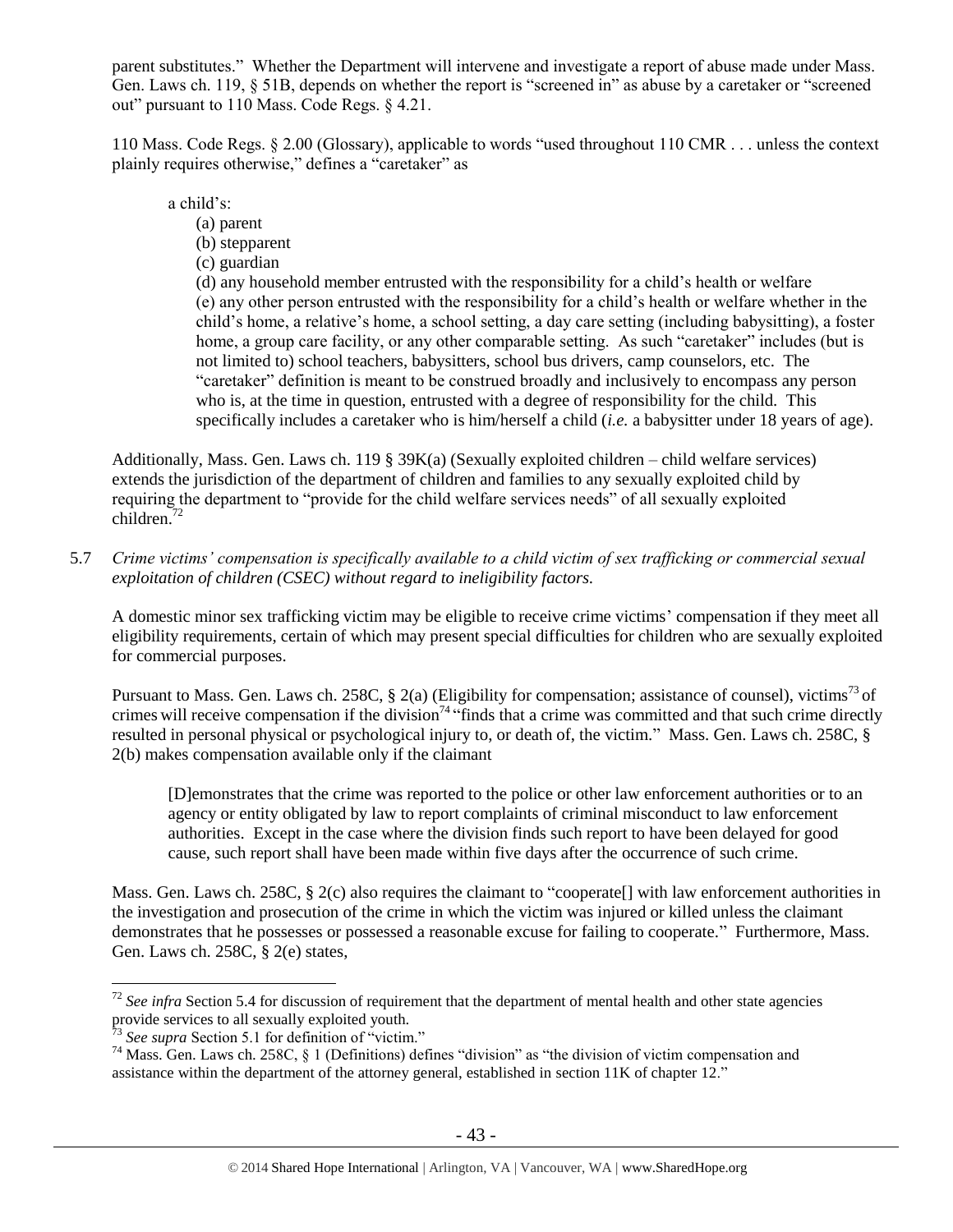parent substitutes." Whether the Department will intervene and investigate a report of abuse made under Mass. Gen. Laws ch. 119, § 51B, depends on whether the report is "screened in" as abuse by a caretaker or "screened out" pursuant to 110 Mass. Code Regs. § 4.21.

110 Mass. Code Regs. § 2.00 (Glossary), applicable to words "used throughout 110 CMR . . . unless the context plainly requires otherwise," defines a "caretaker" as

a child's:

- (a) parent
- (b) stepparent
- (c) guardian

(d) any household member entrusted with the responsibility for a child's health or welfare (e) any other person entrusted with the responsibility for a child's health or welfare whether in the child's home, a relative's home, a school setting, a day care setting (including babysitting), a foster home, a group care facility, or any other comparable setting. As such "caretaker" includes (but is not limited to) school teachers, babysitters, school bus drivers, camp counselors, etc. The "caretaker" definition is meant to be construed broadly and inclusively to encompass any person who is, at the time in question, entrusted with a degree of responsibility for the child. This specifically includes a caretaker who is him/herself a child (*i.e.* a babysitter under 18 years of age).

Additionally, Mass. Gen. Laws ch. 119 § 39K(a) (Sexually exploited children – child welfare services) extends the jurisdiction of the department of children and families to any sexually exploited child by requiring the department to "provide for the child welfare services needs" of all sexually exploited children.<sup>72</sup>

5.7 *Crime victims' compensation is specifically available to a child victim of sex trafficking or commercial sexual exploitation of children (CSEC) without regard to ineligibility factors.*

A domestic minor sex trafficking victim may be eligible to receive crime victims' compensation if they meet all eligibility requirements, certain of which may present special difficulties for children who are sexually exploited for commercial purposes.

Pursuant to Mass. Gen. Laws ch. 258C,  $\S$  2(a) (Eligibility for compensation; assistance of counsel), victims<sup>73</sup> of crimes will receive compensation if the division<sup>74</sup> "finds that a crime was committed and that such crime directly resulted in personal physical or psychological injury to, or death of, the victim." Mass. Gen. Laws ch. 258C, § 2(b) makes compensation available only if the claimant

[D]emonstrates that the crime was reported to the police or other law enforcement authorities or to an agency or entity obligated by law to report complaints of criminal misconduct to law enforcement authorities. Except in the case where the division finds such report to have been delayed for good cause, such report shall have been made within five days after the occurrence of such crime.

Mass. Gen. Laws ch. 258C, § 2(c) also requires the claimant to "cooperate<sup>[]</sup> with law enforcement authorities in the investigation and prosecution of the crime in which the victim was injured or killed unless the claimant demonstrates that he possesses or possessed a reasonable excuse for failing to cooperate." Furthermore, Mass. Gen. Laws ch. 258C, § 2(e) states,

<sup>&</sup>lt;sup>72</sup> See infra Section 5.4 for discussion of requirement that the department of mental health and other state agencies provide services to all sexually exploited youth.

<sup>&</sup>lt;sup>3</sup> See supra Section 5.1 for definition of "victim."

<sup>&</sup>lt;sup>74</sup> Mass. Gen. Laws ch. 258C, § 1 (Definitions) defines "division" as "the division of victim compensation and assistance within the department of the attorney general, established in [section 11K of chapter 12.](https://www.lexis.com/research/buttonTFLink?_m=0a9bf3f22019a5688cf9dc3603928030&_xfercite=%3ccite%20cc%3d%22USA%22%3e%3c%21%5bCDATA%5bALM%20GL%20ch.%20258C%2c%20%a7%201%5d%5d%3e%3c%2fcite%3e&_butType=4&_butStat=0&_butNum=3&_butInline=1&_butinfo=MACODE%2012%2011K&_fmtstr=FULL&docnum=1&_startdoc=1&wchp=dGLbVzt-zSkAz&_md5=8a1ac463f2ddb37903ab8243ac925274)"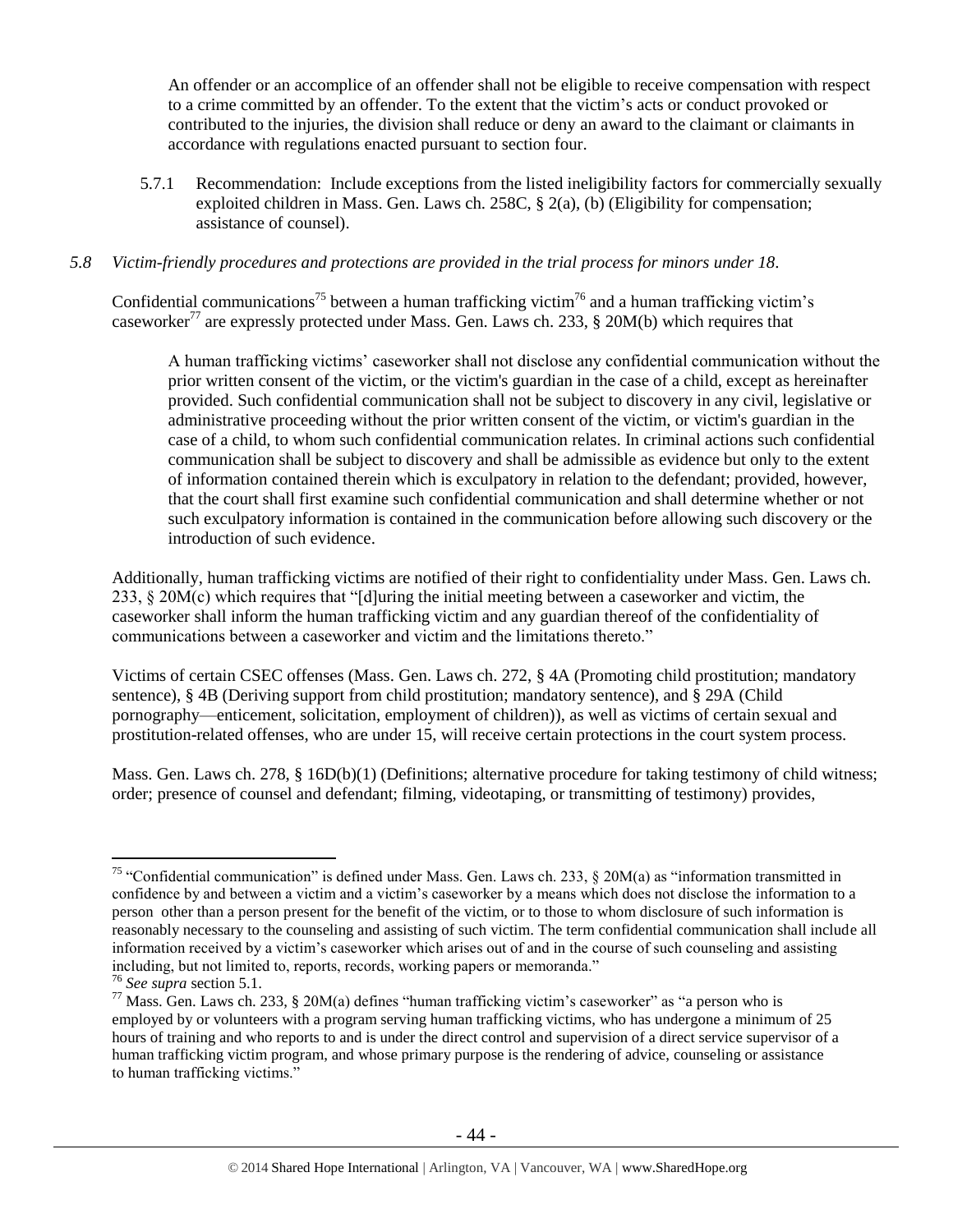An offender or an accomplice of an offender shall not be eligible to receive compensation with respect to a crime committed by an offender. To the extent that the victim's acts or conduct provoked or contributed to the injuries, the division shall reduce or deny an award to the claimant or claimants in accordance with regulations enacted pursuant to section four.

5.7.1 Recommendation: Include exceptions from the listed ineligibility factors for commercially sexually exploited children in Mass. Gen. Laws ch. 258C, § 2(a), (b) (Eligibility for compensation; assistance of counsel).

# *5.8 Victim-friendly procedures and protections are provided in the trial process for minors under 18.*

Confidential communications<sup>75</sup> between a human trafficking victim<sup>76</sup> and a human trafficking victim's caseworker<sup>77</sup> are expressly protected under Mass. Gen. Laws ch. 233, § 20M(b) which requires that

A human trafficking victims' caseworker shall not disclose any confidential communication without the prior written consent of the victim, or the victim's guardian in the case of a child, except as hereinafter provided. Such confidential communication shall not be subject to discovery in any civil, legislative or administrative proceeding without the prior written consent of the victim, or victim's guardian in the case of a child, to whom such confidential communication relates. In criminal actions such confidential communication shall be subject to discovery and shall be admissible as evidence but only to the extent of information contained therein which is exculpatory in relation to the defendant; provided, however, that the court shall first examine such confidential communication and shall determine whether or not such exculpatory information is contained in the communication before allowing such discovery or the introduction of such evidence.

Additionally, human trafficking victims are notified of their right to confidentiality under Mass. Gen. Laws ch. 233, § 20M(c) which requires that "[d]uring the initial meeting between a caseworker and victim, the caseworker shall inform the human trafficking victim and any guardian thereof of the confidentiality of communications between a caseworker and victim and the limitations thereto."

Victims of certain CSEC offenses (Mass. Gen. Laws ch. 272, § 4A (Promoting child prostitution; mandatory sentence), § 4B (Deriving support from child prostitution; mandatory sentence), and § 29A (Child pornography—enticement, solicitation, employment of children)), as well as victims of certain sexual and prostitution-related offenses, who are under 15, will receive certain protections in the court system process.

Mass. Gen. Laws ch. 278, § 16D(b)(1) (Definitions; alternative procedure for taking testimony of child witness; order; presence of counsel and defendant; filming, videotaping, or transmitting of testimony) provides,

 $\overline{a}$ <sup>75</sup> "Confidential communication" is defined under Mass. Gen. Laws ch. 233,  $\S$  20M(a) as "information transmitted in confidence by and between a victim and a victim's caseworker by a means which does not disclose the information to a person other than a person present for the benefit of the victim, or to those to whom disclosure of such information is reasonably necessary to the counseling and assisting of such victim. The term confidential communication shall include all information received by a victim's caseworker which arises out of and in the course of such counseling and assisting including, but not limited to, reports, records, working papers or memoranda."

<sup>76</sup> *See supra* section 5.1.

 $^{77}$  Mass. Gen. Laws ch. 233, § 20M(a) defines "human trafficking victim's caseworker" as "a person who is employed by or volunteers with a program serving human trafficking victims, who has undergone a minimum of 25 hours of training and who reports to and is under the direct control and supervision of a direct service supervisor of a human trafficking victim program, and whose primary purpose is the rendering of advice, counseling or assistance to human trafficking victims."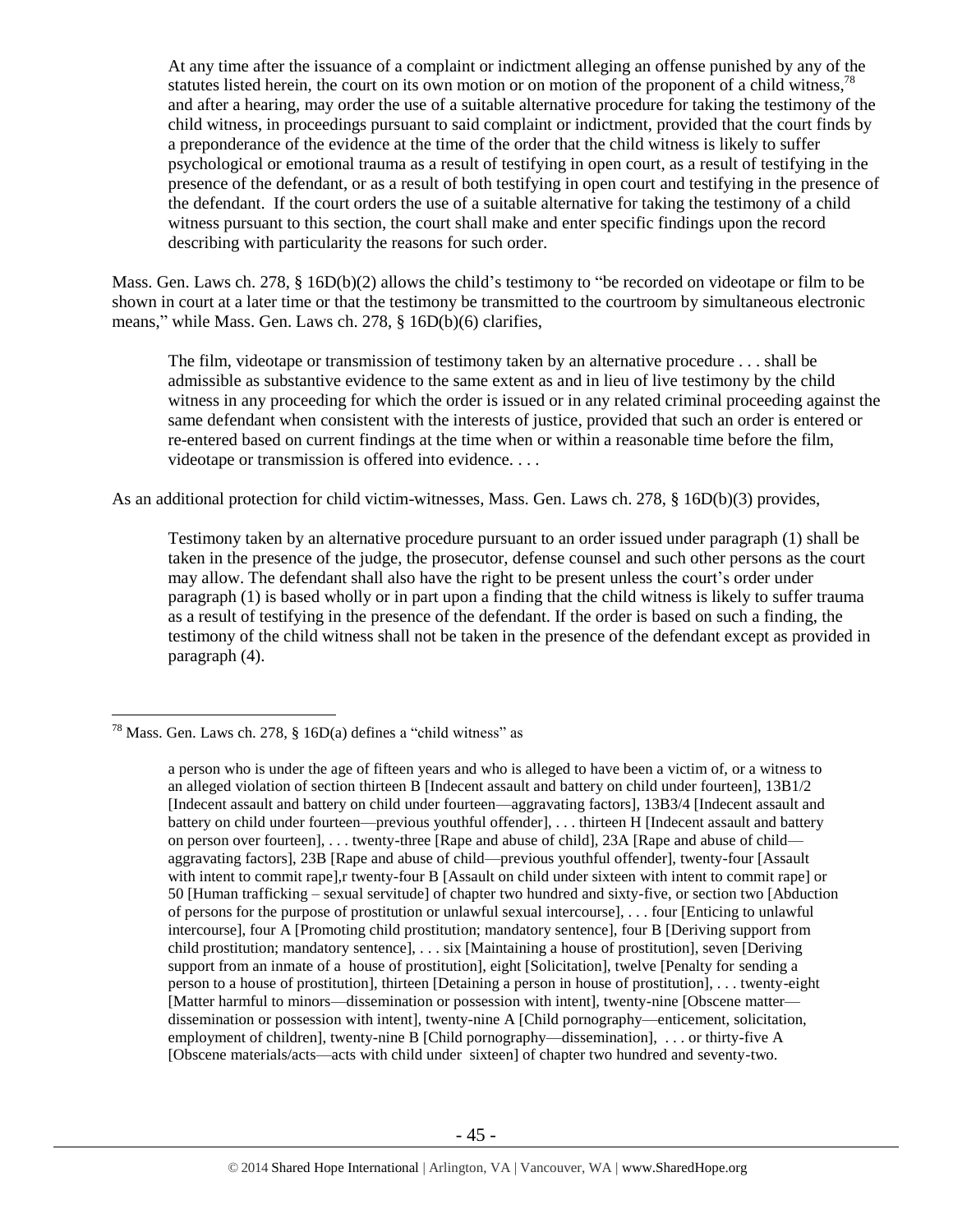At any time after the issuance of a complaint or indictment alleging an offense punished by any of the statutes listed herein, the court on its own motion or on motion of the proponent of a child witness,  $78$ and after a hearing, may order the use of a suitable alternative procedure for taking the testimony of the child witness, in proceedings pursuant to said complaint or indictment, provided that the court finds by a preponderance of the evidence at the time of the order that the child witness is likely to suffer psychological or emotional trauma as a result of testifying in open court, as a result of testifying in the presence of the defendant, or as a result of both testifying in open court and testifying in the presence of the defendant. If the court orders the use of a suitable alternative for taking the testimony of a child witness pursuant to this section, the court shall make and enter specific findings upon the record describing with particularity the reasons for such order.

Mass. Gen. Laws ch. 278, § 16D(b)(2) allows the child's testimony to "be recorded on videotape or film to be shown in court at a later time or that the testimony be transmitted to the courtroom by simultaneous electronic means," while Mass. Gen. Laws ch. 278, § 16D(b)(6) clarifies,

The film, videotape or transmission of testimony taken by an alternative procedure . . . shall be admissible as substantive evidence to the same extent as and in lieu of live testimony by the child witness in any proceeding for which the order is issued or in any related criminal proceeding against the same defendant when consistent with the interests of justice, provided that such an order is entered or re-entered based on current findings at the time when or within a reasonable time before the film, videotape or transmission is offered into evidence. . . .

As an additional protection for child victim-witnesses, Mass. Gen. Laws ch. 278, § 16D(b)(3) provides,

Testimony taken by an alternative procedure pursuant to an order issued under paragraph (1) shall be taken in the presence of the judge, the prosecutor, defense counsel and such other persons as the court may allow. The defendant shall also have the right to be present unless the court's order under paragraph (1) is based wholly or in part upon a finding that the child witness is likely to suffer trauma as a result of testifying in the presence of the defendant. If the order is based on such a finding, the testimony of the child witness shall not be taken in the presence of the defendant except as provided in paragraph (4).

<sup>&</sup>lt;sup>78</sup> Mass. Gen. Laws ch. 278, § 16D(a) defines a "child witness" as

a person who is under the age of fifteen years and who is alleged to have been a victim of, or a witness to an alleged violation of section thirteen B [Indecent assault and battery on child under fourteen], 13B1/2 [Indecent assault and battery on child under fourteen—aggravating factors], 13B3/4 [Indecent assault and battery on child under fourteen—previous youthful offender], . . . thirteen H [Indecent assault and battery on person over fourteen], . . . twenty-three [Rape and abuse of child], 23A [Rape and abuse of child aggravating factors], 23B [Rape and abuse of child—previous youthful offender], twenty-four [Assault with intent to commit rape], r twenty-four B [Assault on child under sixteen with intent to commit rape] or 50 [Human trafficking – sexual servitude] of chapter two hundred and sixty-five, or section two [Abduction of persons for the purpose of prostitution or unlawful sexual intercourse], . . . four [Enticing to unlawful intercourse], four A [Promoting child prostitution; mandatory sentence], four B [Deriving support from child prostitution; mandatory sentence], . . . six [Maintaining a house of prostitution], seven [Deriving support from an inmate of a house of prostitution], eight [Solicitation], twelve [Penalty for sending a person to a house of prostitution], thirteen [Detaining a person in house of prostitution], . . . twenty-eight [Matter harmful to minors—dissemination or possession with intent], twenty-nine [Obscene matter dissemination or possession with intent], twenty-nine A [Child pornography—enticement, solicitation, employment of children], twenty-nine B [Child pornography—dissemination], . . . or thirty-five A [Obscene materials/acts—acts with child under sixteen] of chapter two hundred and seventy-two.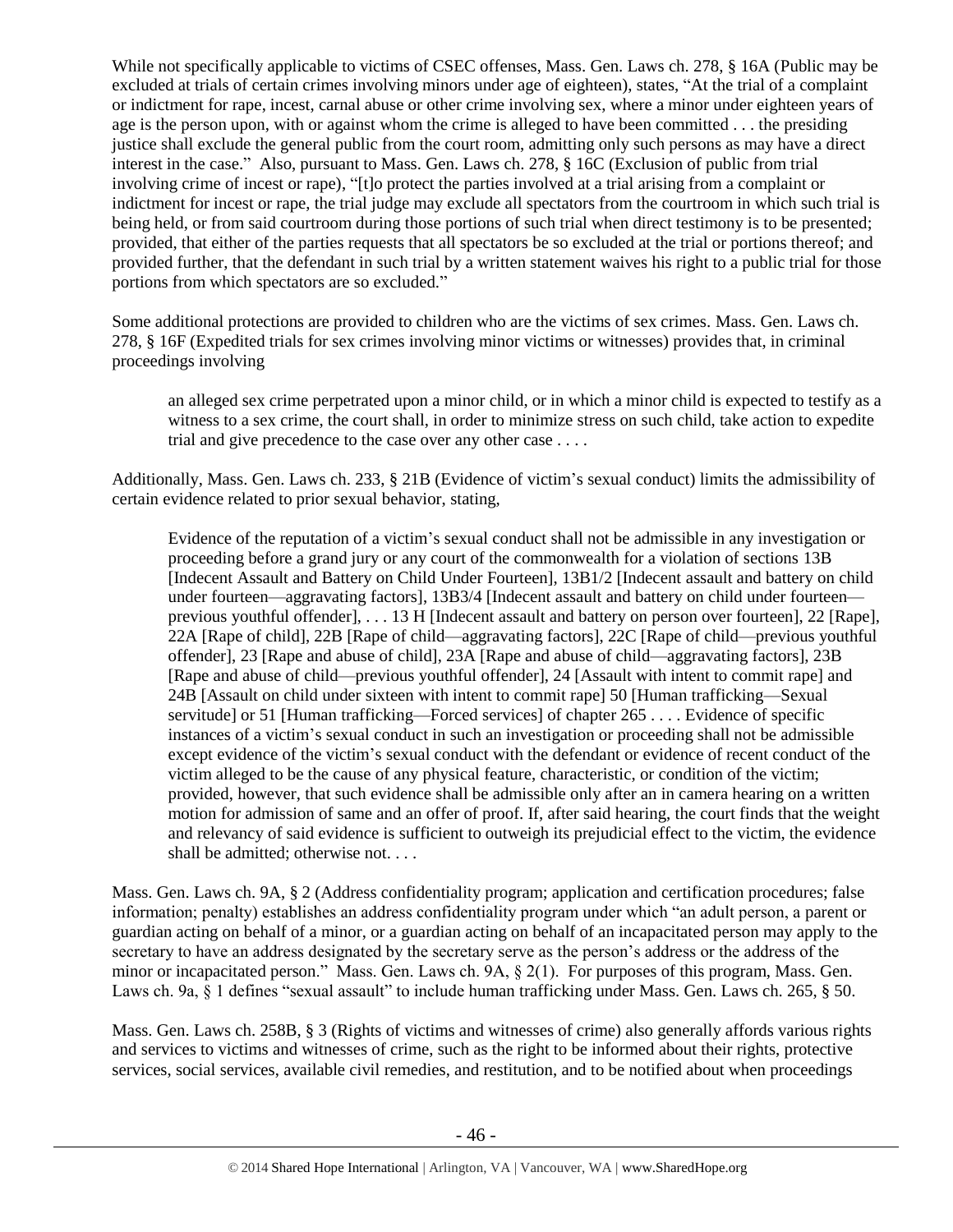While not specifically applicable to victims of CSEC offenses, Mass. Gen. Laws ch. 278, § 16A (Public may be excluded at trials of certain crimes involving minors under age of eighteen), states, "At the trial of a complaint or indictment for rape, incest, carnal abuse or other crime involving sex, where a minor under eighteen years of age is the person upon, with or against whom the crime is alleged to have been committed . . . the presiding justice shall exclude the general public from the court room, admitting only such persons as may have a direct interest in the case." Also, pursuant to Mass. Gen. Laws ch. 278, § 16C (Exclusion of public from trial involving crime of incest or rape), "[t]o protect the parties involved at a trial arising from a complaint or indictment for incest or rape, the trial judge may exclude all spectators from the courtroom in which such trial is being held, or from said courtroom during those portions of such trial when direct testimony is to be presented; provided, that either of the parties requests that all spectators be so excluded at the trial or portions thereof; and provided further, that the defendant in such trial by a written statement waives his right to a public trial for those portions from which spectators are so excluded."

Some additional protections are provided to children who are the victims of sex crimes. Mass. Gen. Laws ch. 278, § 16F (Expedited trials for sex crimes involving minor victims or witnesses) provides that, in criminal proceedings involving

an alleged sex crime perpetrated upon a minor child, or in which a minor child is expected to testify as a witness to a sex crime, the court shall, in order to minimize stress on such child, take action to expedite trial and give precedence to the case over any other case . . . .

Additionally, Mass. Gen. Laws ch. 233, § 21B (Evidence of victim's sexual conduct) limits the admissibility of certain evidence related to prior sexual behavior, stating,

Evidence of the reputation of a victim's sexual conduct shall not be admissible in any investigation or proceeding before a grand jury or any court of the commonwealth for a violation of sections 13B [Indecent Assault and Battery on Child Under Fourteen], 13B1/2 [Indecent assault and battery on child under fourteen—aggravating factors], 13B3/4 [Indecent assault and battery on child under fourteen previous youthful offender], . . . 13 H [Indecent assault and battery on person over fourteen], 22 [Rape], 22A [Rape of child], 22B [Rape of child—aggravating factors], 22C [Rape of child—previous youthful offender], 23 [Rape and abuse of child], 23A [Rape and abuse of child—aggravating factors], 23B [Rape and abuse of child—previous youthful offender], 24 [Assault with intent to commit rape] and 24B [Assault on child under sixteen with intent to commit rape] 50 [Human trafficking—Sexual servitude] or 51 [Human trafficking—Forced services] of chapter 265 . . . . Evidence of specific instances of a victim's sexual conduct in such an investigation or proceeding shall not be admissible except evidence of the victim's sexual conduct with the defendant or evidence of recent conduct of the victim alleged to be the cause of any physical feature, characteristic, or condition of the victim; provided, however, that such evidence shall be admissible only after an in camera hearing on a written motion for admission of same and an offer of proof. If, after said hearing, the court finds that the weight and relevancy of said evidence is sufficient to outweigh its prejudicial effect to the victim, the evidence shall be admitted; otherwise not. . . .

Mass. Gen. Laws ch. 9A, § 2 (Address confidentiality program; application and certification procedures; false information; penalty) establishes an address confidentiality program under which "an adult person, a parent or guardian acting on behalf of a minor, or a guardian acting on behalf of an incapacitated person may apply to the secretary to have an address designated by the secretary serve as the person's address or the address of the minor or incapacitated person." Mass. Gen. Laws ch. 9A, § 2(1). For purposes of this program, Mass. Gen. Laws ch. 9a, § 1 defines "sexual assault" to include human trafficking under Mass. Gen. Laws ch. 265, § 50.

Mass. Gen. Laws ch. 258B, § 3 (Rights of victims and witnesses of crime) also generally affords various rights and services to victims and witnesses of crime, such as the right to be informed about their rights, protective services, social services, available civil remedies, and restitution, and to be notified about when proceedings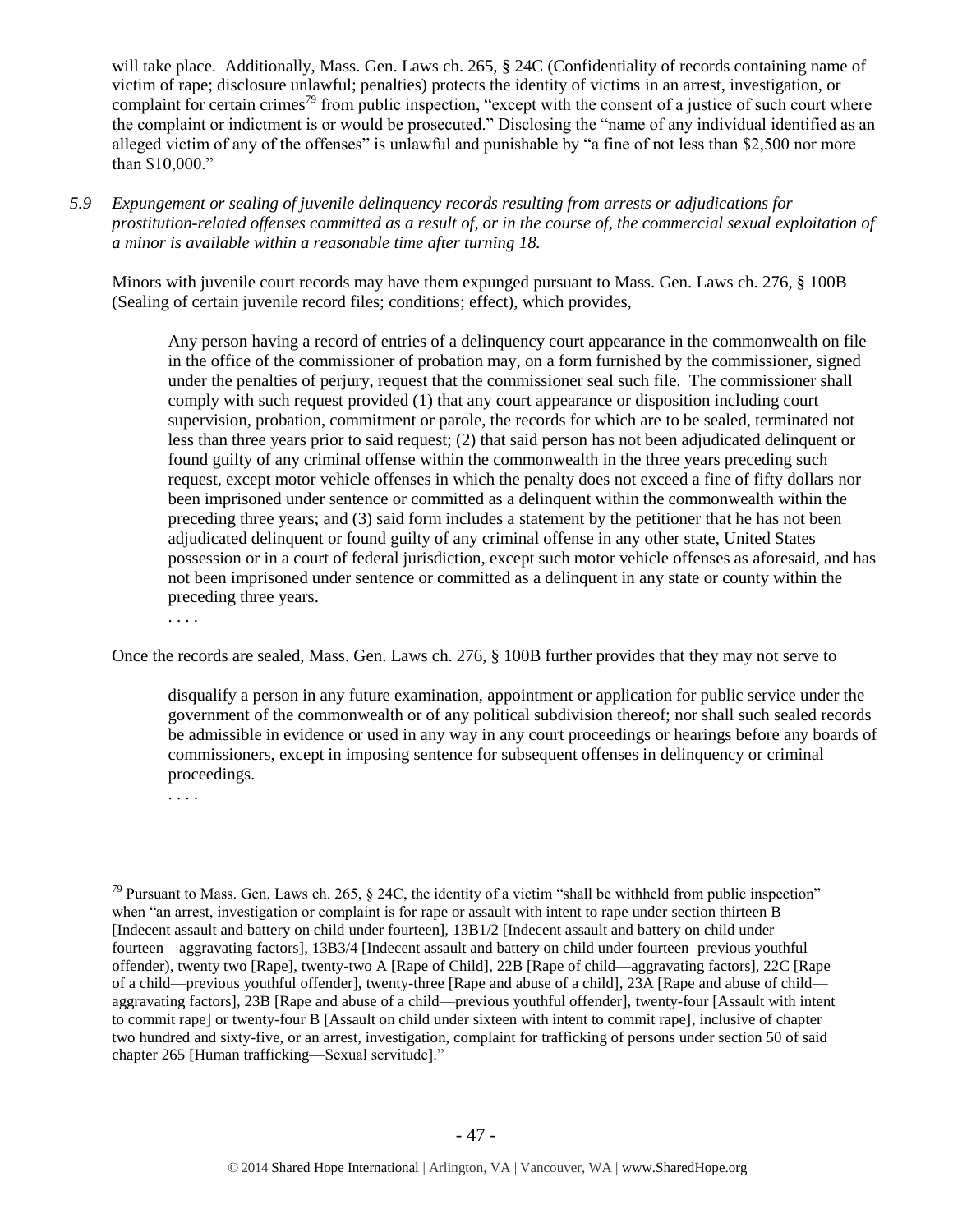will take place. Additionally, Mass. Gen. Laws ch. 265, § 24C (Confidentiality of records containing name of victim of rape; disclosure unlawful; penalties) protects the identity of victims in an arrest, investigation, or complaint for certain crimes<sup>79</sup> from public inspection, "except with the consent of a justice of such court where the complaint or indictment is or would be prosecuted." Disclosing the "name of any individual identified as an alleged victim of any of the offenses" is unlawful and punishable by "a fine of not less than \$2,500 nor more than \$10,000."

*5.9 Expungement or sealing of juvenile delinquency records resulting from arrests or adjudications for prostitution-related offenses committed as a result of, or in the course of, the commercial sexual exploitation of a minor is available within a reasonable time after turning 18.*

Minors with juvenile court records may have them expunged pursuant to Mass. Gen. Laws ch. 276, § 100B (Sealing of certain juvenile record files; conditions; effect), which provides,

Any person having a record of entries of a delinquency court appearance in the commonwealth on file in the office of the commissioner of probation may, on a form furnished by the commissioner, signed under the penalties of perjury, request that the commissioner seal such file. The commissioner shall comply with such request provided (1) that any court appearance or disposition including court supervision, probation, commitment or parole, the records for which are to be sealed, terminated not less than three years prior to said request; (2) that said person has not been adjudicated delinquent or found guilty of any criminal offense within the commonwealth in the three years preceding such request, except motor vehicle offenses in which the penalty does not exceed a fine of fifty dollars nor been imprisoned under sentence or committed as a delinquent within the commonwealth within the preceding three years; and (3) said form includes a statement by the petitioner that he has not been adjudicated delinquent or found guilty of any criminal offense in any other state, United States possession or in a court of federal jurisdiction, except such motor vehicle offenses as aforesaid, and has not been imprisoned under sentence or committed as a delinquent in any state or county within the preceding three years.

. . . .

Once the records are sealed, Mass. Gen. Laws ch. 276, § 100B further provides that they may not serve to

disqualify a person in any future examination, appointment or application for public service under the government of the commonwealth or of any political subdivision thereof; nor shall such sealed records be admissible in evidence or used in any way in any court proceedings or hearings before any boards of commissioners, except in imposing sentence for subsequent offenses in delinquency or criminal proceedings.

. . . .

 $79$  Pursuant to Mass. Gen. Laws ch. 265, § 24C, the identity of a victim "shall be withheld from public inspection" when "an arrest, investigation or complaint is for rape or assault with intent to rape under section thirteen B [Indecent assault and battery on child under fourteen], 13B1/2 [Indecent assault and battery on child under fourteen—aggravating factors], 13B3/4 [Indecent assault and battery on child under fourteen–previous youthful offender), twenty two [Rape], twenty-two A [Rape of Child], 22B [Rape of child—aggravating factors], 22C [Rape of a child—previous youthful offender], twenty-three [Rape and abuse of a child], 23A [Rape and abuse of child aggravating factors], 23B [Rape and abuse of a child—previous youthful offender], twenty-four [Assault with intent to commit rape] or twenty-four B [Assault on child under sixteen with intent to commit rape], inclusive of chapter two hundred and sixty-five, or an arrest, investigation, complaint for trafficking of persons under section 50 of said chapter 265 [Human trafficking—Sexual servitude]."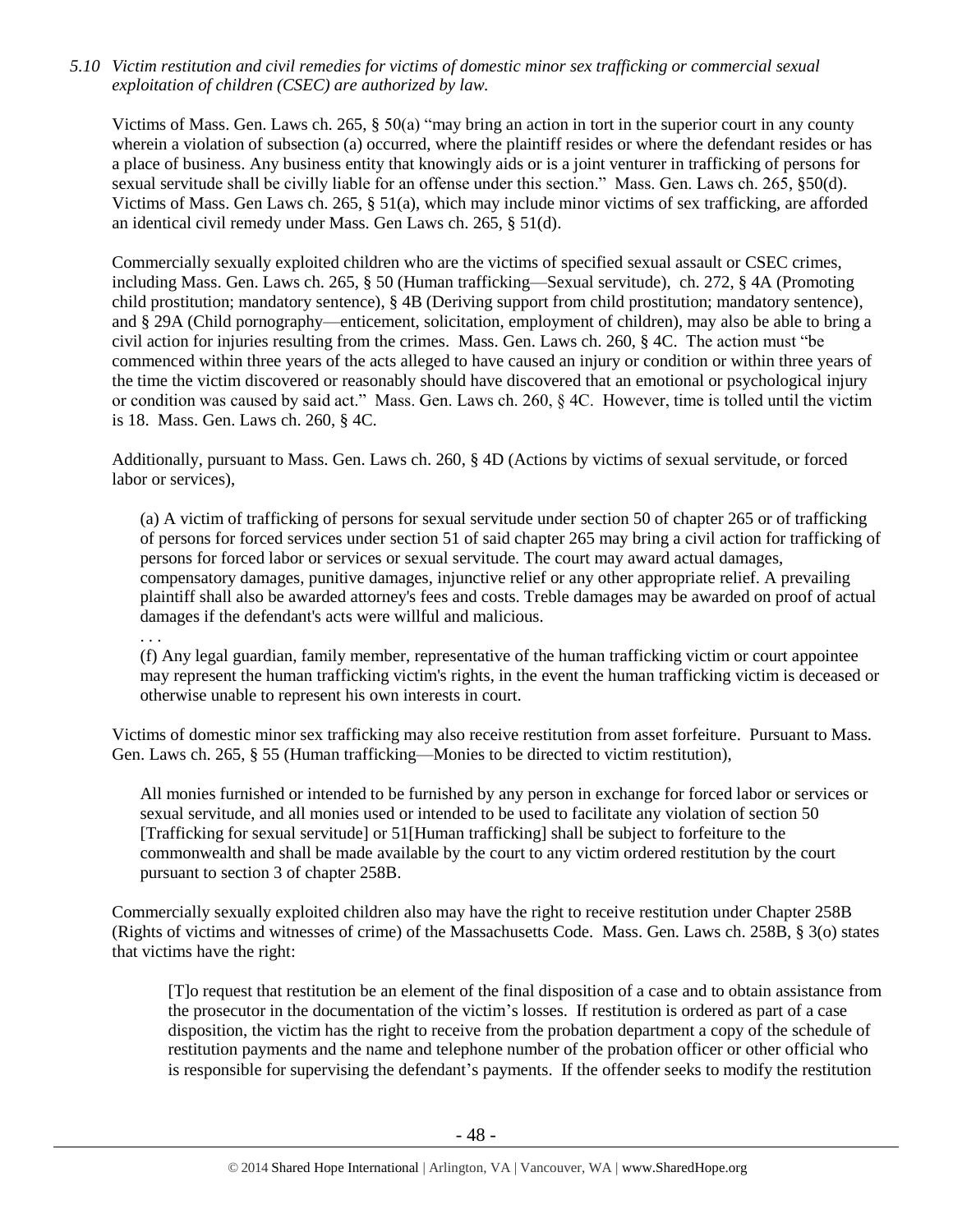*5.10 Victim restitution and civil remedies for victims of domestic minor sex trafficking or commercial sexual exploitation of children (CSEC) are authorized by law.* 

Victims of Mass. Gen. Laws ch. 265, § 50(a) "may bring an action in tort in the superior court in any county wherein a violation of subsection (a) occurred, where the plaintiff resides or where the defendant resides or has a place of business. Any business entity that knowingly aids or is a joint venturer in trafficking of persons for sexual servitude shall be civilly liable for an offense under this section." Mass. Gen. Laws ch. 265, §50(d). Victims of Mass. Gen Laws ch. 265, § 51(a), which may include minor victims of sex trafficking, are afforded an identical civil remedy under Mass. Gen Laws ch. 265, § 51(d).

Commercially sexually exploited children who are the victims of specified sexual assault or CSEC crimes, including Mass. Gen. Laws ch. 265, § 50 (Human trafficking—Sexual servitude), ch. 272, § 4A (Promoting child prostitution; mandatory sentence), § 4B (Deriving support from child prostitution; mandatory sentence), and § 29A (Child pornography—enticement, solicitation, employment of children), may also be able to bring a civil action for injuries resulting from the crimes. Mass. Gen. Laws ch. 260, § 4C. The action must "be commenced within three years of the acts alleged to have caused an injury or condition or within three years of the time the victim discovered or reasonably should have discovered that an emotional or psychological injury or condition was caused by said act." Mass. Gen. Laws ch. 260, § 4C. However, time is tolled until the victim is 18. Mass. Gen. Laws ch. 260, § 4C.

Additionally, pursuant to Mass. Gen. Laws ch. 260, § 4D (Actions by victims of sexual servitude, or forced labor or services),

. . .

(a) A victim of trafficking of persons for sexual servitude under section 50 of chapter 265 or of trafficking of persons for forced services under section 51 of said chapter 265 may bring a civil action for trafficking of persons for forced labor or services or sexual servitude. The court may award actual damages, compensatory damages, punitive damages, injunctive relief or any other appropriate relief. A prevailing plaintiff shall also be awarded attorney's fees and costs. Treble damages may be awarded on proof of actual damages if the defendant's acts were willful and malicious.

(f) Any legal guardian, family member, representative of the human trafficking victim or court appointee may represent the human trafficking victim's rights, in the event the human trafficking victim is deceased or otherwise unable to represent his own interests in court.

Victims of domestic minor sex trafficking may also receive restitution from asset forfeiture. Pursuant to Mass. Gen. Laws ch. 265, § 55 (Human trafficking—Monies to be directed to victim restitution),

All monies furnished or intended to be furnished by any person in exchange for forced labor or services or sexual servitude, and all monies used or intended to be used to facilitate any violation of section 50 [Trafficking for sexual servitude] or 51[Human trafficking] shall be subject to forfeiture to the commonwealth and shall be made available by the court to any victim ordered restitution by the court pursuant to section 3 of chapter 258B.

Commercially sexually exploited children also may have the right to receive restitution under Chapter 258B (Rights of victims and witnesses of crime) of the Massachusetts Code. Mass. Gen. Laws ch. 258B, § 3(o) states that victims have the right:

[T]o request that restitution be an element of the final disposition of a case and to obtain assistance from the prosecutor in the documentation of the victim's losses. If restitution is ordered as part of a case disposition, the victim has the right to receive from the probation department a copy of the schedule of restitution payments and the name and telephone number of the probation officer or other official who is responsible for supervising the defendant's payments. If the offender seeks to modify the restitution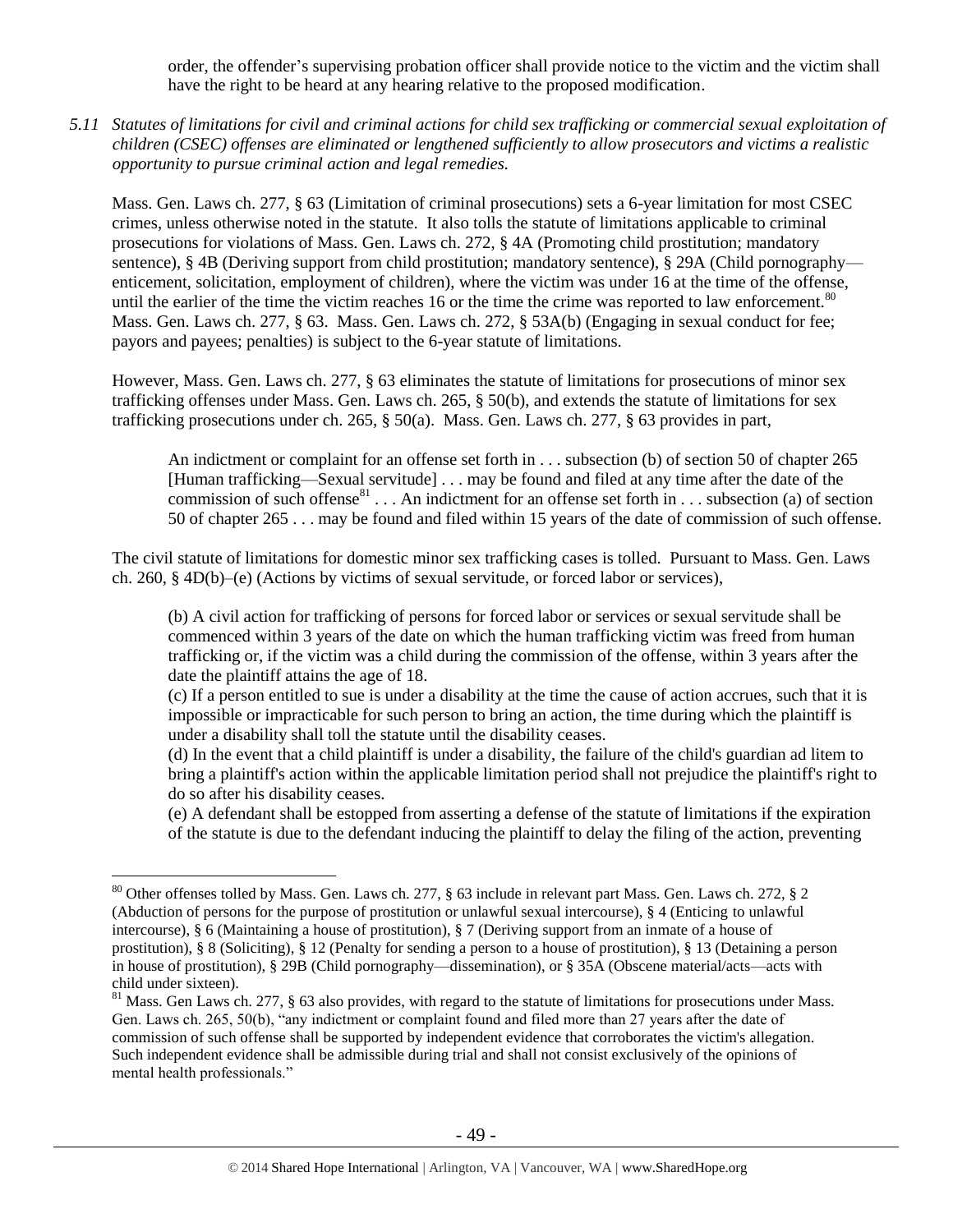order, the offender's supervising probation officer shall provide notice to the victim and the victim shall have the right to be heard at any hearing relative to the proposed modification.

*5.11 Statutes of limitations for civil and criminal actions for child sex trafficking or commercial sexual exploitation of children (CSEC) offenses are eliminated or lengthened sufficiently to allow prosecutors and victims a realistic opportunity to pursue criminal action and legal remedies.*

Mass. Gen. Laws ch. 277, § 63 (Limitation of criminal prosecutions) sets a 6-year limitation for most CSEC crimes, unless otherwise noted in the statute. It also tolls the statute of limitations applicable to criminal prosecutions for violations of Mass. Gen. Laws ch. 272, § 4A (Promoting child prostitution; mandatory sentence), § 4B (Deriving support from child prostitution; mandatory sentence), § 29A (Child pornography enticement, solicitation, employment of children), where the victim was under 16 at the time of the offense, until the earlier of the time the victim reaches 16 or the time the crime was reported to law enforcement.<sup>80</sup> Mass. Gen. Laws ch. 277, § 63. Mass. Gen. Laws ch. 272, § 53A(b) (Engaging in sexual conduct for fee; payors and payees; penalties) is subject to the 6-year statute of limitations.

However, Mass. Gen. Laws ch. 277, § 63 eliminates the statute of limitations for prosecutions of minor sex trafficking offenses under Mass. Gen. Laws ch. 265, § 50(b), and extends the statute of limitations for sex trafficking prosecutions under ch. 265, § 50(a). Mass. Gen. Laws ch. 277, § 63 provides in part,

An indictment or complaint for an offense set forth in . . . subsection (b) of section 50 of chapter 265 [Human trafficking—Sexual servitude] . . . may be found and filed at any time after the date of the commission of such offense<sup>81</sup> . . . An indictment for an offense set forth in . . . subsection (a) of section 50 of chapter 265 . . . may be found and filed within 15 years of the date of commission of such offense.

The civil statute of limitations for domestic minor sex trafficking cases is tolled. Pursuant to Mass. Gen. Laws ch. 260, § 4D(b)–(e) (Actions by victims of sexual servitude, or forced labor or services),

(b) A civil action for trafficking of persons for forced labor or services or sexual servitude shall be commenced within 3 years of the date on which the human trafficking victim was freed from human trafficking or, if the victim was a child during the commission of the offense, within 3 years after the date the plaintiff attains the age of 18.

(c) If a person entitled to sue is under a disability at the time the cause of action accrues, such that it is impossible or impracticable for such person to bring an action, the time during which the plaintiff is under a disability shall toll the statute until the disability ceases.

(d) In the event that a child plaintiff is under a disability, the failure of the child's guardian ad litem to bring a plaintiff's action within the applicable limitation period shall not prejudice the plaintiff's right to do so after his disability ceases.

(e) A defendant shall be estopped from asserting a defense of the statute of limitations if the expiration of the statute is due to the defendant inducing the plaintiff to delay the filing of the action, preventing

<sup>80</sup> Other offenses tolled by Mass. Gen. Laws ch. 277, § 63 include in relevant part Mass. Gen. Laws ch. 272, § 2 (Abduction of persons for the purpose of prostitution or unlawful sexual intercourse), § 4 (Enticing to unlawful intercourse), § 6 (Maintaining a house of prostitution), § 7 (Deriving support from an inmate of a house of prostitution), § 8 (Soliciting), § 12 (Penalty for sending a person to a house of prostitution), § 13 (Detaining a person in house of prostitution), § 29B (Child pornography—dissemination), or § 35A (Obscene material/acts—acts with child under sixteen).

 $81$  Mass. Gen Laws ch. 277, § 63 also provides, with regard to the statute of limitations for prosecutions under Mass. Gen. Laws ch. 265, 50(b), "any indictment or complaint found and filed more than 27 years after the date of commission of such offense shall be supported by independent evidence that corroborates the victim's allegation. Such independent evidence shall be admissible during trial and shall not consist exclusively of the opinions of mental health professionals."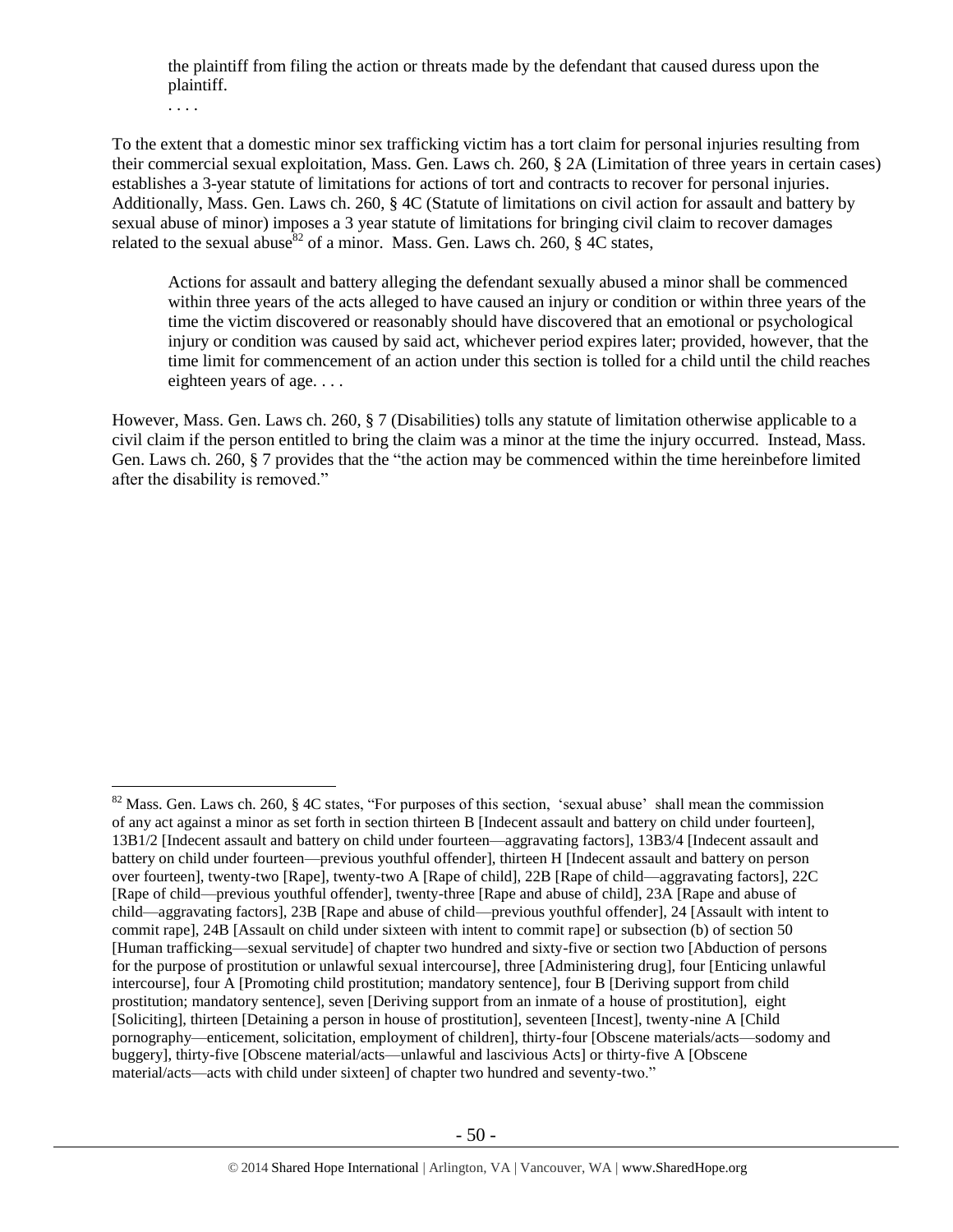the plaintiff from filing the action or threats made by the defendant that caused duress upon the plaintiff.

. . . .

 $\overline{a}$ 

To the extent that a domestic minor sex trafficking victim has a tort claim for personal injuries resulting from their commercial sexual exploitation, Mass. Gen. Laws ch. 260, § 2A (Limitation of three years in certain cases) establishes a 3-year statute of limitations for actions of tort and contracts to recover for personal injuries. Additionally, Mass. Gen. Laws ch. 260, § 4C (Statute of limitations on civil action for assault and battery by sexual abuse of minor) imposes a 3 year statute of limitations for bringing civil claim to recover damages related to the sexual abuse<sup>82</sup> of a minor. Mass. Gen. Laws ch. 260,  $\frac{8}{9}$  4C states,

Actions for assault and battery alleging the defendant sexually abused a minor shall be commenced within three years of the acts alleged to have caused an injury or condition or within three years of the time the victim discovered or reasonably should have discovered that an emotional or psychological injury or condition was caused by said act, whichever period expires later; provided, however, that the time limit for commencement of an action under this section is tolled for a child until the child reaches eighteen years of age. . . .

However, Mass. Gen. Laws ch. 260, § 7 (Disabilities) tolls any statute of limitation otherwise applicable to a civil claim if the person entitled to bring the claim was a minor at the time the injury occurred. Instead, Mass. Gen. Laws ch. 260, § 7 provides that the "the action may be commenced within the time hereinbefore limited after the disability is removed."

<sup>&</sup>lt;sup>82</sup> Mass. Gen. Laws ch. 260, § 4C states, "For purposes of this section, 'sexual abuse' shall mean the commission of any act against a minor as set forth in section thirteen B [Indecent assault and battery on child under fourteen], 13B1/2 [Indecent assault and battery on child under fourteen—aggravating factors], 13B3/4 [Indecent assault and battery on child under fourteen—previous youthful offender], thirteen H [Indecent assault and battery on person over fourteen], twenty-two [Rape], twenty-two A [Rape of child], 22B [Rape of child—aggravating factors], 22C [Rape of child—previous youthful offender], twenty-three [Rape and abuse of child], 23A [Rape and abuse of child—aggravating factors], 23B [Rape and abuse of child—previous youthful offender], 24 [Assault with intent to commit rape], 24B [Assault on child under sixteen with intent to commit rape] or subsection (b) of section 50 [Human trafficking—sexual servitude] of chapter two hundred and sixty-five or section two [Abduction of persons for the purpose of prostitution or unlawful sexual intercourse], three [Administering drug], four [Enticing unlawful intercourse], four A [Promoting child prostitution; mandatory sentence], four B [Deriving support from child prostitution; mandatory sentence], seven [Deriving support from an inmate of a house of prostitution], eight [Soliciting], thirteen [Detaining a person in house of prostitution], seventeen [Incest], twenty-nine A [Child pornography—enticement, solicitation, employment of children], thirty-four [Obscene materials/acts—sodomy and buggery], thirty-five [Obscene material/acts—unlawful and lascivious Acts] or thirty-five A [Obscene material/acts—acts with child under sixteen] of chapter two hundred and seventy-two."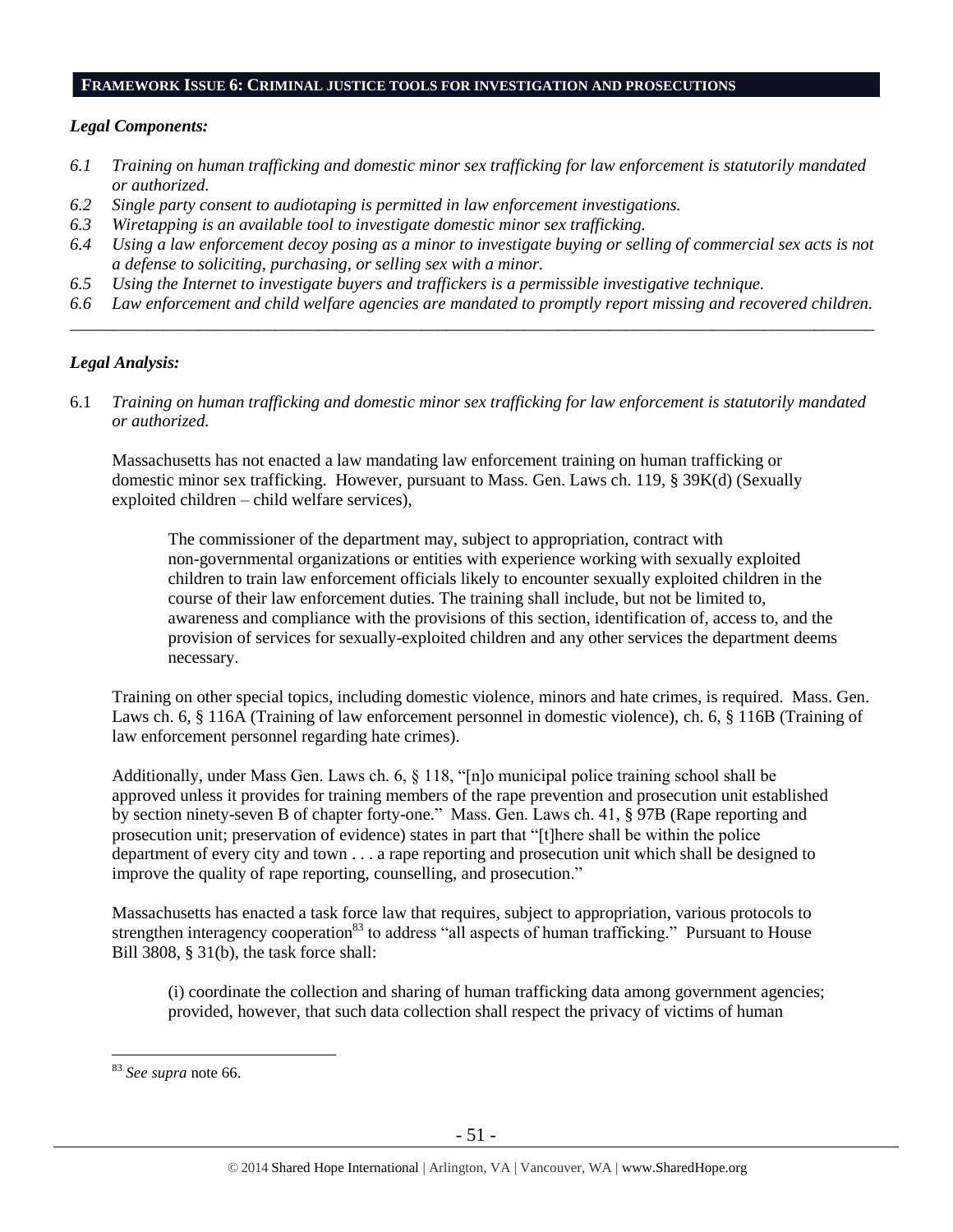# **FRAMEWORK ISSUE 6: CRIMINAL JUSTICE TOOLS FOR INVESTIGATION AND PROSECUTIONS**

## *Legal Components:*

- *6.1 Training on human trafficking and domestic minor sex trafficking for law enforcement is statutorily mandated or authorized.*
- *6.2 Single party consent to audiotaping is permitted in law enforcement investigations.*
- *6.3 Wiretapping is an available tool to investigate domestic minor sex trafficking.*
- *6.4 Using a law enforcement decoy posing as a minor to investigate buying or selling of commercial sex acts is not a defense to soliciting, purchasing, or selling sex with a minor.*
- *6.5 Using the Internet to investigate buyers and traffickers is a permissible investigative technique.*
- *6.6 Law enforcement and child welfare agencies are mandated to promptly report missing and recovered children. \_\_\_\_\_\_\_\_\_\_\_\_\_\_\_\_\_\_\_\_\_\_\_\_\_\_\_\_\_\_\_\_\_\_\_\_\_\_\_\_\_\_\_\_\_\_\_\_\_\_\_\_\_\_\_\_\_\_\_\_\_\_\_\_\_\_\_\_\_\_\_\_\_\_\_\_\_\_\_\_\_\_\_\_\_\_\_\_\_\_\_\_\_\_*

## *Legal Analysis:*

6.1 *Training on human trafficking and domestic minor sex trafficking for law enforcement is statutorily mandated or authorized.*

Massachusetts has not enacted a law mandating law enforcement training on human trafficking or domestic minor sex trafficking. However, pursuant to Mass. Gen. Laws ch. 119, § 39K(d) (Sexually exploited children – child welfare services),

The commissioner of the department may, subject to appropriation, contract with non-governmental organizations or entities with experience working with sexually exploited children to train law enforcement officials likely to encounter sexually exploited children in the course of their law enforcement duties. The training shall include, but not be limited to, awareness and compliance with the provisions of this section, identification of, access to, and the provision of services for sexually-exploited children and any other services the department deems necessary.

Training on other special topics, including domestic violence, minors and hate crimes, is required. Mass. Gen. Laws ch. 6, § 116A (Training of law enforcement personnel in domestic violence), ch. 6, § 116B (Training of law enforcement personnel regarding hate crimes).

Additionally, under Mass Gen. Laws ch. 6, § 118, "[n]o municipal police training school shall be approved unless it provides for training members of the rape prevention and prosecution unit established by section ninety-seven B of chapter forty-one." Mass. Gen. Laws ch. 41, § 97B (Rape reporting and prosecution unit; preservation of evidence) states in part that "[t]here shall be within the police department of every city and town . . . a rape reporting and prosecution unit which shall be designed to improve the quality of rape reporting, counselling, and prosecution."

Massachusetts has enacted a task force law that requires, subject to appropriation, various protocols to strengthen interagency cooperation<sup>83</sup> to address "all aspects of human trafficking." Pursuant to House Bill 3808, § 31(b), the task force shall:

(i) coordinate the collection and sharing of human trafficking data among government agencies; provided, however, that such data collection shall respect the privacy of victims of human

<sup>83</sup> *See supra* note [66.](#page-35-0)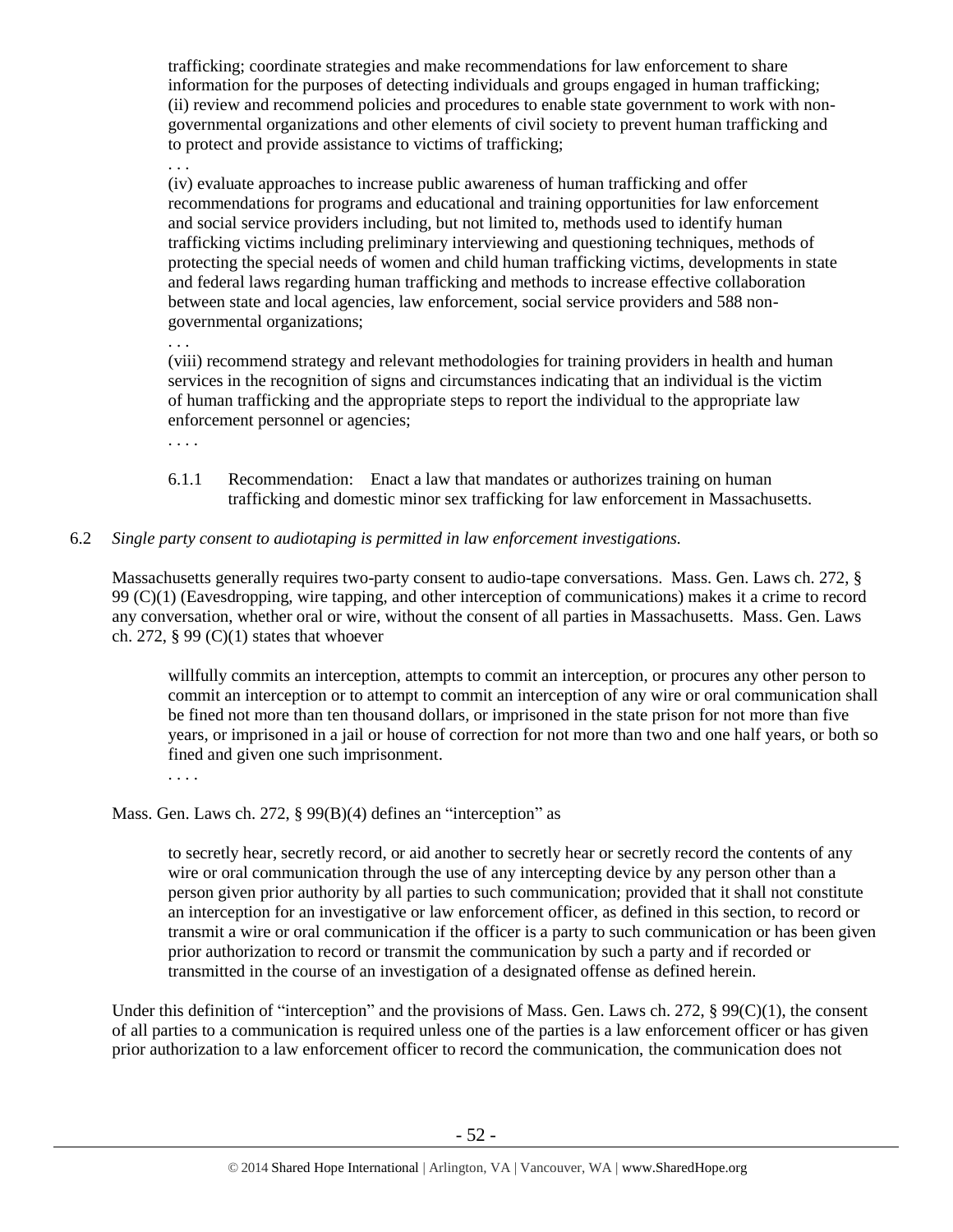trafficking; coordinate strategies and make recommendations for law enforcement to share information for the purposes of detecting individuals and groups engaged in human trafficking; (ii) review and recommend policies and procedures to enable state government to work with nongovernmental organizations and other elements of civil society to prevent human trafficking and to protect and provide assistance to victims of trafficking;

. . . (iv) evaluate approaches to increase public awareness of human trafficking and offer recommendations for programs and educational and training opportunities for law enforcement and social service providers including, but not limited to, methods used to identify human trafficking victims including preliminary interviewing and questioning techniques, methods of protecting the special needs of women and child human trafficking victims, developments in state and federal laws regarding human trafficking and methods to increase effective collaboration between state and local agencies, law enforcement, social service providers and 588 nongovernmental organizations;

. . .

(viii) recommend strategy and relevant methodologies for training providers in health and human services in the recognition of signs and circumstances indicating that an individual is the victim of human trafficking and the appropriate steps to report the individual to the appropriate law enforcement personnel or agencies;

. . . .

- 6.1.1 Recommendation: Enact a law that mandates or authorizes training on human trafficking and domestic minor sex trafficking for law enforcement in Massachusetts.
- 6.2 *Single party consent to audiotaping is permitted in law enforcement investigations.*

Massachusetts generally requires two-party consent to audio-tape conversations. Mass. Gen. Laws ch. 272, § 99 (C)(1) (Eavesdropping, wire tapping, and other interception of communications) makes it a crime to record any conversation, whether oral or wire, without the consent of all parties in Massachusetts. Mass. Gen. Laws ch. 272,  $\S 99 (C)(1)$  states that whoever

willfully commits an interception, attempts to commit an interception, or procures any other person to commit an interception or to attempt to commit an interception of any wire or oral communication shall be fined not more than ten thousand dollars, or imprisoned in the state prison for not more than five years, or imprisoned in a jail or house of correction for not more than two and one half years, or both so fined and given one such imprisonment.

. . . .

Mass. Gen. Laws ch. 272, § 99(B)(4) defines an "interception" as

to secretly hear, secretly record, or aid another to secretly hear or secretly record the contents of any wire or oral communication through the use of any intercepting device by any person other than a person given prior authority by all parties to such communication; provided that it shall not constitute an interception for an investigative or law enforcement officer, as defined in this section, to record or transmit a wire or oral communication if the officer is a party to such communication or has been given prior authorization to record or transmit the communication by such a party and if recorded or transmitted in the course of an investigation of a designated offense as defined herein.

Under this definition of "interception" and the provisions of Mass. Gen. Laws ch. 272,  $\S 99(C)(1)$ , the consent of all parties to a communication is required unless one of the parties is a law enforcement officer or has given prior authorization to a law enforcement officer to record the communication, the communication does not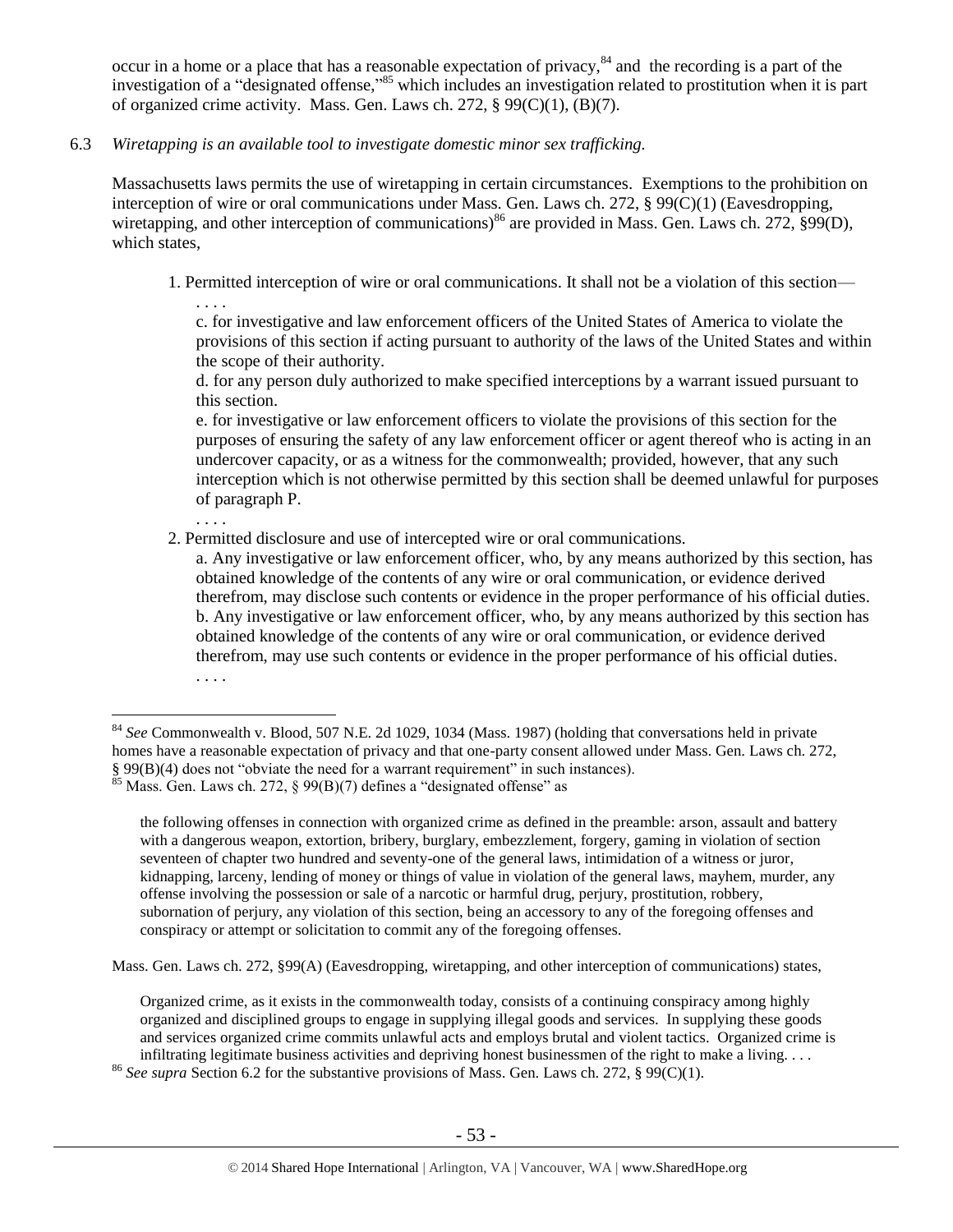<span id="page-52-0"></span>occur in a home or a place that has a reasonable expectation of privacy, $84$  and the recording is a part of the investigation of a "designated offense," <sup>85</sup> which includes an investigation related to prostitution when it is part of organized crime activity. Mass. Gen. Laws ch. 272,  $\S$  99(C)(1), (B)(7).

6.3 *Wiretapping is an available tool to investigate domestic minor sex trafficking.* 

. . . .

. . . .

 $\overline{a}$ 

Massachusetts laws permits the use of wiretapping in certain circumstances. Exemptions to the prohibition on interception of wire or oral communications under Mass. Gen. Laws ch. 272, § 99(C)(1) (Eavesdropping, wiretapping, and other interception of communications)<sup>86</sup> are provided in Mass. Gen. Laws ch. 272, §99(D), which states.

1. Permitted interception of wire or oral communications. It shall not be a violation of this section—

c. for investigative and law enforcement officers of the United States of America to violate the provisions of this section if acting pursuant to authority of the laws of the United States and within the scope of their authority.

d. for any person duly authorized to make specified interceptions by a warrant issued pursuant to this section.

e. for investigative or law enforcement officers to violate the provisions of this section for the purposes of ensuring the safety of any law enforcement officer or agent thereof who is acting in an undercover capacity, or as a witness for the commonwealth; provided, however, that any such interception which is not otherwise permitted by this section shall be deemed unlawful for purposes of paragraph P.

2. Permitted disclosure and use of intercepted wire or oral communications.

a. Any investigative or law enforcement officer, who, by any means authorized by this section, has obtained knowledge of the contents of any wire or oral communication, or evidence derived therefrom, may disclose such contents or evidence in the proper performance of his official duties. b. Any investigative or law enforcement officer, who, by any means authorized by this section has obtained knowledge of the contents of any wire or oral communication, or evidence derived therefrom, may use such contents or evidence in the proper performance of his official duties. . . . .

Mass. Gen. Laws ch. 272, §99(A) (Eavesdropping, wiretapping, and other interception of communications) states,

Organized crime, as it exists in the commonwealth today, consists of a continuing conspiracy among highly organized and disciplined groups to engage in supplying illegal goods and services. In supplying these goods and services organized crime commits unlawful acts and employs brutal and violent tactics. Organized crime is infiltrating legitimate business activities and depriving honest businessmen of the right to make a living. . . .

<sup>86</sup> *See supra* Section 6.2 for the substantive provisions of Mass. Gen. Laws ch. 272, § 99(C)(1).

<sup>84</sup> *See* Commonwealth v. Blood, 507 N.E. 2d 1029, 1034 (Mass. 1987) (holding that conversations held in private homes have a reasonable expectation of privacy and that one-party consent allowed under Mass. Gen. Laws ch. 272, § 99(B)(4) does not "obviate the need for a warrant requirement" in such instances). <sup>85</sup> Mass. Gen. Laws ch. 272, § 99(B)(7) defines a "designated offense" as

the following offenses in connection with organized crime as defined in the preamble: arson, assault and battery with a dangerous weapon, extortion, bribery, burglary, embezzlement, forgery, gaming in violation of section seventeen of chapter two hundred and seventy-one of the general laws, intimidation of a witness or juror, kidnapping, larceny, lending of money or things of value in violation of the general laws, mayhem, murder, any offense involving the possession or sale of a narcotic or harmful drug, perjury, prostitution, robbery, subornation of perjury, any violation of this section, being an accessory to any of the foregoing offenses and conspiracy or attempt or solicitation to commit any of the foregoing offenses.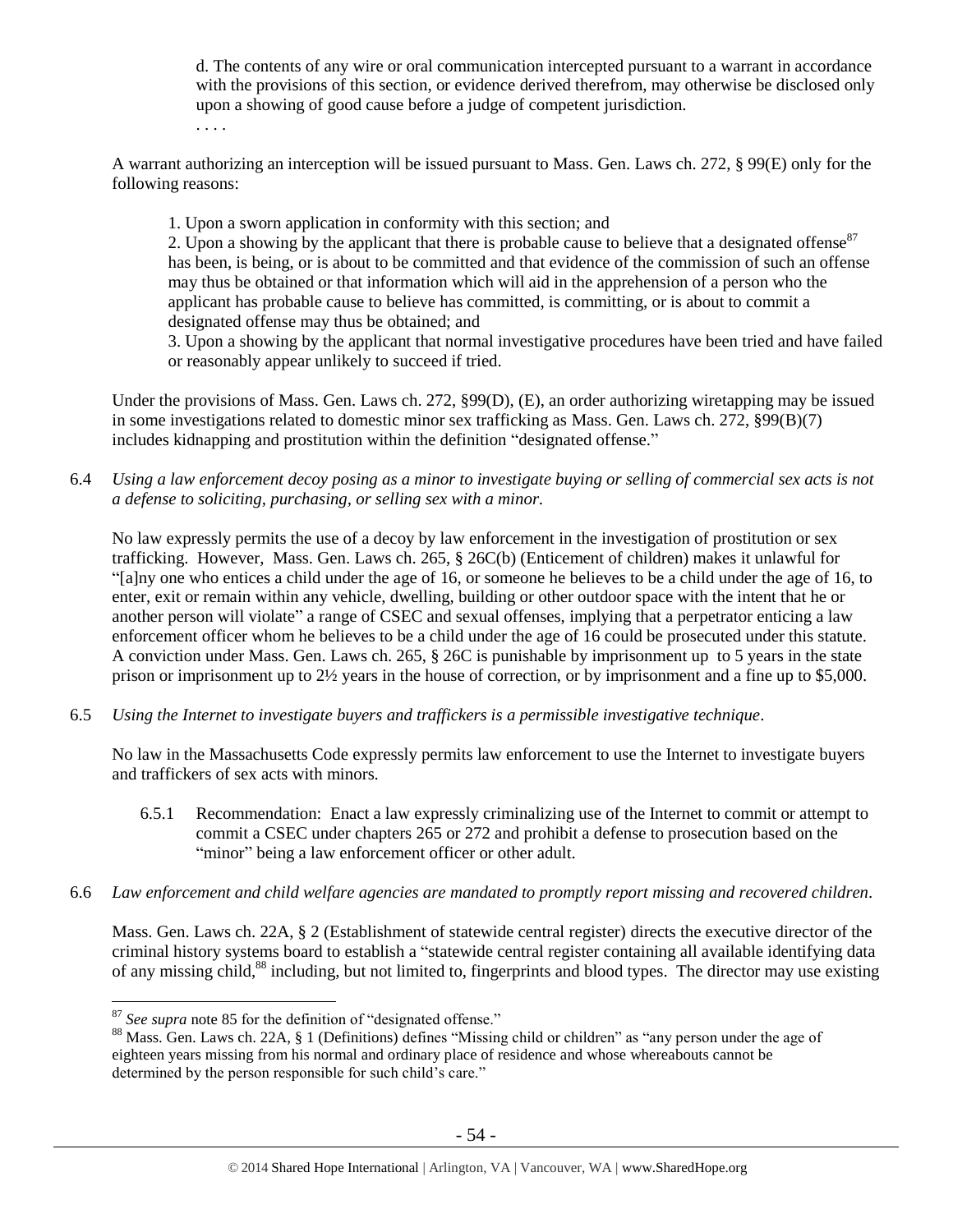d. The contents of any wire or oral communication intercepted pursuant to a warrant in accordance with the provisions of this section, or evidence derived therefrom, may otherwise be disclosed only upon a showing of good cause before a judge of competent jurisdiction.

. . . .

A warrant authorizing an interception will be issued pursuant to Mass. Gen. Laws ch. 272, § 99(E) only for the following reasons:

1. Upon a sworn application in conformity with this section; and

2. Upon a showing by the applicant that there is probable cause to believe that a designated offense<sup>87</sup> has been, is being, or is about to be committed and that evidence of the commission of such an offense may thus be obtained or that information which will aid in the apprehension of a person who the applicant has probable cause to believe has committed, is committing, or is about to commit a designated offense may thus be obtained; and

3. Upon a showing by the applicant that normal investigative procedures have been tried and have failed or reasonably appear unlikely to succeed if tried.

Under the provisions of Mass. Gen. Laws ch. 272, §99(D), (E), an order authorizing wiretapping may be issued in some investigations related to domestic minor sex trafficking as Mass. Gen. Laws ch. 272, §99(B)(7) includes kidnapping and prostitution within the definition "designated offense."

6.4 *Using a law enforcement decoy posing as a minor to investigate buying or selling of commercial sex acts is not a defense to soliciting, purchasing, or selling sex with a minor.*

No law expressly permits the use of a decoy by law enforcement in the investigation of prostitution or sex trafficking. However, Mass. Gen. Laws ch. 265, § 26C(b) (Enticement of children) makes it unlawful for "[a]ny one who entices a child under the age of 16, or someone he believes to be a child under the age of 16, to enter, exit or remain within any vehicle, dwelling, building or other outdoor space with the intent that he or another person will violate" a range of CSEC and sexual offenses, implying that a perpetrator enticing a law enforcement officer whom he believes to be a child under the age of 16 could be prosecuted under this statute. A conviction under Mass. Gen. Laws ch. 265, § 26C is punishable by imprisonment up to 5 years in the state prison or imprisonment up to 2½ years in the house of correction, or by imprisonment and a fine up to \$5,000.

6.5 *Using the Internet to investigate buyers and traffickers is a permissible investigative technique.*

No law in the Massachusetts Code expressly permits law enforcement to use the Internet to investigate buyers and traffickers of sex acts with minors.

- 6.5.1 Recommendation: Enact a law expressly criminalizing use of the Internet to commit or attempt to commit a CSEC under chapters 265 or 272 and prohibit a defense to prosecution based on the "minor" being a law enforcement officer or other adult.
- 6.6 *Law enforcement and child welfare agencies are mandated to promptly report missing and recovered children.*

Mass. Gen. Laws ch. 22A, § 2 (Establishment of statewide central register) directs the executive director of the criminal history systems board to establish a "statewide central register containing all available identifying data of any missing child,<sup>88</sup> including, but not limited to, fingerprints and blood types. The director may use existing

<sup>87</sup> *See supra* note [85](#page-52-0) for the definition of "designated offense."

<sup>&</sup>lt;sup>88</sup> Mass. Gen. Laws ch. 22A, § 1 (Definitions) defines "Missing child or children" as "any person under the age of eighteen years missing from his normal and ordinary place of residence and whose whereabouts cannot be determined by the person responsible for such child's care."